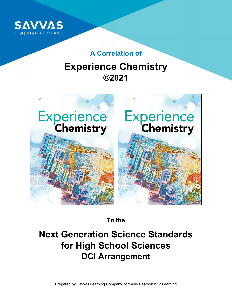

## **A Correlation of**

# **Experience Chemistry ©2021**



**To the** 

## **Next Generation Science Standards for High School Sciences DCI Arrangement**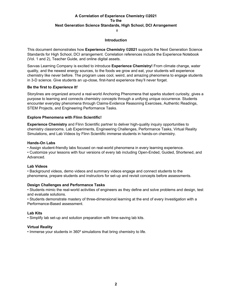$\pm$ 

#### **Introduction**

This document demonstrates how **Experience Chemistry ©2021** supports the Next Generation Science Standards for High School, DCI arrangement. Correlation references include the Experience Notebook (Vol. 1 and 2), Teacher Guide, and online digital assets.

Savvas Learning Company is excited to introduce **Experience Chemistry!** From climate change, water quality, and the newest energy sources, to the foods we grow and eat, your students will experience chemistry like never before. The program uses cool, weird, and amazing phenomena to engage students in 3-D science. Give students an up-close, first-hand experience they'll never forget.

#### **Be the first to** *Experience It!*

Storylines are organized around a real-world Anchoring Phenomena that sparks student curiosity, gives a purpose to learning and connects chemistry concepts through a unifying unique occurrence. Students encounter everyday phenomena through Claims-Evidence Reasoning Exercises, Authentic Readings, STEM Projects, and Engineering Performance Tasks.

#### **Explore Phenomena with Flinn Scientific!**

**Experience Chemistry** and Flinn Scientific partner to deliver high-quality inquiry opportunities to chemistry classrooms. Lab Experiments, Engineering Challenges, Performance Tasks, Virtual Reality Simulations, and Lab Videos by Flinn Scientific immerse students in hands-on chemistry.

#### **Hands-On Labs**

• Assign student-friendly labs focused on real-world phenomena in every learning experience.

• Customize your lessons with four versions of every lab including Open-Ended, Guided, Shortened, and Advanced.

#### **Lab Videos**

• Background videos, demo videos and summary videos engage and connect students to the phenomena, prepare students and instructors for set-up and revisit concepts before assessments.

#### **Design Challenges and Performance Tasks**

• Students mimic the real-world activities of engineers as they define and solve problems and design, test and evaluate solutions.

• Students demonstrate mastery of three-dimensional learning at the end of every Investigation with a Performance-Based assessment.

#### **Lab Kits**

• Simplify lab set-up and solution preparation with time-saving lab kits.

#### **Virtual Reality**

• Immerse your students in 360º simulations that bring chemistry to life.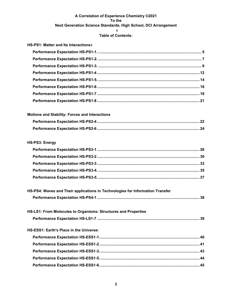## **Table of Contents:**

| HS-PS1: Matter and Its Interactions#                  |  |
|-------------------------------------------------------|--|
|                                                       |  |
|                                                       |  |
|                                                       |  |
|                                                       |  |
|                                                       |  |
|                                                       |  |
|                                                       |  |
|                                                       |  |
| <b>Motions and Stability: Forces and Interactions</b> |  |
|                                                       |  |
|                                                       |  |

## **HS-PS3: Energy**

| HS-PS4: Waves and Their applications in Technologies for Information Transfer |  |
|-------------------------------------------------------------------------------|--|
|                                                                               |  |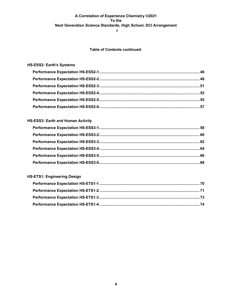$#$ 

#### **Table of Contents continued:**

## **HS-ESS2: Earth's Systems**

## **HS-ESS3: Earth and Human Activity**

#### **HS-ETS1: Engineering Design**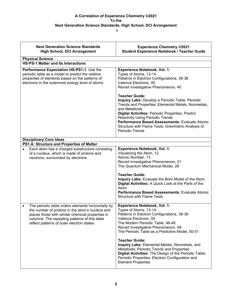| <b>Next Generation Science Standards</b><br><b>High School, DCI Arrangement</b>                                                                                                                                                                                       | <b>Experience Chemistry ©2021</b><br><b>Student Experience Notebook / Teacher Guide</b>                                                                                                                                                                                                                                                                                                                                                                                                                                              |
|-----------------------------------------------------------------------------------------------------------------------------------------------------------------------------------------------------------------------------------------------------------------------|--------------------------------------------------------------------------------------------------------------------------------------------------------------------------------------------------------------------------------------------------------------------------------------------------------------------------------------------------------------------------------------------------------------------------------------------------------------------------------------------------------------------------------------|
| <b>Physical Science</b><br><b>HS-PS-1 Matter and Its Interactions</b>                                                                                                                                                                                                 |                                                                                                                                                                                                                                                                                                                                                                                                                                                                                                                                      |
| Performance Expectation HS-PS1-1. Use the<br>periodic table as a model to predict the relative<br>properties of elements based on the patterns of<br>electrons in the outermost energy level of atoms.                                                                | <b>Experience Notebook, Vol. 1:</b><br>Types of Atoms, 13-14<br>Patterns in Electron Configurations, 36-38<br>Valence Electrons, 39<br>Revisit Investigative Phenomenon, 40<br><b>Teacher Guide:</b>                                                                                                                                                                                                                                                                                                                                 |
|                                                                                                                                                                                                                                                                       | Inquiry Labs: Develop a Periodic Table, Periodic<br>Trends and Properties; Elemental Metals, Nonmetals,<br>and Metalloids<br><b>Digital Activities: Periodic Properties; Predict</b><br><b>Reactivity Using Periodic Trends</b><br>Performance Based Assessments: Evaluate Atomic<br>Structure with Flame Tests; Gravimetric Analysis of<br>Periodic Trends                                                                                                                                                                          |
| <b>Disciplinary Core Ideas</b>                                                                                                                                                                                                                                        |                                                                                                                                                                                                                                                                                                                                                                                                                                                                                                                                      |
| PS1.A: Structure and Properties of Matter<br>Each atom has a charged substructure consisting<br>of a nucleus, which is made of protons and<br>neutrons, surrounded by electrons.                                                                                      | <b>Experience Notebook, Vol. 1:</b><br>Visualizing the Atom, 12<br>Atomic Number, 13<br>Revisit Investigative Phenomenon, 21<br>The Quantum Mechanical Model, 28<br><b>Teacher Guide:</b><br>Inquiry Labs: Evaluate the Bohr Model of the Atom<br>Digital Activities: A Quick Look at the Parts of the<br>Atom<br>Performance Based Assessments: Evaluate Atomic<br><b>Structure with Flame Tests</b>                                                                                                                                |
| The periodic table orders elements horizontally by<br>$\bullet$<br>the number of protons in the atom's nucleus and<br>places those with similar chemical properties in<br>columns. The repeating patterns of this table<br>reflect patterns of outer electron states. | <b>Experience Notebook, Vol. 1:</b><br>Types of Atoms, 13-14<br>Patterns in Electron Configurations, 36-38<br>Valence Electrons, 39<br>The Modern Periodic Table, 46-48<br>Revisit Investigative Phenomenon, 49<br>The Periodic Table as a Predictive Model, 50-51<br><b>Teacher Guide:</b><br>Inquiry Labs: Elemental Metals, Nonmetals, and<br>Metalloids; Periodic Trends and Properties<br>Digital Activities: The Design of the Periodic Table;<br>Periodic Properties; Electron Configuration and<br><b>Element Properties</b> |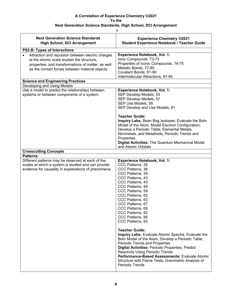| <b>Next Generation Science Standards</b><br><b>High School, DCI Arrangement</b>                                                                                                                                       | <b>Experience Chemistry ©2021</b><br><b>Student Experience Notebook / Teacher Guide</b>                                                                                                                                                                                                                                                                                                               |
|-----------------------------------------------------------------------------------------------------------------------------------------------------------------------------------------------------------------------|-------------------------------------------------------------------------------------------------------------------------------------------------------------------------------------------------------------------------------------------------------------------------------------------------------------------------------------------------------------------------------------------------------|
| <b>PS2.B: Types of Interactions</b>                                                                                                                                                                                   |                                                                                                                                                                                                                                                                                                                                                                                                       |
| Attraction and repulsion between electric charges<br>$\bullet$<br>at the atomic scale explain the structure,<br>properties, and transformations of matter, as well<br>as the contact forces between material objects. | <b>Experience Notebook, Vol. 1:</b><br>Ionic Compounds, 73-73<br>Properties of Iconic Compounds, 74-75<br>Metallic Bonds, 77-80<br>Covalent Bonds, 81-90<br>Intermolecular Attractions, 91-95                                                                                                                                                                                                         |
| <b>Science and Engineering Practices</b>                                                                                                                                                                              |                                                                                                                                                                                                                                                                                                                                                                                                       |
| Developing and Using Models                                                                                                                                                                                           |                                                                                                                                                                                                                                                                                                                                                                                                       |
| Use a model to predict the relationships between<br>systems or between components of a system.                                                                                                                        | <b>Experience Notebook, Vol. 1:</b><br>SEP Develop Models, 55<br>SEP Develop Models, 57<br>SEP Use Models, 58<br>SEP Develop and Use Models, 61                                                                                                                                                                                                                                                       |
|                                                                                                                                                                                                                       | <b>Teacher Guide:</b><br>Inquiry Labs: Bean Bag Isotopes; Evaluate the Bohr<br>Model of the Atom; Model Electron Configuration;<br>Develop a Periodic Table; Elemental Metals,<br>Nonmetals, and Metalloids; Periodic Trends and<br>Properties<br><b>Digital Activities: The Quantum Mechanical Model</b><br>and Atomic Orbitals                                                                      |
| <b>Crosscutting Concepts</b>                                                                                                                                                                                          |                                                                                                                                                                                                                                                                                                                                                                                                       |
| <b>Patterns</b>                                                                                                                                                                                                       |                                                                                                                                                                                                                                                                                                                                                                                                       |
| Different patterns may be observed at each of the<br>scales at which a system is studied and can provide<br>evidence for causality in explanations of phenomena                                                       | <b>Experience Notebook, Vol. 1:</b><br>CCC Patterns, 26<br>CCC Patterns, 36<br>CCC Patterns, 39<br>CCC Patterns, 43<br>CCC Patterns, 45<br>CCC Patterns, 49<br>CCC Patterns, 59<br>CCC Patterns, 62<br>CCC Patterns, 63<br>CCC Patterns, 67<br>CCC Patterns, 69<br>CCC Patterns, 82<br>CCC Patterns, 86<br>CCC Patterns, 93                                                                           |
|                                                                                                                                                                                                                       | <b>Teacher Guide:</b><br>Inquiry Labs: Evaluate Atomic Spectra, Evaluate the<br>Bohr Model of the Atom, Develop a Periodic Table;<br>Periodic Trends and Properties<br><b>Digital Activities: Periodic Properties, Predict</b><br><b>Reactivity Using Periodic Trends</b><br>Performance-Based Assessments: Evaluate Atomic<br>Structure with Flame Tests, Gravimetric Analysis of<br>Periodic Trends |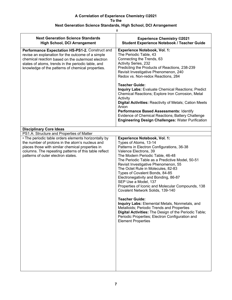| $\#$                                                                                                                                                                                                                                                                 |                                                                                                                                                                                                                                                                                                                                                                                                                                                                                                                                                                                                                                                                                                                                                                       |  |
|----------------------------------------------------------------------------------------------------------------------------------------------------------------------------------------------------------------------------------------------------------------------|-----------------------------------------------------------------------------------------------------------------------------------------------------------------------------------------------------------------------------------------------------------------------------------------------------------------------------------------------------------------------------------------------------------------------------------------------------------------------------------------------------------------------------------------------------------------------------------------------------------------------------------------------------------------------------------------------------------------------------------------------------------------------|--|
| <b>Next Generation Science Standards</b><br><b>High School, DCI Arrangement</b>                                                                                                                                                                                      | <b>Experience Chemistry ©2021</b><br><b>Student Experience Notebook / Teacher Guide</b>                                                                                                                                                                                                                                                                                                                                                                                                                                                                                                                                                                                                                                                                               |  |
| Performance Expectation HS-PS1-2. Construct and<br>revise an explanation for the outcome of a simple<br>chemical reaction based on the outermost electron<br>states of atoms, trends in the periodic table, and<br>knowledge of the patterns of chemical properties. | <b>Experience Notebook, Vol. 1:</b><br>The Periodic Table, 43<br>Connecting the Trends, 63<br>Activity Series, 232<br>Predicting the Products of Reactions, 238-239<br>Revisit Investigative Phenomenon, 240<br>Redox vs. Non-redox Reactions, 284<br><b>Teacher Guide:</b><br><b>Inquiry Labs: Evaluate Chemical Reactions; Predict</b><br>Chemical Reactions; Explore Iron Corrosion, Metal<br>Activity<br><b>Digital Activities: Reactivity of Metals; Cation Meets</b><br>Anion<br>Performance Based Assessments: Identify<br>Evidence of Chemical Reactions; Battery Challenge<br><b>Engineering Design Challenges: Water Purification</b>                                                                                                                       |  |
| <b>Disciplinary Core Ideas</b>                                                                                                                                                                                                                                       |                                                                                                                                                                                                                                                                                                                                                                                                                                                                                                                                                                                                                                                                                                                                                                       |  |
| PS1.A: Structure and Properties of Matter                                                                                                                                                                                                                            |                                                                                                                                                                                                                                                                                                                                                                                                                                                                                                                                                                                                                                                                                                                                                                       |  |
| • The periodic table orders elements horizontally by<br>the number of protons in the atom's nucleus and<br>places those with similar chemical properties in<br>columns. The repeating patterns of this table reflect<br>patterns of outer electron states.           | <b>Experience Notebook, Vol. 1:</b><br>Types of Atoms, 13-14<br>Patterns in Electron Configurations, 36-38<br>Valence Electrons, 39<br>The Modern Periodic Table, 46-48<br>The Periodic Table as a Predictive Model, 50-51<br>Revisit Investigative Phenomenon, 55<br>The Octet Rule in Molecules, 82-83<br>Types of Covalent Bonds, 84-85<br>Electronegativity and Bonding, 86-87<br>SEP Use a Model, 137<br>Properties of Iconic and Molecular Compounds, 138<br>Covalent Network Solids, 139-140<br><b>Teacher Guide:</b><br>Inquiry Labs: Elemental Metals, Nonmetals, and<br>Metalloids; Periodic Trends and Properties<br>Digital Activities: The Design of the Periodic Table;<br>Periodic Properties; Electron Configuration and<br><b>Element Properties</b> |  |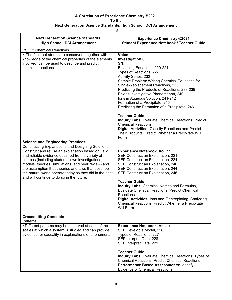| <b>Next Generation Science Standards</b><br><b>High School, DCI Arrangement</b>                                                                                                                                                                                                                                                                                                  | <b>Experience Chemistry ©2021</b><br><b>Student Experience Notebook / Teacher Guide</b>                                                                                                                                                                                                                                                                                                                                                                                                                                                                                                                                                                                              |
|----------------------------------------------------------------------------------------------------------------------------------------------------------------------------------------------------------------------------------------------------------------------------------------------------------------------------------------------------------------------------------|--------------------------------------------------------------------------------------------------------------------------------------------------------------------------------------------------------------------------------------------------------------------------------------------------------------------------------------------------------------------------------------------------------------------------------------------------------------------------------------------------------------------------------------------------------------------------------------------------------------------------------------------------------------------------------------|
| PS1.B: Chemical Reactions                                                                                                                                                                                                                                                                                                                                                        |                                                                                                                                                                                                                                                                                                                                                                                                                                                                                                                                                                                                                                                                                      |
| • The fact that atoms are conserved, together with<br>knowledge of the chemical properties of the elements<br>involved, can be used to describe and predict<br>chemical reactions                                                                                                                                                                                                | Volume 1<br><b>Investigation 6</b><br>SN:<br>Balancing Equations, 220-221<br>Types of Reactions, 227<br><b>Activity Series, 232</b><br>Sample Problem: Writing Chemical Equations for<br>Single-Replacement Reactions, 233<br>Predicting the Products of Reactions, 238-239<br>Revisit Investigative Phenomenon, 240<br>Ions in Aqueous Solution, 241-242<br>Formation of a Precipitate, 245<br>Predicting the Formation of a Precipitate, 246<br><b>Teacher Guide:</b><br><b>Inquiry Labs: Evaluate Chemical Reactions; Predict</b><br><b>Chemical Reactions</b><br><b>Digital Activities: Classify Reactions and Predict</b><br>Their Products; Predict Whether a Precipitate Will |
|                                                                                                                                                                                                                                                                                                                                                                                  | Form                                                                                                                                                                                                                                                                                                                                                                                                                                                                                                                                                                                                                                                                                 |
| <b>Science and Engineering Practices</b>                                                                                                                                                                                                                                                                                                                                         |                                                                                                                                                                                                                                                                                                                                                                                                                                                                                                                                                                                                                                                                                      |
| <b>Constructing Explanations and Designing Solutions</b>                                                                                                                                                                                                                                                                                                                         |                                                                                                                                                                                                                                                                                                                                                                                                                                                                                                                                                                                                                                                                                      |
| Construct and revise an explanation based on valid<br>and reliable evidence obtained from a variety of<br>sources (including students' own investigations,<br>models, theories, simulations, and peer review) and<br>the assumption that theories and laws that describe<br>the natural world operate today as they did in the past<br>and will continue to do so in the future. | <b>Experience Notebook, Vol. 1:</b><br>SEP Construct an Explanation, 221<br>SEP Construct an Explanation, 224<br>SEP Construct an Explanation, 240<br>SEP Construct an Explanation, 244<br>SEP Construct an Explanation, 246<br><b>Teacher Guide:</b><br>Inquiry Labs: Chemical Names and Formulas,<br>Evaluate Chemical Reactions, Predict Chemical                                                                                                                                                                                                                                                                                                                                 |
|                                                                                                                                                                                                                                                                                                                                                                                  | Reactions<br>Digital Activities: Ions and Electroplating, Analyzing<br>Chemical Reactions, Predict Whether a Precipitate<br>Will Form                                                                                                                                                                                                                                                                                                                                                                                                                                                                                                                                                |
| <b>Crosscutting Concepts</b>                                                                                                                                                                                                                                                                                                                                                     |                                                                                                                                                                                                                                                                                                                                                                                                                                                                                                                                                                                                                                                                                      |
| Patterns                                                                                                                                                                                                                                                                                                                                                                         |                                                                                                                                                                                                                                                                                                                                                                                                                                                                                                                                                                                                                                                                                      |
| • Different patterns may be observed at each of the<br>scales at which a system is studied and can provide<br>evidence for causality in explanations of phenomena.                                                                                                                                                                                                               | <b>Experience Notebook, Vol. 1:</b><br>SEP Develop a Model, 226<br>Types of Reactions, 227<br>SEP Interpret Data, 228<br>SEP Interpret Data, 229                                                                                                                                                                                                                                                                                                                                                                                                                                                                                                                                     |
|                                                                                                                                                                                                                                                                                                                                                                                  | <b>Teacher Guide:</b><br>Inquiry Labs: Evaluate Chemical Reactions; Types of<br><b>Chemical Reactions; Predict Chemical Reactions</b><br>Performance Based Assessments: Identify<br><b>Evidence of Chemical Reactions</b>                                                                                                                                                                                                                                                                                                                                                                                                                                                            |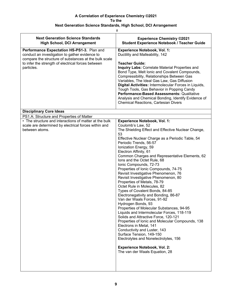| #                                                                                                                                                                                                                         |                                                                                                                                                                                                                                                                                                                                                                                                                                                                                                                                                                                                                                                                                                                                                                                                                                                                                                                                                                                                                                                                                      |
|---------------------------------------------------------------------------------------------------------------------------------------------------------------------------------------------------------------------------|--------------------------------------------------------------------------------------------------------------------------------------------------------------------------------------------------------------------------------------------------------------------------------------------------------------------------------------------------------------------------------------------------------------------------------------------------------------------------------------------------------------------------------------------------------------------------------------------------------------------------------------------------------------------------------------------------------------------------------------------------------------------------------------------------------------------------------------------------------------------------------------------------------------------------------------------------------------------------------------------------------------------------------------------------------------------------------------|
| <b>Next Generation Science Standards</b><br><b>High School, DCI Arrangement</b>                                                                                                                                           | <b>Experience Chemistry ©2021</b><br><b>Student Experience Notebook / Teacher Guide</b>                                                                                                                                                                                                                                                                                                                                                                                                                                                                                                                                                                                                                                                                                                                                                                                                                                                                                                                                                                                              |
| Performance Expectation HS-PS1-3. Plan and<br>conduct an investigation to gather evidence to<br>compare the structure of substances at the bulk scale<br>to infer the strength of electrical forces between<br>particles. | <b>Experience Notebook, Vol. 1:</b><br>Ductility and Malleability, 142<br><b>Teacher Guide:</b><br>Inquiry Labs: Correlate Material Properties and<br>Bond Type, Melt Ionic and Covalent Compounds,<br>Compressibility, Relationships Between Gas<br>Variables, The Ideal Gas Law, Gas Diffusion<br>Digital Activities: Intermolecular Forces in Liquids,<br>Tough Tools, Gas Behavior in Popping Candy<br>Performance-Based Assessments: Qualitative<br>Analysis and Chemical Bonding, Identify Evidence of<br><b>Chemical Reactions, Cartesian Divers</b>                                                                                                                                                                                                                                                                                                                                                                                                                                                                                                                          |
| <b>Disciplinary Core Ideas</b>                                                                                                                                                                                            |                                                                                                                                                                                                                                                                                                                                                                                                                                                                                                                                                                                                                                                                                                                                                                                                                                                                                                                                                                                                                                                                                      |
| PS1.A: Structure and Properties of Matter<br>• The structure and interactions of matter at the bulk<br>scale are determined by electrical forces within and<br>between atoms.                                             | <b>Experience Notebook, Vol. 1:</b><br>Coulomb's Law, 52<br>The Shielding Effect and Effective Nuclear Change,<br>53<br>Effective Nuclear Charge as a Periodic Table, 54<br>Periodic Trends, 56-57<br>Ionization Energy, 59<br>Electron Affinity, 61<br>Common Charges and Representative Elements, 62<br>lons and the Octet Rule, 68<br>Ionic Compounds, 72-73<br>Properties of Ionic Compounds, 74-75<br>Revisit Investigative Phenomenon, 76<br>Revisit Investigative Phenomenon, 80<br>Properties of Metals, 78-79<br>Octet Rule in Molecules, 82<br>Types of Covalent Bonds, 84-85<br>Electronegativity and Bonding, 86-87<br>Van der Waals Forces, 91-92<br>Hydrogen Bonds, 93<br>Properties of Molecular Substances, 94-95<br>Liquids and Intermolecular Forces, 118-119<br>Solids and Attractive Force, 120-121<br>Properties of Ionic and Molecular Compounds, 138<br>Electrons in Metal, 141<br>Conductivity and Luster, 143<br>Surface Tension, 149-150<br>Electrolytes and Nonelectrolytes, 156<br><b>Experience Notebook, Vol. 2:</b><br>The van der Waals Equation, 28 |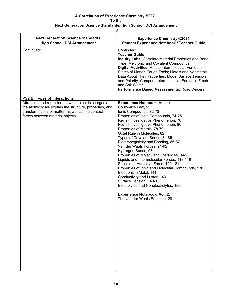| <b>Next Generation Science Standards</b><br><b>High School, DCI Arrangement</b>                                                                                                                          | <b>Experience Chemistry ©2021</b><br><b>Student Experience Notebook / Teacher Guide</b>                                                                                                                                                                                                                                                                                                                                                                                                                                                                                                                                                                                                                                                                                                                 |
|----------------------------------------------------------------------------------------------------------------------------------------------------------------------------------------------------------|---------------------------------------------------------------------------------------------------------------------------------------------------------------------------------------------------------------------------------------------------------------------------------------------------------------------------------------------------------------------------------------------------------------------------------------------------------------------------------------------------------------------------------------------------------------------------------------------------------------------------------------------------------------------------------------------------------------------------------------------------------------------------------------------------------|
| Continued:                                                                                                                                                                                               | Continued:<br><b>Teacher Guide:</b><br><b>Inquiry Labs: Correlate Material Properties and Bond</b><br>Type; Melt Ionic and Covalent Compounds<br>Digital Activities: Relate Intermolecular Forces to<br>States of Matter; Tough Tools; Metals and Nonmetals:<br>Data About Their Properties; Model Surface Tension<br>and Polarity; Compare Intermolecular Forces in Fresh<br>and Salt Water<br>Performance Based Assessments: Road Deicers                                                                                                                                                                                                                                                                                                                                                             |
| <b>PS2.B: Types of Interactions</b>                                                                                                                                                                      |                                                                                                                                                                                                                                                                                                                                                                                                                                                                                                                                                                                                                                                                                                                                                                                                         |
| Attraction and repulsion between electric charges at<br>the atomic scale explain the structure, properties, and<br>transformations of matter, as well as the contact<br>forces between material objects. | <b>Experience Notebook, Vol. 1:</b><br>Coulomb's Law, 52<br>Ionic Compounds, 72-73<br>Properties of Ionic Compounds, 74-75<br>Revisit Investigative Phenomenon, 76<br>Revisit Investigative Phenomenon, 80<br>Properties of Metals, 78-79<br>Octet Rule in Molecules, 82<br>Types of Covalent Bonds, 84-85<br>Electronegativity and Bonding, 86-87<br>Van der Waals Forces, 91-92<br>Hydrogen Bonds, 93<br>Properties of Molecular Substances, 94-95<br>Liquids and Intermolecular Forces, 118-119<br>Solids and Attractive Force, 120-121<br>Properties of Ionic and Molecular Compounds, 138<br>Electrons in Metal, 141<br>Conductivity and Luster, 143<br>Surface Tension, 149-150<br>Electrolytes and Nonelectrolytes, 156<br><b>Experience Notebook, Vol. 2:</b><br>The van der Waals Equation, 28 |
|                                                                                                                                                                                                          |                                                                                                                                                                                                                                                                                                                                                                                                                                                                                                                                                                                                                                                                                                                                                                                                         |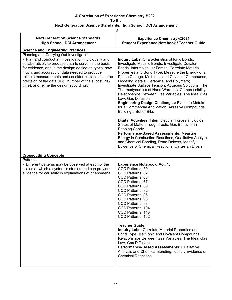|                                                                                                                                                                                                                                                                                                                                                                                            | $\#$                                                                                                                                                                                                                                                                                                                                                                                                                                                                                                                                                                                                                                                    |
|--------------------------------------------------------------------------------------------------------------------------------------------------------------------------------------------------------------------------------------------------------------------------------------------------------------------------------------------------------------------------------------------|---------------------------------------------------------------------------------------------------------------------------------------------------------------------------------------------------------------------------------------------------------------------------------------------------------------------------------------------------------------------------------------------------------------------------------------------------------------------------------------------------------------------------------------------------------------------------------------------------------------------------------------------------------|
| <b>Next Generation Science Standards</b><br><b>High School, DCI Arrangement</b>                                                                                                                                                                                                                                                                                                            | <b>Experience Chemistry ©2021</b><br><b>Student Experience Notebook / Teacher Guide</b>                                                                                                                                                                                                                                                                                                                                                                                                                                                                                                                                                                 |
| <b>Science and Engineering Practices</b>                                                                                                                                                                                                                                                                                                                                                   |                                                                                                                                                                                                                                                                                                                                                                                                                                                                                                                                                                                                                                                         |
| Planning and Carrying Out Investigations                                                                                                                                                                                                                                                                                                                                                   |                                                                                                                                                                                                                                                                                                                                                                                                                                                                                                                                                                                                                                                         |
| • Plan and conduct an investigation individually and<br>collaboratively to produce data to serve as the basis<br>for evidence, and in the design: decide on types, how<br>much, and accuracy of data needed to produce<br>reliable measurements and consider limitations on the<br>precision of the data (e.g., number of trials, cost, risk,<br>time), and refine the design accordingly. | <b>Inquiry Labs: Characteristics of Ionic Bonds;</b><br>Investigate Metallic Bonds; Investigate Covalent<br>Bonds, Intermolecular Forces; Correlate Material<br>Properties and Bond Type; Measure the Energy of a<br>Phase Change; Melt Ionic and Covalent Compounds;<br>Modeling Metals, Ceramics, and Polymers;<br>Investigate Surface Tension; Aqueous Solutions; The<br>Thermodynamics of Hand Warmers, Compressibility,<br>Relationships Between Gas Variables, The Ideal Gas<br>Law, Gas Diffusion<br><b>Engineering Design Challenges: Evaluate Metals</b><br>for a Commercial Application, Abrasive Compounds,<br><b>Building a Better Bike</b> |
|                                                                                                                                                                                                                                                                                                                                                                                            | Digital Activities: Intermolecular Forces in Liquids,<br>States of Matter, Tough Tools, Gas Behavior in<br>Popping Candy<br>Performance-Based Assessments: Measure<br>Energy in Combustion Reactions, Qualitative Analysis<br>and Chemical Bonding, Road Deicers, Identify<br>Evidence of Chemical Reactions, Cartesian Divers                                                                                                                                                                                                                                                                                                                          |
| <b>Crosscutting Concepts</b>                                                                                                                                                                                                                                                                                                                                                               |                                                                                                                                                                                                                                                                                                                                                                                                                                                                                                                                                                                                                                                         |
| Patterns                                                                                                                                                                                                                                                                                                                                                                                   |                                                                                                                                                                                                                                                                                                                                                                                                                                                                                                                                                                                                                                                         |
| • Different patterns may be observed at each of the<br>scales at which a system is studied and can provide<br>evidence for causality in explanations of phenomena.                                                                                                                                                                                                                         | <b>Experience Notebook, Vol. 1:</b><br>CCC Patterns, 59<br>CCC Patterns, 62<br>CCC Patterns, 63<br>CCC Patterns, 67<br>CCC Patterns, 69<br>CCC Patterns, 82<br>CCC Patterns, 86<br>CCC Patterns, 93<br>CCC Patterns, 98<br>CCC Patterns, 104<br>CCC Patterns, 113<br>CCC Patterns, 162<br><b>Teacher Guide:</b><br><b>Inquiry Labs: Correlate Material Properties and</b><br>Bond Type, Melt Ionic and Covalent Compounds,                                                                                                                                                                                                                              |
|                                                                                                                                                                                                                                                                                                                                                                                            | Relationships Between Gas Variables, The Ideal Gas<br>Law, Gas Diffusion<br>Performance-Based Assessments: Qualitative<br>Analysis and Chemical Bonding, Identify Evidence of<br><b>Chemical Reactions</b>                                                                                                                                                                                                                                                                                                                                                                                                                                              |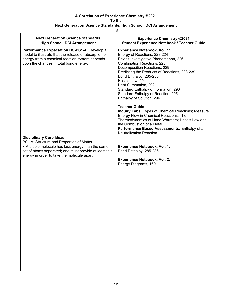| #                                                                                                                                                                                                                                                                                                                                                                                                         |  |
|-----------------------------------------------------------------------------------------------------------------------------------------------------------------------------------------------------------------------------------------------------------------------------------------------------------------------------------------------------------------------------------------------------------|--|
| <b>Experience Chemistry ©2021</b><br><b>Student Experience Notebook / Teacher Guide</b>                                                                                                                                                                                                                                                                                                                   |  |
| <b>Experience Notebook, Vol. 1:</b><br>Energy of Reactions, 223-224<br>Revisit Investigative Phenomenon, 226<br>Combination Reactions, 228<br>Decomposition Reactions, 229<br>Predicting the Products of Reactions, 238-239<br>Bond Enthalpy, 285-286<br>Hess's Law, 291<br>Heat Summation, 292<br>Standard Enthalpy of Formation, 293<br>Standard Enthalpy of Reaction, 295<br>Enthalpy of Solution, 296 |  |
| <b>Teacher Guide:</b><br>Inquiry Labs: Types of Chemical Reactions; Measure<br>Energy Flow in Chemical Reactions; The<br>Thermodynamics of Hand Warmers; Hess's Law and<br>the Combustion of a Metal<br>Performance Based Assessments: Enthalpy of a<br><b>Neutralization Reaction</b>                                                                                                                    |  |
|                                                                                                                                                                                                                                                                                                                                                                                                           |  |
|                                                                                                                                                                                                                                                                                                                                                                                                           |  |
| <b>Experience Notebook, Vol. 1:</b><br>Bond Enthalpy, 285-286<br><b>Experience Notebook, Vol. 2:</b><br>Energy Diagrams, 169                                                                                                                                                                                                                                                                              |  |
|                                                                                                                                                                                                                                                                                                                                                                                                           |  |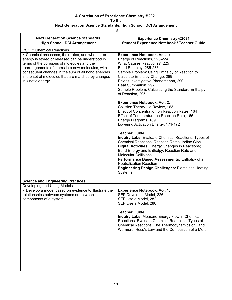| #                                                                                                                                                                                                                                                                                                                                                 |                                                                                                                                                                                                                                                                                                                                                                                                                                                                                                                                                                                                                                                                                                                                                                                                                                                                                                                                  |
|---------------------------------------------------------------------------------------------------------------------------------------------------------------------------------------------------------------------------------------------------------------------------------------------------------------------------------------------------|----------------------------------------------------------------------------------------------------------------------------------------------------------------------------------------------------------------------------------------------------------------------------------------------------------------------------------------------------------------------------------------------------------------------------------------------------------------------------------------------------------------------------------------------------------------------------------------------------------------------------------------------------------------------------------------------------------------------------------------------------------------------------------------------------------------------------------------------------------------------------------------------------------------------------------|
| <b>Next Generation Science Standards</b><br><b>High School, DCI Arrangement</b>                                                                                                                                                                                                                                                                   | <b>Experience Chemistry ©2021</b><br><b>Student Experience Notebook / Teacher Guide</b>                                                                                                                                                                                                                                                                                                                                                                                                                                                                                                                                                                                                                                                                                                                                                                                                                                          |
| PS1.B: Chemical Reactions                                                                                                                                                                                                                                                                                                                         |                                                                                                                                                                                                                                                                                                                                                                                                                                                                                                                                                                                                                                                                                                                                                                                                                                                                                                                                  |
| • Chemical processes, their rates, and whether or not<br>energy is stored or released can be understood in<br>terms of the collisions of molecules and the<br>rearrangements of atoms into new molecules, with<br>consequent changes in the sum of all bond energies<br>in the set of molecules that are matched by changes<br>in kinetic energy. | <b>Experience Notebook, Vol. 1:</b><br>Energy of Reactions, 223-224<br>What Causes Reactions?, 225<br>Bond Enthalpy, 285-286<br>Sample Problem: Using Enthalpy of Reaction to<br>Calculate Enthalpy Change, 289<br>Revisit Investigative Phenomenon, 290<br>Heat Summation, 292<br>Sample Problem: Calculating the Standard Enthalpy<br>of Reaction, 295<br><b>Experience Notebook, Vol. 2:</b><br>Collision Theory - a Review, 163<br>Effect of Concentration on Reaction Rates, 164<br>Effect of Temperature on Reaction Rate, 165<br>Energy Diagrams, 169<br>Lowering Activation Energy, 171-172<br><b>Teacher Guide:</b><br>Inquiry Labs: Evaluate Chemical Reactions; Types of<br><b>Chemical Reactions; Reaction Rates: Iodine Clock</b><br>Digital Activities: Energy Changes in Reactions;<br>Bond Energy and Enthalpy; Reaction Rate and<br><b>Molecular Collisions</b><br>Performance Based Assessments: Enthalpy of a |
|                                                                                                                                                                                                                                                                                                                                                   | <b>Neutralization Reaction</b><br><b>Engineering Design Challenges: Flameless Heating</b><br>Systems                                                                                                                                                                                                                                                                                                                                                                                                                                                                                                                                                                                                                                                                                                                                                                                                                             |
| <b>Science and Engineering Practices</b>                                                                                                                                                                                                                                                                                                          |                                                                                                                                                                                                                                                                                                                                                                                                                                                                                                                                                                                                                                                                                                                                                                                                                                                                                                                                  |
| Developing and Using Models                                                                                                                                                                                                                                                                                                                       |                                                                                                                                                                                                                                                                                                                                                                                                                                                                                                                                                                                                                                                                                                                                                                                                                                                                                                                                  |
| • Develop a model based on evidence to illustrate the<br>relationships between systems or between<br>components of a system.                                                                                                                                                                                                                      | <b>Experience Notebook, Vol. 1:</b><br>SEP Develop a Model, 226<br>SEP Use a Model, 282<br>SEP Use a Model, 286<br><b>Teacher Guide:</b><br>Inquiry Labs: Measure Energy Flow in Chemical<br>Reactions, Evaluate Chemical Reactions, Types of<br>Chemical Reactions, The Thermodynamics of Hand<br>Warmers, Hess's Law and the Combustion of a Metal                                                                                                                                                                                                                                                                                                                                                                                                                                                                                                                                                                             |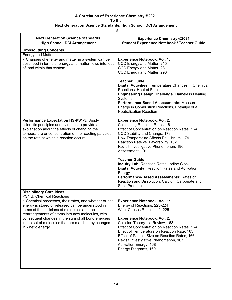$#$ 

| <b>Next Generation Science Standards</b><br><b>High School, DCI Arrangement</b>                                                                                                                                                                                                                                                                                                | <b>Experience Chemistry ©2021</b><br><b>Student Experience Notebook / Teacher Guide</b>                                                                                                                                                                                                                                                                                                                                     |
|--------------------------------------------------------------------------------------------------------------------------------------------------------------------------------------------------------------------------------------------------------------------------------------------------------------------------------------------------------------------------------|-----------------------------------------------------------------------------------------------------------------------------------------------------------------------------------------------------------------------------------------------------------------------------------------------------------------------------------------------------------------------------------------------------------------------------|
| <b>Crosscutting Concepts</b>                                                                                                                                                                                                                                                                                                                                                   |                                                                                                                                                                                                                                                                                                                                                                                                                             |
| <b>Energy and Matter</b>                                                                                                                                                                                                                                                                                                                                                       |                                                                                                                                                                                                                                                                                                                                                                                                                             |
| • Changes of energy and matter in a system can be<br>described in terms of energy and matter flows into, out<br>of, and within that system.                                                                                                                                                                                                                                    | <b>Experience Notebook, Vol. 1:</b><br>CCC Energy and Matter, 215<br>CCC Energy and Matter, 281<br>CCC Energy and Matter, 290                                                                                                                                                                                                                                                                                               |
|                                                                                                                                                                                                                                                                                                                                                                                | <b>Teacher Guide:</b><br>Digital Activities: Temperature Changes in Chemical<br>Reactions, Heat of Fusion<br><b>Engineering Design Challenge: Flameless Heating</b><br>Systems<br>Performance-Based Assessments: Measure<br>Energy in Combustion Reactions, Enthalpy of a<br><b>Neutralization Reaction</b>                                                                                                                 |
| Performance Expectation HS-PS1-5. Apply<br>scientific principles and evidence to provide an<br>explanation about the effects of changing the<br>temperature or concentration of the reacting particles<br>on the rate at which a reaction occurs.                                                                                                                              | <b>Experience Notebook, Vol. 2:</b><br>Calculating Reaction Rates, 161<br>Effect of Concentration on Reaction Rates, 164<br>CCC Stability and Change, 179<br>How Temperature Affects Equilibrium, 179<br>Reaction Rate vs. Favorability, 182<br>Revisit Investigative Phenomenon, 190<br>Assessment, 191                                                                                                                    |
|                                                                                                                                                                                                                                                                                                                                                                                | <b>Teacher Guide:</b><br>Inquiry Lab: Reaction Rates: Iodine Clock<br><b>Digital Activity: Reaction Rates and Activation</b><br>Energy<br>Performance-Based Assessments: Rates of<br>Reaction and Dissolution, Calcium Carbonate and<br><b>Shell Production</b>                                                                                                                                                             |
| <b>Disciplinary Core Ideas</b>                                                                                                                                                                                                                                                                                                                                                 |                                                                                                                                                                                                                                                                                                                                                                                                                             |
| PS1.B: Chemical Reactions<br>• Chemical processes, their rates, and whether or not<br>energy is stored or released can be understood in<br>terms of the collisions of molecules and the<br>rearrangements of atoms into new molecules, with<br>consequent changes in the sum of all bond energies<br>in the set of molecules that are matched by changes<br>in kinetic energy. | <b>Experience Notebook, Vol. 1:</b><br>Energy of Reactions, 223-224<br>What Causes Reactions?, 225<br><b>Experience Notebook, Vol. 2:</b><br>Collision Theory - a Review, 163<br>Effect of Concentration on Reaction Rates, 164<br>Effect of Temperature on Reaction Rate, 165<br>Effect of Particle Size on Reaction Rates, 166<br>Revisit Investigative Phenomenon, 167<br>Activation Energy, 168<br>Energy Diagrams, 169 |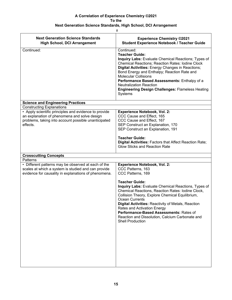$\frac{1}{2}$ 

| <b>Next Generation Science Standards</b><br><b>High School, DCI Arrangement</b>                                                                                                                               | <b>Experience Chemistry ©2021</b><br><b>Student Experience Notebook / Teacher Guide</b>                                                                                                                                                                                                                                                                                                                                                                                                                             |
|---------------------------------------------------------------------------------------------------------------------------------------------------------------------------------------------------------------|---------------------------------------------------------------------------------------------------------------------------------------------------------------------------------------------------------------------------------------------------------------------------------------------------------------------------------------------------------------------------------------------------------------------------------------------------------------------------------------------------------------------|
| Continued:                                                                                                                                                                                                    | Continued:<br><b>Teacher Guide:</b><br>Inquiry Labs: Evaluate Chemical Reactions; Types of<br><b>Chemical Reactions; Reaction Rates: Iodine Clock</b><br>Digital Activities: Energy Changes in Reactions;<br>Bond Energy and Enthalpy; Reaction Rate and<br><b>Molecular Collisions</b><br>Performance Based Assessments: Enthalpy of a<br><b>Neutralization Reaction</b><br><b>Engineering Design Challenges: Flameless Heating</b><br>Systems                                                                     |
| <b>Science and Engineering Practices</b>                                                                                                                                                                      |                                                                                                                                                                                                                                                                                                                                                                                                                                                                                                                     |
| <b>Constructing Explanations</b><br>• Apply scientific principles and evidence to provide<br>an explanation of phenomena and solve design<br>problems, taking into account possible unanticipated<br>effects. | <b>Experience Notebook, Vol. 2:</b><br>CCC Cause and Effect, 165<br>CCC Cause and Effect, 167<br>SEP Construct an Explanation, 170<br>SEP Construct an Explanation, 191<br><b>Teacher Guide:</b><br>Digital Activities: Factors that Affect Reaction Rate;<br>Glow Sticks and Reaction Rate                                                                                                                                                                                                                         |
| <b>Crosscutting Concepts</b>                                                                                                                                                                                  |                                                                                                                                                                                                                                                                                                                                                                                                                                                                                                                     |
| Patterns                                                                                                                                                                                                      |                                                                                                                                                                                                                                                                                                                                                                                                                                                                                                                     |
| • Different patterns may be observed at each of the<br>scales at which a system is studied and can provide<br>evidence for causality in explanations of phenomena.                                            | <b>Experience Notebook, Vol. 2:</b><br>CCC Patterns, 163<br>CCC Patterns, 169<br><b>Teacher Guide:</b><br>Inquiry Labs: Evaluate Chemical Reactions, Types of<br>Chemical Reactions, Reaction Rates: Iodine Clock,<br>Collision Theory, Explore Chemical Equilibrium,<br><b>Ocean Currents</b><br><b>Digital Activities: Reactivity of Metals, Reaction</b><br>Rates and Activation Energy<br>Performance-Based Assessments: Rates of<br>Reaction and Dissolution, Calcium Carbonate and<br><b>Shell Production</b> |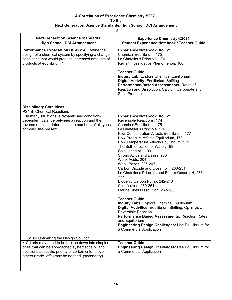| #                                                                                                                                                                                                                                                           |                                                                                                                                                                                                                                                                                                                                                                                                                                                                                                                                                                                                                                                                                                                                                                                                                                                                                                                                              |
|-------------------------------------------------------------------------------------------------------------------------------------------------------------------------------------------------------------------------------------------------------------|----------------------------------------------------------------------------------------------------------------------------------------------------------------------------------------------------------------------------------------------------------------------------------------------------------------------------------------------------------------------------------------------------------------------------------------------------------------------------------------------------------------------------------------------------------------------------------------------------------------------------------------------------------------------------------------------------------------------------------------------------------------------------------------------------------------------------------------------------------------------------------------------------------------------------------------------|
| <b>Next Generation Science Standards</b><br><b>High School, DCI Arrangement</b>                                                                                                                                                                             | <b>Experience Chemistry ©2021</b><br><b>Student Experience Notebook / Teacher Guide</b>                                                                                                                                                                                                                                                                                                                                                                                                                                                                                                                                                                                                                                                                                                                                                                                                                                                      |
| Performance Expectation HS-PS1-6 Refine the<br>design of a chemical system by specifying a change in<br>conditions that would produce increased amounts of<br>products at equilibrium.*                                                                     | <b>Experience Notebook, Vol. 2:</b><br>Chemical Equilibrium, 175<br>Le Chatelier's Principle, 176<br>Revisit Investigative Phenomenon, 180<br><b>Teacher Guide:</b><br><b>Inquiry Lab: Explore Chemical Equilibrium</b><br><b>Digital Activity: Equilibrium Shifting</b><br>Performance-Based Assessments: Rates of<br>Reaction and Dissolution, Calcium Carbonate and<br><b>Shell Production</b>                                                                                                                                                                                                                                                                                                                                                                                                                                                                                                                                            |
| <b>Disciplinary Core Ideas</b>                                                                                                                                                                                                                              |                                                                                                                                                                                                                                                                                                                                                                                                                                                                                                                                                                                                                                                                                                                                                                                                                                                                                                                                              |
| PS1.B: Chemical Reactions<br>• In many situations, a dynamic and condition-<br>dependent balance between a reaction and the<br>reverse reaction determines the numbers of all types<br>of molecules present.                                                | <b>Experience Notebook, Vol. 2:</b><br>Reversible Reactions, 174<br>Chemical Equilibrium, 175<br>Le Chatelier's Principle, 176<br>How Concentration Affects Equilibrium, 177<br>How Pressure Affects Equilibrium, 178<br>How Temperature Affects Equilibrium, 179<br>The Self-Ionization of Water, 198<br>Calculating pH, 199<br>Strong Acids and Bases, 203<br>Weak Acids, 204<br>Weak Bases, 206-207<br>Carbon Dioxide and Ocean pH, 230-231<br>Le Chatelier's Principle and Future Ocean pH, 236-<br>237<br>Biogenic Carbon Pump, 242-243<br>Calcification, 260-261<br>Marine Shell Dissolution, 262-263<br><b>Teacher Guide:</b><br><b>Inquiry Labs: Explore Chemical Equilibrium</b><br>Digital Activities: Equilibrium Shifting; Optimize a<br><b>Reversible Reaction</b><br><b>Performance Based Assessments: Reaction Rates</b><br>and Equilibrium<br>Engineering Design Challenges: Use Equilibrium for<br>a Commercial Application |
| ETS1.C: Optimizing the Design Solution<br>• Criteria may need to be broken down into simpler<br>ones that can be approached systematically, and<br>decisions about the priority of certain criteria over<br>others (trade- offs) may be needed. (secondary) | <b>Teacher Guide:</b><br>Engineering Design Challenges: Use Equilibrium for<br>a Commercial Application                                                                                                                                                                                                                                                                                                                                                                                                                                                                                                                                                                                                                                                                                                                                                                                                                                      |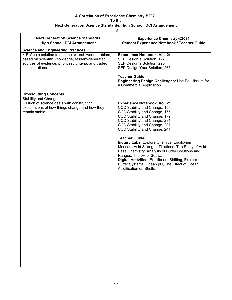## **Next Generation Science Standards, High School, DCI Arrangement**

| <b>Next Generation Science Standards</b><br><b>High School, DCI Arrangement</b>                                                                                                         | <b>Experience Chemistry ©2021</b><br><b>Student Experience Notebook / Teacher Guide</b>                                                                                                                                                                                                                                                                                                                                                                                                                                                                                                             |
|-----------------------------------------------------------------------------------------------------------------------------------------------------------------------------------------|-----------------------------------------------------------------------------------------------------------------------------------------------------------------------------------------------------------------------------------------------------------------------------------------------------------------------------------------------------------------------------------------------------------------------------------------------------------------------------------------------------------------------------------------------------------------------------------------------------|
| <b>Science and Engineering Practices</b>                                                                                                                                                |                                                                                                                                                                                                                                                                                                                                                                                                                                                                                                                                                                                                     |
| • Refine a solution to a complex real- world problem,<br>based on scientific knowledge, student-generated<br>sources of evidence, prioritized criteria, and tradeoff<br>considerations. | Experience Notebook, Vol. 2:<br>SEP Design a Solution, 177<br>SEP Design a Solution, 225<br>SEP Design Your Solution, 265                                                                                                                                                                                                                                                                                                                                                                                                                                                                           |
|                                                                                                                                                                                         | <b>Teacher Guide:</b><br>Engineering Design Challenges: Use Equilibrium for<br>a Commercial Application                                                                                                                                                                                                                                                                                                                                                                                                                                                                                             |
| <b>Crosscutting Concepts</b>                                                                                                                                                            |                                                                                                                                                                                                                                                                                                                                                                                                                                                                                                                                                                                                     |
|                                                                                                                                                                                         |                                                                                                                                                                                                                                                                                                                                                                                                                                                                                                                                                                                                     |
| <b>Stability and Change</b><br>• Much of science deals with constructing<br>explanations of how things change and how they<br>remain stable.                                            | <b>Experience Notebook, Vol. 2:</b><br>CCC Stability and Change, 159<br>CCC Stability and Change, 175<br>CCC Stability and Change, 179<br>CCC Stability and Change, 231<br>CCC Stability and Change, 237<br>CCC Stability and Change, 241<br><b>Teacher Guide:</b><br>Inquiry Labs: Explore Chemical Equilibrium,<br>Measure Acid Strength, Titrations-The Study of Acid-<br>Base Chemistry, Analysis of Buffer Solutions and<br>Ranges, The pH of Seawater<br>Digital Activities: Equilibrium Shifting, Explore<br>Buffer Systems, Ocean pH, The Effect of Ocean<br><b>Acidification on Shells</b> |
|                                                                                                                                                                                         |                                                                                                                                                                                                                                                                                                                                                                                                                                                                                                                                                                                                     |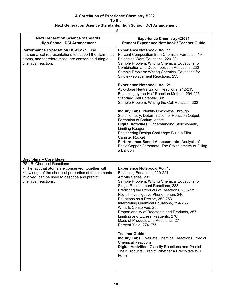|                                                                                                                                                                                    | #                                                                                                                                                                                                                                                                                                                                                                                                                                                                                                                                                                                                                                                                                                                                                                                                                                                                                                                                                     |
|------------------------------------------------------------------------------------------------------------------------------------------------------------------------------------|-------------------------------------------------------------------------------------------------------------------------------------------------------------------------------------------------------------------------------------------------------------------------------------------------------------------------------------------------------------------------------------------------------------------------------------------------------------------------------------------------------------------------------------------------------------------------------------------------------------------------------------------------------------------------------------------------------------------------------------------------------------------------------------------------------------------------------------------------------------------------------------------------------------------------------------------------------|
| <b>Next Generation Science Standards</b><br><b>High School, DCI Arrangement</b>                                                                                                    | <b>Experience Chemistry ©2021</b><br><b>Student Experience Notebook / Teacher Guide</b>                                                                                                                                                                                                                                                                                                                                                                                                                                                                                                                                                                                                                                                                                                                                                                                                                                                               |
| Performance Expectation HS-PS1-7. Use<br>mathematical representations to support the claim that<br>atoms, and therefore mass, are conserved during a<br>chemical reaction.         | <b>Experience Notebook, Vol. 1:</b><br>Percent Composition from Chemical Formulas, 194<br>Balancing Word Equations, 220-221<br>Sample Problem: Writing Chemical Equations for<br>Combination and Decomposition Reactions, 230<br>Sample Problem: Writing Chemical Equations for<br>Single-Replacement Reactions, 233<br><b>Experience Notebook, Vol. 2:</b><br>Acid-Base Neutralization Reactions, 212-213<br>Balancing by the Half-Reaction Method, 294-295<br>Standard Cell Potential, 301<br>Sample Problem: Writing the Cell Reaction, 302<br><b>Inquiry Labs: Identify Unknowns Through</b><br>Stoichiometry, Determination of Reaction Output,<br>Formation of Barium Iodate<br>Digital Activities: Understanding Stoichiometry,<br>Limiting Reagent<br>Engineering Design Challenge: Build a Film<br><b>Canister Rocket</b><br>Performance-Based Assessments: Analysis of<br>Basic Copper Carbonate, The Stoichiometry of Filling<br>a Balloon |
| <b>Disciplinary Core Ideas</b>                                                                                                                                                     |                                                                                                                                                                                                                                                                                                                                                                                                                                                                                                                                                                                                                                                                                                                                                                                                                                                                                                                                                       |
| PS1.B: Chemical Reactions                                                                                                                                                          |                                                                                                                                                                                                                                                                                                                                                                                                                                                                                                                                                                                                                                                                                                                                                                                                                                                                                                                                                       |
| • The fact that atoms are conserved, together with<br>knowledge of the chemical properties of the elements<br>involved, can be used to describe and predict<br>chemical reactions. | <b>Experience Notebook, Vol. 1:</b><br>Balancing Equations, 220-221<br>Activity Series, 232<br>Sample Problem: Writing Chemical Equations for<br>Single-Replacement Reactions, 233<br>Predicting the Products of Reactions, 238-239<br>Revisit Investigative Phenomenon, 240<br>Equations as a Recipe, 252-253<br>Interpreting Chemical Equations, 254-255<br>What Is Conserved, 256<br>Proportionality of Reactants and Products, 257<br>Limiting and Excess Reagents, 270<br>Mass of Products and Reactants, 271<br>Percent Yield, 274-275<br><b>Teacher Guide:</b><br><b>Inquiry Labs: Evaluate Chemical Reactions, Predict</b><br><b>Chemical Reactions</b><br><b>Digital Activities: Classify Reactions and Predict</b><br>Their Products; Predict Whether a Precipitate Will<br>Form                                                                                                                                                            |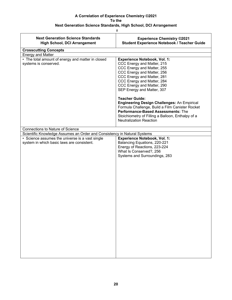| <b>Next Generation Science Standards</b><br><b>High School, DCI Arrangement</b> | <b>Experience Chemistry ©2021</b><br><b>Student Experience Notebook / Teacher Guide</b>                                                                                                                                                                                        |
|---------------------------------------------------------------------------------|--------------------------------------------------------------------------------------------------------------------------------------------------------------------------------------------------------------------------------------------------------------------------------|
| <b>Crosscutting Concepts</b>                                                    |                                                                                                                                                                                                                                                                                |
| <b>Energy and Matter</b>                                                        |                                                                                                                                                                                                                                                                                |
| • The total amount of energy and matter in closed<br>systems is conserved.      | <b>Experience Notebook, Vol. 1:</b><br>CCC Energy and Matter, 215<br>CCC Energy and Matter, 255<br>CCC Energy and Matter, 256<br>CCC Energy and Matter, 281<br>CCC Energy and Matter, 284<br>CCC Energy and Matter, 290<br>SEP Energy and Matter, 307<br><b>Teacher Guide:</b> |
|                                                                                 | <b>Engineering Design Challenges: An Empirical</b><br>Formula Challenge, Build a Film Canister Rocket<br>Performance-Based Assessments: The<br>Stoichiometry of Filling a Balloon, Enthalpy of a<br><b>Neutralization Reaction</b>                                             |
| <b>Connections to Nature of Science</b>                                         |                                                                                                                                                                                                                                                                                |
| Scientific Knowledge Assumes an Order and Consistency in Natural Systems        |                                                                                                                                                                                                                                                                                |
| • Science assumes the universe is a vast single                                 | <b>Experience Notebook, Vol. 1:</b>                                                                                                                                                                                                                                            |
| system in which basic laws are consistent.                                      | Balancing Equations, 220-221<br>Energy of Reactions, 223-224<br>What Is Conserved?, 256<br>Systems and Surroundings, 283                                                                                                                                                       |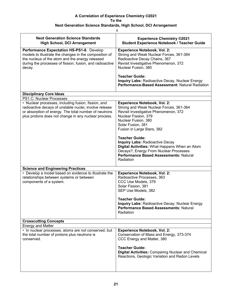| #                                                                                                                                                                                                                              |                                                                                                                                                                                                                                                                                 |  |
|--------------------------------------------------------------------------------------------------------------------------------------------------------------------------------------------------------------------------------|---------------------------------------------------------------------------------------------------------------------------------------------------------------------------------------------------------------------------------------------------------------------------------|--|
| <b>Next Generation Science Standards</b><br><b>High School, DCI Arrangement</b>                                                                                                                                                | <b>Experience Chemistry ©2021</b><br><b>Student Experience Notebook / Teacher Guide</b>                                                                                                                                                                                         |  |
| Performance Expectation HS-PS1-8. Develop<br>models to illustrate the changes in the composition of<br>the nucleus of the atom and the energy released<br>during the processes of fission, fusion, and radioactive<br>decay.   | <b>Experience Notebook, Vol. 2:</b><br>Strong and Weak Nuclear Forces, 361-364<br>Radioactive Decay Chains, 367<br>Revisit Investigative Phenomenon, 372<br>Nuclear Fusion, 380                                                                                                 |  |
|                                                                                                                                                                                                                                | <b>Teacher Guide:</b><br>Inquiry Labs: Radioactive Decay, Nuclear Energy<br>Performance-Based Assessment: Natural Radiation                                                                                                                                                     |  |
| <b>Disciplinary Core Ideas</b>                                                                                                                                                                                                 |                                                                                                                                                                                                                                                                                 |  |
| PS1.C: Nuclear Processes                                                                                                                                                                                                       |                                                                                                                                                                                                                                                                                 |  |
| • Nuclear processes, including fusion, fission, and<br>radioactive decays of unstable nuclei, involve release<br>or absorption of energy. The total number of neutrons<br>plus protons does not change in any nuclear process. | <b>Experience Notebook, Vol. 2:</b><br>Strong and Weak Nuclear Forces, 361-364<br>Revisit Investigative Phenomenon, 372<br>Nuclear Fission, 379<br>Nuclear Fusion, 380<br>Solar Fusion, 381<br>Fusion in Large Stars, 382                                                       |  |
|                                                                                                                                                                                                                                | <b>Teacher Guide:</b><br><b>Inquiry Labs: Radioactive Decay</b><br>Digital Activities: What Happens When an Atom<br>Decays?; Energy From Nuclear Processes<br>Performance Based Assessments: Natural<br>Radiation                                                               |  |
| <b>Science and Engineering Practices</b>                                                                                                                                                                                       |                                                                                                                                                                                                                                                                                 |  |
| • Develop a model based on evidence to illustrate the<br>relationships between systems or between<br>components of a system.                                                                                                   | <b>Experience Notebook, Vol. 2:</b><br>Radioactive Processes, 363<br>CCC Use Models, 379<br>Solar Fission, 381<br>SEP Use Models, 382<br><b>Teacher Guide:</b><br><b>Inquiry Labs: Radioactive Decay; Nuclear Energy</b><br>Performance Based Assessments: Natural<br>Radiation |  |
| <b>Crosscutting Concepts</b>                                                                                                                                                                                                   |                                                                                                                                                                                                                                                                                 |  |
| <b>Energy and Matter</b>                                                                                                                                                                                                       |                                                                                                                                                                                                                                                                                 |  |
| • In nuclear processes, atoms are not conserved, but<br>the total number of protons plus neutrons is<br>conserved.                                                                                                             | <b>Experience Notebook, Vol. 2:</b><br>Conservation of Mass and Energy, 373-374<br>CCC Energy and Matter, 380                                                                                                                                                                   |  |
|                                                                                                                                                                                                                                | <b>Teacher Guide:</b><br><b>Digital Activities: Comparing Nuclear and Chemical</b><br>Reactions, Geologic Variation and Radon Levels                                                                                                                                            |  |
|                                                                                                                                                                                                                                |                                                                                                                                                                                                                                                                                 |  |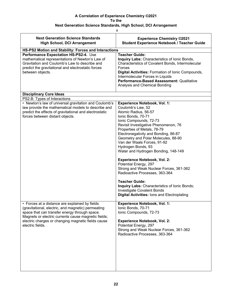| $\#$                                                                                                                                                                                                                                                                                   |                                                                                                                                                                                                                                                                                                                                                                                                                                                                                                                                                                                                                                                                                               |  |
|----------------------------------------------------------------------------------------------------------------------------------------------------------------------------------------------------------------------------------------------------------------------------------------|-----------------------------------------------------------------------------------------------------------------------------------------------------------------------------------------------------------------------------------------------------------------------------------------------------------------------------------------------------------------------------------------------------------------------------------------------------------------------------------------------------------------------------------------------------------------------------------------------------------------------------------------------------------------------------------------------|--|
| <b>Next Generation Science Standards</b><br><b>High School, DCI Arrangement</b>                                                                                                                                                                                                        | <b>Experience Chemistry ©2021</b><br><b>Student Experience Notebook / Teacher Guide</b>                                                                                                                                                                                                                                                                                                                                                                                                                                                                                                                                                                                                       |  |
| HS-PS2 Motion and Stability: Forces and Interactions                                                                                                                                                                                                                                   |                                                                                                                                                                                                                                                                                                                                                                                                                                                                                                                                                                                                                                                                                               |  |
| Performance Expectation HS-PS2-4. Use<br>mathematical representations of Newton's Law of<br>Gravitation and Coulomb's Law to describe and<br>predict the gravitational and electrostatic forces<br>between objects.                                                                    | <b>Teacher Guide:</b><br>Inquiry Labs: Characteristics of Ionic Bonds,<br>Characteristics of Covalent Bonds, Intermolecular<br>Forces<br>Digital Activities: Formation of Ionic Compounds,<br>Intermolecular Forces in Liquids<br>Performance-Based Assessment: Qualitative<br>Analysis and Chemical Bonding                                                                                                                                                                                                                                                                                                                                                                                  |  |
| <b>Disciplinary Core Ideas</b>                                                                                                                                                                                                                                                         |                                                                                                                                                                                                                                                                                                                                                                                                                                                                                                                                                                                                                                                                                               |  |
| PS2.B: Types of Interactions                                                                                                                                                                                                                                                           |                                                                                                                                                                                                                                                                                                                                                                                                                                                                                                                                                                                                                                                                                               |  |
| • Newton's law of universal gravitation and Coulomb's<br>law provide the mathematical models to describe and<br>predict the effects of gravitational and electrostatic<br>forces between distant objects.                                                                              | <b>Experience Notebook, Vol. 1:</b><br>Coulomb's Law, 52<br>Atomic Radius, 56-57<br>Ionic Bonds, 70-71<br>Ionic Compounds, 72-73<br>Revisit Investigative Phenomenon, 76<br>Properties of Metals, 78-79<br>Electronegativity and Bonding, 86-87<br>Geometry and Polar Molecules, 88-90<br>Van der Waals Forces, 91-92<br>Hydrogen Bonds, 93<br>Water and Hydrogen Bonding, 148-149<br><b>Experience Notebook, Vol. 2:</b><br>Potential Energy, 297<br>Strong and Weak Nuclear Forces, 361-362<br>Radioactive Processes, 363-364<br><b>Teacher Guide:</b><br>Inquiry Labs: Characteristics of Ionic Bonds;<br>Investigate Covalent Bonds<br><b>Digital Activities: lons and Electroplating</b> |  |
| • Forces at a distance are explained by fields<br>(gravitational, electric, and magnetic) permeating<br>space that can transfer energy through space.<br>Magnets or electric currents cause magnetic fields;<br>electric charges or changing magnetic fields cause<br>electric fields. | <b>Experience Notebook, Vol. 1:</b><br>Ionic Bonds, 70-71<br>Ionic Compounds, 72-73<br><b>Experience Notebook, Vol. 2:</b><br>Potential Energy, 297<br>Strong and Weak Nuclear Forces, 361-362<br>Radioactive Processes, 363-364                                                                                                                                                                                                                                                                                                                                                                                                                                                              |  |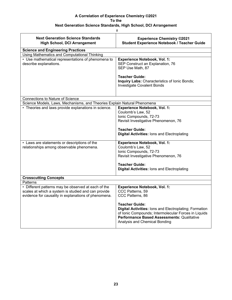## **Next Generation Science Standards, High School, DCI Arrangement**

 $#$ 

| <b>Next Generation Science Standards</b><br><b>High School, DCI Arrangement</b>                                                                                    | <b>Experience Chemistry ©2021</b><br><b>Student Experience Notebook / Teacher Guide</b>                                                                                                                                                          |
|--------------------------------------------------------------------------------------------------------------------------------------------------------------------|--------------------------------------------------------------------------------------------------------------------------------------------------------------------------------------------------------------------------------------------------|
| <b>Science and Engineering Practices</b>                                                                                                                           |                                                                                                                                                                                                                                                  |
| Using Mathematics and Computational Thinking                                                                                                                       |                                                                                                                                                                                                                                                  |
| • Use mathematical representations of phenomena to<br>describe explanations.                                                                                       | <b>Experience Notebook, Vol. 1:</b><br>SEP Construct an Explanation, 76<br>SEP Use Math, 87<br><b>Teacher Guide:</b>                                                                                                                             |
|                                                                                                                                                                    | Inquiry Labs: Characteristics of Ionic Bonds;<br>Investigate Covalent Bonds                                                                                                                                                                      |
| <b>Connections to Nature of Science</b>                                                                                                                            |                                                                                                                                                                                                                                                  |
| Science Models, Laws, Mechanisms, and Theories Explain Natural Phenomena                                                                                           |                                                                                                                                                                                                                                                  |
| • Theories and laws provide explanations in science.<br>• Laws are statements or descriptions of the                                                               | <b>Experience Notebook, Vol. 1:</b><br>Coulomb's Law, 52<br>Ionic Compounds, 72-73<br>Revisit Investigative Phenomenon, 76<br><b>Teacher Guide:</b><br><b>Digital Activities: lons and Electroplating</b><br><b>Experience Notebook, Vol. 1:</b> |
| relationships among observable phenomena.                                                                                                                          | Coulomb's Law, 52                                                                                                                                                                                                                                |
|                                                                                                                                                                    | Ionic Compounds, 72-73                                                                                                                                                                                                                           |
|                                                                                                                                                                    | Revisit Investigative Phenomenon, 76                                                                                                                                                                                                             |
|                                                                                                                                                                    | <b>Teacher Guide:</b><br><b>Digital Activities: lons and Electroplating</b>                                                                                                                                                                      |
| <b>Crosscutting Concepts</b>                                                                                                                                       |                                                                                                                                                                                                                                                  |
| Patterns                                                                                                                                                           |                                                                                                                                                                                                                                                  |
| • Different patterns may be observed at each of the<br>scales at which a system is studied and can provide<br>evidence for causality in explanations of phenomena. | <b>Experience Notebook, Vol. 1:</b><br>CCC Patterns, 59<br>CCC Patterns, 86                                                                                                                                                                      |
|                                                                                                                                                                    | <b>Teacher Guide:</b><br><b>Digital Activities: lons and Electroplating; Formation</b><br>of Ionic Compounds; Intermolecular Forces in Liquids<br><b>Performance Based Assessments: Qualitative</b><br>Analysis and Chemical Bonding             |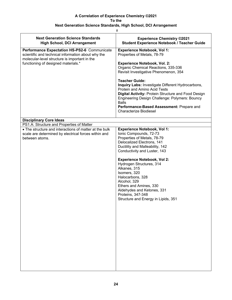| Ħ                                                                                                                                                                                          |                                                                                                                                                                                                                                                                                                                                                                                                                                                                                                               |  |  |
|--------------------------------------------------------------------------------------------------------------------------------------------------------------------------------------------|---------------------------------------------------------------------------------------------------------------------------------------------------------------------------------------------------------------------------------------------------------------------------------------------------------------------------------------------------------------------------------------------------------------------------------------------------------------------------------------------------------------|--|--|
| <b>Next Generation Science Standards</b><br><b>High School, DCI Arrangement</b>                                                                                                            | <b>Experience Chemistry ©2021</b><br><b>Student Experience Notebook / Teacher Guide</b>                                                                                                                                                                                                                                                                                                                                                                                                                       |  |  |
| Performance Expectation HS-PS2-6 Communicate<br>scientific and technical information about why the<br>molecular-level structure is important in the<br>functioning of designed materials.* | <b>Experience Notebook, Vol 1:</b><br>Properties of Metals, 78-79<br><b>Experience Notebook, Vol. 2:</b><br>Organic Chemical Reactions, 335-336<br>Revisit Investigative Phenomenon, 354<br><b>Teacher Guide:</b><br>Inquiry Labs: Investigate Different Hydrocarbons,<br>Protein and Amino Acid Tests<br>Digital Activity: Protein Structure and Food Design<br>Engineering Design Challenge: Polymers: Bouncy<br><b>Balls</b><br>Performance-Based Assessment: Prepare and<br><b>Characterize Biodiesel</b> |  |  |
| <b>Disciplinary Core Ideas</b>                                                                                                                                                             |                                                                                                                                                                                                                                                                                                                                                                                                                                                                                                               |  |  |
| PS1.A: Structure and Properties of Matter                                                                                                                                                  |                                                                                                                                                                                                                                                                                                                                                                                                                                                                                                               |  |  |
| • The structure and interactions of matter at the bulk<br>scale are determined by electrical forces within and<br>between atoms.                                                           | <b>Experience Notebook, Vol 1:</b><br>Ionic Compounds, 72-73<br>Properties of Metals, 78-79<br>Delocalized Electrons, 141<br>Ductility and Malleability, 142<br>Conductivity and Luster, 143<br><b>Experience Notebook, Vol 2:</b><br>Hydrogen Structures, 314<br>Alkanes, 315<br>Isomers, 320<br>Halocarbons, 328<br>Alcohol, 329<br>Ethers and Amines, 330<br>Aldehydes and Ketones, 331<br>Proteins, 347-348<br>Structure and Energy in Lipids, 351                                                        |  |  |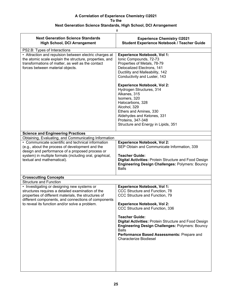| <b>Experience Chemistry ©2021</b><br><b>Student Experience Notebook / Teacher Guide</b>                                                                                                                                                                                                                                                                                                                                                                |
|--------------------------------------------------------------------------------------------------------------------------------------------------------------------------------------------------------------------------------------------------------------------------------------------------------------------------------------------------------------------------------------------------------------------------------------------------------|
|                                                                                                                                                                                                                                                                                                                                                                                                                                                        |
| <b>Experience Notebook, Vol 1:</b><br>Ionic Compounds, 72-73<br>Properties of Metals, 78-79<br>Delocalized Electrons, 141<br>Ductility and Malleability, 142<br>Conductivity and Luster, 143<br><b>Experience Notebook, Vol 2:</b><br>Hydrogen Structures, 314<br>Alkanes, 315<br>Isomers, 320<br>Halocarbons, 328<br>Alcohol, 329<br>Ethers and Amines, 330<br>Aldehydes and Ketones, 331<br>Proteins, 347-348<br>Structure and Energy in Lipids, 351 |
|                                                                                                                                                                                                                                                                                                                                                                                                                                                        |
|                                                                                                                                                                                                                                                                                                                                                                                                                                                        |
| <b>Experience Notebook, Vol 2:</b><br>SEP Obtain and Communicate Information, 339<br><b>Teacher Guide:</b><br><b>Digital Activities: Protein Structure and Food Design</b><br><b>Engineering Design Challenges: Polymers: Bouncy</b><br><b>Balls</b>                                                                                                                                                                                                   |
|                                                                                                                                                                                                                                                                                                                                                                                                                                                        |
|                                                                                                                                                                                                                                                                                                                                                                                                                                                        |
| <b>Experience Notebook, Vol 1:</b><br>CCC Structure and Function, 78<br>CCC Structure and Function, 79<br><b>Experience Notebook, Vol 2:</b><br>CCC Structure and Function, 336<br><b>Teacher Guide:</b><br><b>Digital Activities: Protein Structure and Food Design</b><br><b>Engineering Design Challenges: Polymers: Bouncy</b><br><b>Balls</b><br>Performance Based Assessments: Prepare and<br>Characterize Biodiesel                             |
| Obtaining, Evaluating, and Communicating Information                                                                                                                                                                                                                                                                                                                                                                                                   |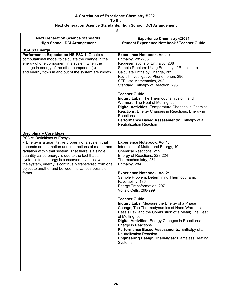| #                                                                                                                                                                                                                                                                                                                                                                                                         |                                                                                                                                                                                                                                                                                                                                                                                                                                                                                                                                                                                                                                                                                                                                                                                         |  |
|-----------------------------------------------------------------------------------------------------------------------------------------------------------------------------------------------------------------------------------------------------------------------------------------------------------------------------------------------------------------------------------------------------------|-----------------------------------------------------------------------------------------------------------------------------------------------------------------------------------------------------------------------------------------------------------------------------------------------------------------------------------------------------------------------------------------------------------------------------------------------------------------------------------------------------------------------------------------------------------------------------------------------------------------------------------------------------------------------------------------------------------------------------------------------------------------------------------------|--|
| <b>Next Generation Science Standards</b><br><b>High School, DCI Arrangement</b>                                                                                                                                                                                                                                                                                                                           | <b>Experience Chemistry ©2021</b><br><b>Student Experience Notebook / Teacher Guide</b>                                                                                                                                                                                                                                                                                                                                                                                                                                                                                                                                                                                                                                                                                                 |  |
| <b>HS-PS3 Energy</b>                                                                                                                                                                                                                                                                                                                                                                                      |                                                                                                                                                                                                                                                                                                                                                                                                                                                                                                                                                                                                                                                                                                                                                                                         |  |
| Performance Expectation HS-PS3-1: Create a<br>computational model to calculate the change in the<br>energy of one component in a system when the<br>change in energy of the other component(s)<br>and energy flows in and out of the system are known.                                                                                                                                                    | <b>Experience Notebook, Vol. 1:</b><br>Enthalpy, 285-286<br>Representations of Enthalpy, 288<br>Sample Problem: Using Enthalpy of Reaction to<br>Calculate Enthalpy Change, 289<br>Revisit Investigative Phenomenon, 290<br>SEP Use Mathematics, 292<br>Standard Enthalpy of Reaction, 293<br><b>Teacher Guide:</b><br>Inquiry Labs: The Thermodynamics of Hand<br>Warmers; The Heat of Melting Ice<br>Digital Activities: Temperature Changes in Chemical<br>Reactions; Energy Changes in Reactions; Energy in<br>Reactions<br>Performance Based Assessments: Enthalpy of a<br><b>Neutralization Reaction</b>                                                                                                                                                                          |  |
|                                                                                                                                                                                                                                                                                                                                                                                                           |                                                                                                                                                                                                                                                                                                                                                                                                                                                                                                                                                                                                                                                                                                                                                                                         |  |
| <b>Disciplinary Core Ideas</b><br>PS3.A: Definitions of Energy                                                                                                                                                                                                                                                                                                                                            |                                                                                                                                                                                                                                                                                                                                                                                                                                                                                                                                                                                                                                                                                                                                                                                         |  |
|                                                                                                                                                                                                                                                                                                                                                                                                           |                                                                                                                                                                                                                                                                                                                                                                                                                                                                                                                                                                                                                                                                                                                                                                                         |  |
| • Energy is a quantitative property of a system that<br>depends on the motion and interactions of matter and<br>radiation within that system. That there is a single<br>quantity called energy is due to the fact that a<br>system's total energy is conserved, even as, within<br>the system, energy is continually transferred from one<br>object to another and between its various possible<br>forms. | <b>Experience Notebook, Vol 1:</b><br>Interaction of Matter and Energy, 10<br>Chemical Reactions, 215<br>Energy of Reactions, 223-224<br>Thermochemistry, 281<br>Enthalpy, 284<br><b>Experience Notebook, Vol 2:</b><br>Sample Problem: Determining Thermodynamic<br>Favorability, 186<br>Energy Transformation, 297<br>Voltaic Cells, 298-299<br><b>Teacher Guide:</b><br>Inquiry Labs: Measure the Energy of a Phase<br>Change; The Thermodynamics of Hand Warmers;<br>Hess's Law and the Combustion of a Metal; The Heat<br>of Melting Ice<br>Digital Activities: Energy Changes in Reactions;<br><b>Energy in Reactions</b><br>Performance Based Assessments: Enthalpy of a<br><b>Neutralization Reaction</b><br><b>Engineering Design Challenges: Flameless Heating</b><br>Systems |  |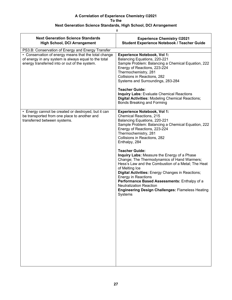## **Next Generation Science Standards, High School, DCI Arrangement**

| <b>Next Generation Science Standards</b><br><b>High School, DCI Arrangement</b>                                                                                                                                    | <b>Experience Chemistry ©2021</b><br><b>Student Experience Notebook / Teacher Guide</b>                                                                                                                                                                                                                                                                                                                                                                                                                                                                                                                                                                                                                      |
|--------------------------------------------------------------------------------------------------------------------------------------------------------------------------------------------------------------------|--------------------------------------------------------------------------------------------------------------------------------------------------------------------------------------------------------------------------------------------------------------------------------------------------------------------------------------------------------------------------------------------------------------------------------------------------------------------------------------------------------------------------------------------------------------------------------------------------------------------------------------------------------------------------------------------------------------|
| PS3.B: Conservation of Energy and Energy Transfer<br>• Conservation of energy means that the total change<br>of energy in any system is always equal to the total<br>energy transferred into or out of the system. | <b>Experience Notebook, Vol 1:</b><br>Balancing Equations, 220-221<br>Sample Problem: Balancing a Chemical Equation, 222<br>Energy of Reactions, 223-224<br>Thermochemistry, 281<br>Collisions in Reactions, 282<br>Systems and Surroundings, 283-284<br><b>Teacher Guide:</b><br><b>Inquiry Labs: Evaluate Chemical Reactions</b><br><b>Digital Activities: Modeling Chemical Reactions;</b><br><b>Bonds Breaking and Forming</b>                                                                                                                                                                                                                                                                           |
| • Energy cannot be created or destroyed, but it can<br>be transported from one place to another and<br>transferred between systems.                                                                                | <b>Experience Notebook, Vol 1:</b><br><b>Chemical Reactions, 215</b><br>Balancing Equations, 220-221<br>Sample Problem: Balancing a Chemical Equation, 222<br>Energy of Reactions, 223-224<br>Thermochemistry, 281<br>Collisions in Reactions, 282<br>Enthalpy, 284<br><b>Teacher Guide:</b><br>Inquiry Labs: Measure the Energy of a Phase<br>Change; The Thermodynamics of Hand Warmers;<br>Hess's Law and the Combustion of a Metal; The Heat<br>of Melting Ice<br>Digital Activities: Energy Changes in Reactions;<br><b>Energy in Reactions</b><br>Performance Based Assessments: Enthalpy of a<br><b>Neutralization Reaction</b><br><b>Engineering Design Challenges: Flameless Heating</b><br>Systems |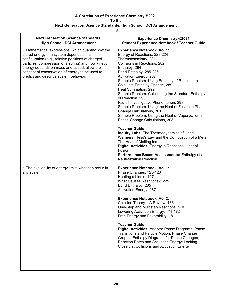| W | ٠ |  |
|---|---|--|

| <b>Next Generation Science Standards</b><br><b>High School, DCI Arrangement</b>                                                                                                                                                                                                                                                                        | <b>Experience Chemistry ©2021</b><br><b>Student Experience Notebook / Teacher Guide</b>                                                                                                                                                                                                                                                                                                                                                                                                                                                                                                                                                                                                                                                                                                                                                                                                                    |
|--------------------------------------------------------------------------------------------------------------------------------------------------------------------------------------------------------------------------------------------------------------------------------------------------------------------------------------------------------|------------------------------------------------------------------------------------------------------------------------------------------------------------------------------------------------------------------------------------------------------------------------------------------------------------------------------------------------------------------------------------------------------------------------------------------------------------------------------------------------------------------------------------------------------------------------------------------------------------------------------------------------------------------------------------------------------------------------------------------------------------------------------------------------------------------------------------------------------------------------------------------------------------|
| • Mathematical expressions, which quantify how the<br>stored energy in a system depends on its<br>configuration (e.g., relative positions of charged<br>particles, compression of a spring) and how kinetic<br>energy depends on mass and speed, allow the<br>concept of conservation of energy to be used to<br>predict and describe system behavior. | <b>Experience Notebook, Vol 1:</b><br>Energy of Reactions, 223-224<br>Thermochemistry, 281<br>Collisions in Reactions, 282<br>Enthalpy, 284<br>Bond Enthalpy, 285-286<br>Activation Energy, 287<br>Sample Problem: Using Enthalpy of Reaction to<br>Calculate Enthalpy Change, 289<br>Heat Summation, 292<br>Sample Problem: Calculating the Standard Enthalpy<br>of Reaction, 295<br>Revisit Investigative Phenomenon, 298<br>Sample Problem: Using the Heat of Fusion in Phase-<br>Change Calculations, 301<br>Sample Problem: Using the Heat of Vaporization in<br>Phase-Change Calculations, 303<br><b>Teacher Guide:</b><br>Inquiry Labs: The Thermodynamics of Hand<br>Warmers; Hess's Law and the Combustion of a Metal;<br>The Heat of Melting Ice<br>Digital Activities: Energy in Reactions; Heat of<br>Fusion<br>Performance Based Assessments: Enthalpy of a<br><b>Neutralization Reaction</b> |
| • The availability of energy limits what can occur in<br>any system.                                                                                                                                                                                                                                                                                   | <b>Experience Notebook, Vol 1:</b><br>Phase Changes, 125-126<br>Heating a Liquid, 127<br>What Causes Reactions?, 225<br>Bond Enthalpy, 285<br>Activation Energy, 287<br><b>Experience Notebook, Vol 2:</b><br>Collision Theory - A Review, 163<br>One-Step and Multistep Reactions, 170<br>Lowering Activation Energy, 171-172<br>Free Energy and Favorability, 181<br><b>Teacher Guide:</b><br>Digital Activities: Analyze Phase Diagrams; Phase<br>Transitions and Particle Motion; Phase Change<br>Graphs; Enthalpy Diagrams for Phase Changes;<br>Reaction Rates and Activation Energy; Looking<br>Closely at Collisions and Activation Energy                                                                                                                                                                                                                                                         |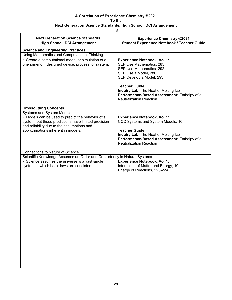$#$ 

| <b>Next Generation Science Standards</b><br><b>High School, DCI Arrangement</b>                                                                                                               | <b>Experience Chemistry ©2021</b><br><b>Student Experience Notebook / Teacher Guide</b>                                                                                                                                                                                                          |
|-----------------------------------------------------------------------------------------------------------------------------------------------------------------------------------------------|--------------------------------------------------------------------------------------------------------------------------------------------------------------------------------------------------------------------------------------------------------------------------------------------------|
| <b>Science and Engineering Practices</b>                                                                                                                                                      |                                                                                                                                                                                                                                                                                                  |
| Using Mathematics and Computational Thinking                                                                                                                                                  |                                                                                                                                                                                                                                                                                                  |
| • Create a computational model or simulation of a<br>phenomenon, designed device, process, or system.                                                                                         | <b>Experience Notebook, Vol 1:</b><br>SEP Use Mathematics, 285<br>SEP Use Mathematics, 292<br>SEP Use a Model, 286<br>SEP Develop a Model, 293<br><b>Teacher Guide:</b><br>Inquiry Lab: The Heat of Melting Ice<br>Performance-Based Assessment: Enthalpy of a<br><b>Neutralization Reaction</b> |
| <b>Crosscutting Concepts</b>                                                                                                                                                                  |                                                                                                                                                                                                                                                                                                  |
| Systems and System Models                                                                                                                                                                     |                                                                                                                                                                                                                                                                                                  |
| • Models can be used to predict the behavior of a<br>system, but these predictions have limited precision<br>and reliability due to the assumptions and<br>approximations inherent in models. | <b>Experience Notebook, Vol 1:</b><br>CCC Systems and System Models, 10<br><b>Teacher Guide:</b><br>Inquiry Lab: The Heat of Melting Ice<br>Performance-Based Assessment: Enthalpy of a<br><b>Neutralization Reaction</b>                                                                        |
| <b>Connections to Nature of Science</b>                                                                                                                                                       |                                                                                                                                                                                                                                                                                                  |
| Scientific Knowledge Assumes an Order and Consistency in Natural Systems                                                                                                                      |                                                                                                                                                                                                                                                                                                  |
| • Science assumes the universe is a vast single<br>system in which basic laws are consistent.                                                                                                 | <b>Experience Notebook, Vol 1:</b><br>Interaction of Matter and Energy, 10<br>Energy of Reactions, 223-224                                                                                                                                                                                       |

I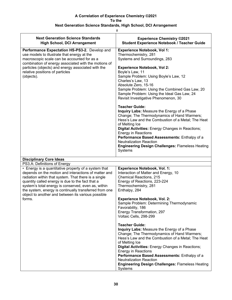| ₩                                                                                                                                                                                                                                                                                                                                                                                                         |                                                                                                                                                                                                                                                                                                                                                                                                                            |  |  |
|-----------------------------------------------------------------------------------------------------------------------------------------------------------------------------------------------------------------------------------------------------------------------------------------------------------------------------------------------------------------------------------------------------------|----------------------------------------------------------------------------------------------------------------------------------------------------------------------------------------------------------------------------------------------------------------------------------------------------------------------------------------------------------------------------------------------------------------------------|--|--|
| <b>Next Generation Science Standards</b><br><b>High School, DCI Arrangement</b>                                                                                                                                                                                                                                                                                                                           | <b>Experience Chemistry ©2021</b><br><b>Student Experience Notebook / Teacher Guide</b>                                                                                                                                                                                                                                                                                                                                    |  |  |
| Performance Expectation HS-PS3-2. Develop and<br>use models to illustrate that energy at the<br>macroscopic scale can be accounted for as a                                                                                                                                                                                                                                                               | <b>Experience Notebook, Vol 1:</b><br>Thermochemistry, 281<br>Systems and Surroundings, 283                                                                                                                                                                                                                                                                                                                                |  |  |
| combination of energy associated with the motions of<br>particles (objects) and energy associated with the<br>relative positions of particles                                                                                                                                                                                                                                                             | <b>Experience Notebook, Vol 2:</b><br>Boyle's Law, 11                                                                                                                                                                                                                                                                                                                                                                      |  |  |
| (objects).                                                                                                                                                                                                                                                                                                                                                                                                | Sample Problem: Using Boyle's Law, 12<br>Charles's Law, 13<br>Absolute Zero, 15-16                                                                                                                                                                                                                                                                                                                                         |  |  |
|                                                                                                                                                                                                                                                                                                                                                                                                           | Sample Problem: Using the Combined Gas Law, 20<br>Sample Problem: Using the Ideal Gas Law, 24<br>Revisit Investigative Phenomenon, 30                                                                                                                                                                                                                                                                                      |  |  |
|                                                                                                                                                                                                                                                                                                                                                                                                           | <b>Teacher Guide:</b><br>Inquiry Labs: Measure the Energy of a Phase<br>Change; The Thermodynamics of Hand Warmers;<br>Hess's Law and the Combustion of a Metal; The Heat                                                                                                                                                                                                                                                  |  |  |
|                                                                                                                                                                                                                                                                                                                                                                                                           | of Melting Ice<br>Digital Activities: Energy Changes in Reactions;<br><b>Energy in Reactions</b>                                                                                                                                                                                                                                                                                                                           |  |  |
|                                                                                                                                                                                                                                                                                                                                                                                                           | Performance Based Assessments: Enthalpy of a<br><b>Neutralization Reaction</b><br><b>Engineering Design Challenges: Flameless Heating</b><br>Systems                                                                                                                                                                                                                                                                       |  |  |
| <b>Disciplinary Core Ideas</b>                                                                                                                                                                                                                                                                                                                                                                            |                                                                                                                                                                                                                                                                                                                                                                                                                            |  |  |
| PS3.A: Definitions of Energy                                                                                                                                                                                                                                                                                                                                                                              |                                                                                                                                                                                                                                                                                                                                                                                                                            |  |  |
| • Energy is a quantitative property of a system that<br>depends on the motion and interactions of matter and<br>radiation within that system. That there is a single<br>quantity called energy is due to the fact that a<br>system's total energy is conserved, even as, within<br>the system, energy is continually transferred from one<br>object to another and between its various possible<br>forms. | <b>Experience Notebook, Vol. 1:</b><br>Interaction of Matter and Energy, 10<br>Chemical Reactions, 215<br>Energy of Reactions, 223-224<br>Thermochemistry, 281<br>Enthalpy, 284<br><b>Experience Notebook, Vol. 2:</b>                                                                                                                                                                                                     |  |  |
|                                                                                                                                                                                                                                                                                                                                                                                                           | Sample Problem: Determining Thermodynamic<br>Favorability, 186<br>Energy Transformation, 297<br>Voltaic Cells, 298-299                                                                                                                                                                                                                                                                                                     |  |  |
|                                                                                                                                                                                                                                                                                                                                                                                                           | <b>Teacher Guide:</b><br>Inquiry Labs: Measure the Energy of a Phase<br>Change; The Thermodynamics of Hand Warmers;<br>Hess's Law and the Combustion of a Metal; The Heat<br>of Melting Ice<br>Digital Activities: Energy Changes in Reactions;<br><b>Energy in Reactions</b><br>Performance Based Assessments: Enthalpy of a<br><b>Neutralization Reaction</b><br><b>Engineering Design Challenges: Flameless Heating</b> |  |  |
|                                                                                                                                                                                                                                                                                                                                                                                                           | Systems                                                                                                                                                                                                                                                                                                                                                                                                                    |  |  |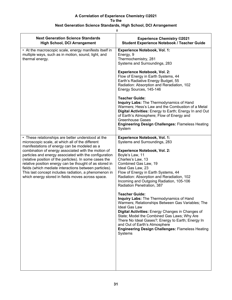## **Next Generation Science Standards, High School, DCI Arrangement**

| <b>Next Generation Science Standards</b><br><b>High School, DCI Arrangement</b>                                                                                                                                                                                                                                                                                                                                                                                                                                                                                       | <b>Experience Chemistry ©2021</b><br><b>Student Experience Notebook / Teacher Guide</b>                                                                                                                                                                                                                                                                                                                                                                                                                                                                                                                                                                                                                                                                                   |
|-----------------------------------------------------------------------------------------------------------------------------------------------------------------------------------------------------------------------------------------------------------------------------------------------------------------------------------------------------------------------------------------------------------------------------------------------------------------------------------------------------------------------------------------------------------------------|---------------------------------------------------------------------------------------------------------------------------------------------------------------------------------------------------------------------------------------------------------------------------------------------------------------------------------------------------------------------------------------------------------------------------------------------------------------------------------------------------------------------------------------------------------------------------------------------------------------------------------------------------------------------------------------------------------------------------------------------------------------------------|
| • At the macroscopic scale, energy manifests itself in<br>multiple ways, such as in motion, sound, light, and<br>thermal energy.                                                                                                                                                                                                                                                                                                                                                                                                                                      | <b>Experience Notebook, Vol. 1:</b><br>Energy, 9<br>Thermochemistry, 281<br>Systems and Surroundings, 283                                                                                                                                                                                                                                                                                                                                                                                                                                                                                                                                                                                                                                                                 |
|                                                                                                                                                                                                                                                                                                                                                                                                                                                                                                                                                                       | <b>Experience Notebook, Vol. 2:</b><br>Flow of Energy in Earth Systems, 44<br>Earth's Radiative Energy Budget, 55<br>Radiation: Absorption and Reradiation, 102<br>Energy Sources, 145-146                                                                                                                                                                                                                                                                                                                                                                                                                                                                                                                                                                                |
|                                                                                                                                                                                                                                                                                                                                                                                                                                                                                                                                                                       | <b>Teacher Guide:</b><br>Inquiry Labs: The Thermodynamics of Hand<br>Warmers; Hess's Law and the Combustion of a Metal<br>Digital Activities: Energy to Earth; Energy In and Out<br>of Earth's Atmosphere; Flow of Energy and<br><b>Greenhouse Gases</b><br><b>Engineering Design Challenges: Flameless Heating</b><br>System                                                                                                                                                                                                                                                                                                                                                                                                                                             |
| • These relationships are better understood at the<br>microscopic scale, at which all of the different<br>manifestations of energy can be modeled as a<br>combination of energy associated with the motion of<br>particles and energy associated with the configuration<br>(relative position of the particles). In some cases the<br>relative position energy can be thought of as stored in<br>fields (which mediate interactions between particles).<br>This last concept includes radiation, a phenomenon in<br>which energy stored in fields moves across space. | <b>Experience Notebook, Vol. 1:</b><br>Systems and Surroundings, 283<br><b>Experience Notebook, Vol. 2:</b><br>Boyle's Law, 11<br>Charles's Law, 13<br>Combined Gas Law, 19<br>Ideal Gas Law, 23<br>Flow of Energy in Earth Systems, 44<br>Radiation: Absorption and Reradiation, 102<br>Incoming and Outgoing Radiation, 105-106<br>Radiation Penetration, 387<br><b>Teacher Guide:</b><br>Inquiry Labs: The Thermodynamics of Hand<br>Warmers; Relationships Between Gas Variables; The<br>Ideal Gas Law<br>Digital Activities: Energy Changes in Changes of<br>State; Model the Combined Gas Laws; Why Are<br>There No Ideal Gases?; Energy to Earth; Energy In<br>and Out of Earth's Atmosphere<br><b>Engineering Design Challenges: Flameless Heating</b><br>Systems |
|                                                                                                                                                                                                                                                                                                                                                                                                                                                                                                                                                                       |                                                                                                                                                                                                                                                                                                                                                                                                                                                                                                                                                                                                                                                                                                                                                                           |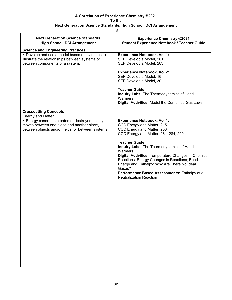| <b>Next Generation Science Standards</b><br><b>High School, DCI Arrangement</b>                                                                                                  | <b>Experience Chemistry ©2021</b><br><b>Student Experience Notebook / Teacher Guide</b>                                                                                                                                                                                                                                                                                                                                                                                  |  |
|----------------------------------------------------------------------------------------------------------------------------------------------------------------------------------|--------------------------------------------------------------------------------------------------------------------------------------------------------------------------------------------------------------------------------------------------------------------------------------------------------------------------------------------------------------------------------------------------------------------------------------------------------------------------|--|
| <b>Science and Engineering Practices</b>                                                                                                                                         |                                                                                                                                                                                                                                                                                                                                                                                                                                                                          |  |
| • Develop and use a model based on evidence to<br>illustrate the relationships between systems or<br>between components of a system.                                             | <b>Experience Notebook, Vol 1:</b><br>SEP Develop a Model, 281<br>SEP Develop a Model, 283<br><b>Experience Notebook, Vol 2:</b><br>SEP Develop a Model, 16<br>SEP Develop a Model, 30<br><b>Teacher Guide:</b><br>Inquiry Labs: The Thermodynamics of Hand<br>Warmers<br>Digital Activities: Model the Combined Gas Laws                                                                                                                                                |  |
|                                                                                                                                                                                  |                                                                                                                                                                                                                                                                                                                                                                                                                                                                          |  |
| <b>Crosscutting Concepts</b>                                                                                                                                                     |                                                                                                                                                                                                                                                                                                                                                                                                                                                                          |  |
| <b>Energy and Matter</b><br>• Energy cannot be created or destroyed; it only<br>moves between one place and another place,<br>between objects and/or fields, or between systems. | <b>Experience Notebook, Vol 1:</b><br>CCC Energy and Matter, 215<br>CCC Energy and Matter, 256<br>CCC Energy and Matter, 281, 284, 290<br><b>Teacher Guide:</b><br>Inquiry Labs: The Thermodynamics of Hand<br>Warmers<br>Digital Activities: Temperature Changes in Chemical<br>Reactions; Energy Changes in Reactions; Bond<br>Energy and Enthalpy; Why Are There No Ideal<br>Gases?<br>Performance Based Assessments: Enthalpy of a<br><b>Neutralization Reaction</b> |  |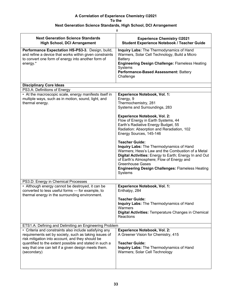|                                                                                                                                                                                                                                                                                                     | #                                                                                                                                                                                                                                                                                                                              |
|-----------------------------------------------------------------------------------------------------------------------------------------------------------------------------------------------------------------------------------------------------------------------------------------------------|--------------------------------------------------------------------------------------------------------------------------------------------------------------------------------------------------------------------------------------------------------------------------------------------------------------------------------|
| <b>Next Generation Science Standards</b><br><b>High School, DCI Arrangement</b>                                                                                                                                                                                                                     | <b>Experience Chemistry ©2021</b><br><b>Student Experience Notebook / Teacher Guide</b>                                                                                                                                                                                                                                        |
| Performance Expectation HS-PS3-3. Design, build,<br>and refine a device that works within given constraints<br>to convert one form of energy into another form of<br>energy.*                                                                                                                       | Inquiry Labs: The Thermodynamics of Hand<br>Warmers, Solar Cell Technology, Build a Micro<br>Battery<br>Engineering Design Challenge: Flameless Heating<br>Systems<br>Performance-Based Assessment: Battery<br>Challenge                                                                                                       |
| <b>Disciplinary Core Ideas</b>                                                                                                                                                                                                                                                                      |                                                                                                                                                                                                                                                                                                                                |
| PS3.A: Definitions of Energy                                                                                                                                                                                                                                                                        |                                                                                                                                                                                                                                                                                                                                |
| • At the macroscopic scale, energy manifests itself in<br>multiple ways, such as in motion, sound, light, and<br>thermal energy.                                                                                                                                                                    | Experience Notebook, Vol. 1:<br>Energy, 9<br>Thermochemistry, 281<br>Systems and Surroundings, 283                                                                                                                                                                                                                             |
|                                                                                                                                                                                                                                                                                                     | <b>Experience Notebook, Vol. 2:</b><br>Flow of Energy in Earth Systems, 44<br>Earth's Radiative Energy Budget, 55<br>Radiation: Absorption and Reradiation, 102<br>Energy Sources, 145-146                                                                                                                                     |
|                                                                                                                                                                                                                                                                                                     | <b>Teacher Guide:</b><br>Inquiry Labs: The Thermodynamics of Hand<br>Warmers; Hess's Law and the Combustion of a Metal<br>Digital Activities: Energy to Earth; Energy In and Out<br>of Earth's Atmosphere; Flow of Energy and<br><b>Greenhouse Gases</b><br><b>Engineering Design Challenges: Flameless Heating</b><br>Systems |
| PS3.D: Energy in Chemical Processes                                                                                                                                                                                                                                                                 |                                                                                                                                                                                                                                                                                                                                |
| • Although energy cannot be destroyed, it can be<br>converted to less useful forms - for example, to<br>thermal energy in the surrounding environment.                                                                                                                                              | <b>Experience Notebook, Vol. 1:</b><br>Enthalpy, 284                                                                                                                                                                                                                                                                           |
|                                                                                                                                                                                                                                                                                                     | <b>Teacher Guide:</b><br>Inquiry Labs: The Thermodynamics of Hand<br>Warmers<br>Digital Activities: Temperature Changes in Chemical<br>Reactions                                                                                                                                                                               |
| ETS1.A: Defining and Delimiting an Engineering Problem                                                                                                                                                                                                                                              |                                                                                                                                                                                                                                                                                                                                |
| • Criteria and constraints also include satisfying any<br>requirements set by society, such as taking issues of<br>risk mitigation into account, and they should be<br>quantified to the extent possible and stated in such a<br>way that one can tell if a given design meets them.<br>(secondary) | <b>Experience Notebook, Vol. 2:</b><br>A Greener Vision for Chemistry, 415<br><b>Teacher Guide:</b><br>Inquiry Labs: The Thermodynamics of Hand<br>Warmers; Solar Cell Technology                                                                                                                                              |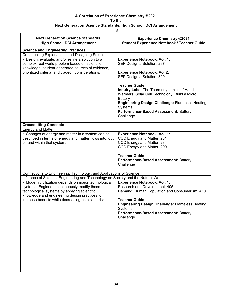| #                                                                                                                                                        |                                                                                                                                                 |  |
|----------------------------------------------------------------------------------------------------------------------------------------------------------|-------------------------------------------------------------------------------------------------------------------------------------------------|--|
| <b>Next Generation Science Standards</b><br><b>High School, DCI Arrangement</b>                                                                          | <b>Experience Chemistry ©2021</b><br><b>Student Experience Notebook / Teacher Guide</b>                                                         |  |
| <b>Science and Engineering Practices</b>                                                                                                                 |                                                                                                                                                 |  |
| <b>Constructing Explanations and Designing Solutions</b>                                                                                                 |                                                                                                                                                 |  |
| • Design, evaluate, and/or refine a solution to a<br>complex real-world problem based on scientific<br>knowledge, student-generated sources of evidence, | <b>Experience Notebook, Vol. 1:</b><br>SEP Design a Solution, 297                                                                               |  |
| prioritized criteria, and tradeoff considerations.                                                                                                       | <b>Experience Notebook, Vol 2:</b><br>SEP Design a Solution, 309                                                                                |  |
|                                                                                                                                                          | <b>Teacher Guide:</b><br>Inquiry Labs: The Thermodynamics of Hand<br>Warmers, Solar Cell Technology, Build a Micro<br>Battery                   |  |
|                                                                                                                                                          | <b>Engineering Design Challenge: Flameless Heating</b><br>Systems                                                                               |  |
|                                                                                                                                                          | Performance-Based Assessment: Battery<br>Challenge                                                                                              |  |
| <b>Crosscutting Concepts</b>                                                                                                                             |                                                                                                                                                 |  |
| <b>Energy and Matter</b>                                                                                                                                 |                                                                                                                                                 |  |
| • Changes of energy and matter in a system can be<br>described in terms of energy and matter flows into, out<br>of, and within that system.              | <b>Experience Notebook, Vol. 1:</b><br>CCC Energy and Matter, 281<br>CCC Energy and Matter, 284<br>CCC Energy and Matter, 290                   |  |
|                                                                                                                                                          | <b>Teacher Guide:</b>                                                                                                                           |  |
|                                                                                                                                                          | Performance-Based Assessment: Battery<br>Challenge                                                                                              |  |
| Connections to Engineering, Technology, and Applications of Science                                                                                      |                                                                                                                                                 |  |
| Influence of Science, Engineering and Technology on Society and the Natural World                                                                        |                                                                                                                                                 |  |
| • Modern civilization depends on major technological                                                                                                     | <b>Experience Notebook, Vol. 1:</b>                                                                                                             |  |
| systems. Engineers continuously modify these                                                                                                             | Research and Development, 405                                                                                                                   |  |
| technological systems by applying scientific<br>knowledge and engineering design practices to                                                            | Demand: Human Population and Consumerism, 410                                                                                                   |  |
| increase benefits while decreasing costs and risks.                                                                                                      | <b>Teacher Guide</b><br><b>Engineering Design Challenge: Flameless Heating</b><br>Systems<br>Performance-Based Assessment: Battery<br>Challenge |  |
|                                                                                                                                                          |                                                                                                                                                 |  |
|                                                                                                                                                          |                                                                                                                                                 |  |
|                                                                                                                                                          |                                                                                                                                                 |  |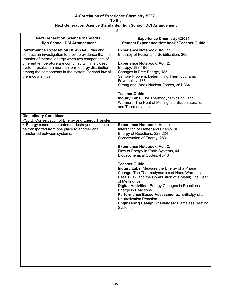| #                                                                                                                                                        |                                                                                                                                                                                                                                                                                                                                                                                                                                       |  |
|----------------------------------------------------------------------------------------------------------------------------------------------------------|---------------------------------------------------------------------------------------------------------------------------------------------------------------------------------------------------------------------------------------------------------------------------------------------------------------------------------------------------------------------------------------------------------------------------------------|--|
| <b>Next Generation Science Standards</b><br><b>High School, DCI Arrangement</b>                                                                          | <b>Experience Chemistry ©2021</b><br><b>Student Experience Notebook / Teacher Guide</b>                                                                                                                                                                                                                                                                                                                                               |  |
| Performance Expectation HS-PS3-4. Plan and<br>conduct an investigation to provide evidence that the<br>transfer of thermal energy when two components of | <b>Experience Notebook, Vol. 1:</b><br>Enthalpy of Fusion and Solidification, 300                                                                                                                                                                                                                                                                                                                                                     |  |
| different temperature are combined within a closed<br>system results in a more uniform energy distribution                                               | <b>Experience Notebook, Vol. 2:</b><br>Entropy, 183-184                                                                                                                                                                                                                                                                                                                                                                               |  |
| among the components in the system (second law of<br>thermodynamics).                                                                                    | Changes in Free Energy, 185<br>Sample Problem: Determining Thermodynamic<br>Favorability, 186<br>Strong and Weak Nuclear Forces, 361-364                                                                                                                                                                                                                                                                                              |  |
|                                                                                                                                                          | <b>Teacher Guide:</b><br>Inquiry Labs: The Thermodynamics of Hand<br>Warmers, The Heat of Melting Ice, Supersaturation<br>and Thermodynamics                                                                                                                                                                                                                                                                                          |  |
| <b>Disciplinary Core Ideas</b>                                                                                                                           |                                                                                                                                                                                                                                                                                                                                                                                                                                       |  |
| PS3.B: Conservation of Energy and Energy Transfer                                                                                                        |                                                                                                                                                                                                                                                                                                                                                                                                                                       |  |
| • Energy cannot be created or destroyed, but it can<br>be transported from one place to another and<br>transferred between systems.                      | <b>Experience Notebook, Vol. 1:</b><br>Interaction of Matter and Energy, 10<br>Energy of Reactions, 223-224<br>Conservation of Energy, 283                                                                                                                                                                                                                                                                                            |  |
|                                                                                                                                                          | <b>Experience Notebook, Vol. 2:</b><br>Flow of Energy in Earth Systems, 44<br>Biogeochemical Cycles, 45-46                                                                                                                                                                                                                                                                                                                            |  |
|                                                                                                                                                          | <b>Teacher Guide:</b><br>Inquiry Labs: Measure the Energy of a Phase<br>Change; The Thermodynamics of Hand Warmers;<br>Hess's Law and the Combustion of a Metal; The Heat<br>of Melting Ice<br>Digital Activities: Energy Changes in Reactions;<br><b>Energy in Reactions</b><br>Performance Based Assessments: Enthalpy of a<br><b>Neutralization Reaction</b><br><b>Engineering Design Challenges: Flameless Heating</b><br>Systems |  |
|                                                                                                                                                          |                                                                                                                                                                                                                                                                                                                                                                                                                                       |  |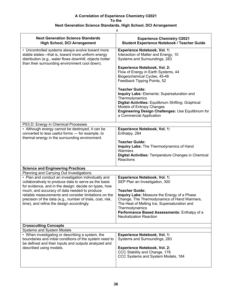## **Next Generation Science Standards, High School, DCI Arrangement**

|                                                                                                                                                                                                                     | #                                                                                                                                                                                                                                                                       |
|---------------------------------------------------------------------------------------------------------------------------------------------------------------------------------------------------------------------|-------------------------------------------------------------------------------------------------------------------------------------------------------------------------------------------------------------------------------------------------------------------------|
| <b>Next Generation Science Standards</b><br><b>High School, DCI Arrangement</b>                                                                                                                                     | <b>Experience Chemistry ©2021</b><br><b>Student Experience Notebook / Teacher Guide</b>                                                                                                                                                                                 |
| • Uncontrolled systems always evolve toward more<br>stable states—that is, toward more uniform energy<br>distribution (e.g., water flows downhill, objects hotter<br>than their surrounding environment cool down). | <b>Experience Notebook, Vol. 1:</b><br>Interaction of Matter and Energy, 10<br>Systems and Surroundings, 283                                                                                                                                                            |
|                                                                                                                                                                                                                     | <b>Experience Notebook, Vol. 2:</b><br>Flow of Energy in Earth Systems, 44<br>Biogeochemical Cycles, 45-46<br>Feedback Tipping Points, 52                                                                                                                               |
|                                                                                                                                                                                                                     | <b>Teacher Guide:</b><br>Inquiry Labs: Elements: Supersaturation and<br>Thermodynamics<br>Digital Activities: Equilibrium Shifting; Graphical<br>Models of Entropy Changes<br>Engineering Design Challenges: Use Equilibrium for<br>a Commercial Application            |
| PS3.D: Energy in Chemical Processes                                                                                                                                                                                 |                                                                                                                                                                                                                                                                         |
| • Although energy cannot be destroyed, it can be<br>converted to less useful forms - for example, to<br>thermal energy in the surrounding environment.                                                              | <b>Experience Notebook, Vol. 1:</b><br>Enthalpy, 284                                                                                                                                                                                                                    |
|                                                                                                                                                                                                                     | <b>Teacher Guide:</b><br>Inquiry Labs: The Thermodynamics of Hand<br>Warmers<br>Digital Activities: Temperature Changes in Chemical<br>Reactions                                                                                                                        |
| <b>Science and Engineering Practices</b>                                                                                                                                                                            |                                                                                                                                                                                                                                                                         |
| Planning and Carrying Out Investigations                                                                                                                                                                            |                                                                                                                                                                                                                                                                         |
| • Plan and conduct an investigation individually and<br>collaboratively to produce data to serve as the basis<br>for evidence, and in the design: decide on types, how                                              | <b>Experience Notebook, Vol. 1:</b><br>SEP Plan an Investigation, 300                                                                                                                                                                                                   |
| much, and accuracy of data needed to produce<br>reliable measurements and consider limitations on the<br>precision of the data (e.g., number of trials, cost, risk,<br>time), and refine the design accordingly.    | <b>Teacher Guide:</b><br>Inquiry Labs: Measure the Energy of a Phase<br>Change, The Thermodynamics of Hand Warmers,<br>The Heat of Melting Ice, Supersaturation and<br>Thermodynamics<br>Performance Based Assessments: Enthalpy of a<br><b>Neutralization Reaction</b> |
| <b>Crosscutting Concepts</b>                                                                                                                                                                                        |                                                                                                                                                                                                                                                                         |
| <b>Systems and System Models</b>                                                                                                                                                                                    |                                                                                                                                                                                                                                                                         |
| • When investigating or describing a system, the<br>boundaries and initial conditions of the system need to<br>be defined and their inputs and outputs analyzed and<br>described using models.                      | <b>Experience Notebook, Vol. 1:</b><br>Systems and Surroundings, 283                                                                                                                                                                                                    |
|                                                                                                                                                                                                                     | <b>Experience Notebook, Vol. 2:</b><br>CCC Stability and Change, 178<br>CCC Systems and System Models, 184                                                                                                                                                              |

L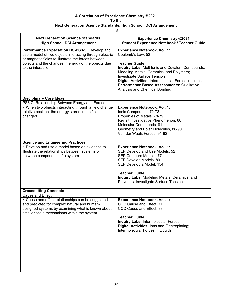|                                                                                                                                                                                                                                                                                                                                   | #                                                                                                                                                                                                                                                                                                                                                       |
|-----------------------------------------------------------------------------------------------------------------------------------------------------------------------------------------------------------------------------------------------------------------------------------------------------------------------------------|---------------------------------------------------------------------------------------------------------------------------------------------------------------------------------------------------------------------------------------------------------------------------------------------------------------------------------------------------------|
| <b>Next Generation Science Standards</b><br><b>High School, DCI Arrangement</b>                                                                                                                                                                                                                                                   | <b>Experience Chemistry ©2021</b><br>Student Experience Notebook / Teacher Guide                                                                                                                                                                                                                                                                        |
| Performance Expectation HS-PS3-5. Develop and<br>use a model of two objects interacting through electric<br>or magnetic fields to illustrate the forces between<br>objects and the changes in energy of the objects due<br>to the interaction.<br><b>Disciplinary Core Ideas</b><br>PS3.C: Relationship Between Energy and Forces | <b>Experience Notebook, Vol. 1:</b><br>Coulomb's Law, 52<br><b>Teacher Guide:</b><br>Inquiry Labs: Melt Ionic and Covalent Compounds;<br>Modeling Metals, Ceramics, and Polymers;<br>Investigate Surface Tension<br>Digital Activities: Intermolecular Forces in Liquids<br>Performance Based Assessments: Qualitative<br>Analysis and Chemical Bonding |
| • When two objects interacting through a field change<br>relative position, the energy stored in the field is<br>changed.                                                                                                                                                                                                         | <b>Experience Notebook, Vol. 1:</b><br>Ionic Compounds, 72-73<br>Properties of Metals, 78-79<br>Revisit Investigative Phenomenon, 80<br>Molecular Compounds, 81<br>Geometry and Polar Molecules, 88-90<br>Van der Waals Forces, 91-92                                                                                                                   |
| <b>Science and Engineering Practices</b>                                                                                                                                                                                                                                                                                          |                                                                                                                                                                                                                                                                                                                                                         |
| • Develop and use a model based on evidence to<br>illustrate the relationships between systems or<br>between components of a system.                                                                                                                                                                                              | <b>Experience Notebook, Vol. 1:</b><br>SEP Develop and Use Models, 52<br>SEP Compare Models, 77<br>SEP Develop Models, 89<br>SEP Develop a Model, 154<br><b>Teacher Guide:</b><br>Inquiry Labs: Modeling Metals, Ceramics, and<br>Polymers; Investigate Surface Tension                                                                                 |
| <b>Crosscutting Concepts</b>                                                                                                                                                                                                                                                                                                      |                                                                                                                                                                                                                                                                                                                                                         |
| Cause and Effect<br>• Cause and effect relationships can be suggested<br>and predicted for complex natural and human-<br>designed systems by examining what is known about<br>smaller scale mechanisms within the system.                                                                                                         | <b>Experience Notebook, Vol. 1:</b><br>CCC Cause and Effect, 71<br>CCC Cause and Effect, 88<br><b>Teacher Guide:</b><br><b>Inquiry Labs: Intermolecular Forces</b><br>Digital Activities: lons and Electroplating;<br>Intermolecular Forces in Liquids                                                                                                  |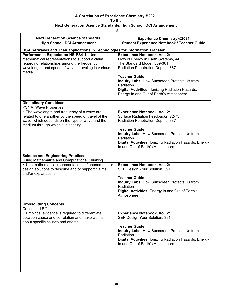| #                                                                               |                                                                                                   |  |
|---------------------------------------------------------------------------------|---------------------------------------------------------------------------------------------------|--|
| <b>Next Generation Science Standards</b><br><b>High School, DCI Arrangement</b> | <b>Experience Chemistry ©2021</b><br>Student Experience Notebook / Teacher Guide                  |  |
| HS-PS4 Waves and Their applications in Technologies for Information Transfer    |                                                                                                   |  |
| Performance Expectation HS-PS4-1. Use                                           | <b>Experience Notebook, Vol. 2:</b>                                                               |  |
| mathematical representations to support a claim                                 | Flow of Energy in Earth Systems, 44                                                               |  |
| regarding relationships among the frequency,                                    | The Standard Model, 359-361                                                                       |  |
| wavelength, and speed of waves traveling in various<br>media.                   | Radiation Penetration Depths, 387                                                                 |  |
|                                                                                 | <b>Teacher Guide:</b>                                                                             |  |
|                                                                                 | <b>Inquiry Labs: How Sunscreen Protects Us from</b>                                               |  |
|                                                                                 | Radiation                                                                                         |  |
|                                                                                 | <b>Digital Activities: Ionizing Radiation Hazards;</b>                                            |  |
|                                                                                 | Energy In and Out of Earth's Atmosphere                                                           |  |
| <b>Disciplinary Core Ideas</b>                                                  |                                                                                                   |  |
| PS4.A: Wave Properties                                                          |                                                                                                   |  |
| • The wavelength and frequency of a wave are                                    | <b>Experience Notebook, Vol. 2:</b>                                                               |  |
| related to one another by the speed of travel of the                            | Surface Radiation Feedbacks, 72-73                                                                |  |
| wave, which depends on the type of wave and the                                 | Radiation Penetration Depths, 387                                                                 |  |
| medium through which it is passing.                                             |                                                                                                   |  |
|                                                                                 | <b>Teacher Guide:</b>                                                                             |  |
|                                                                                 | Inquiry Labs: How Sunscreen Protects Us from<br>Radiation                                         |  |
|                                                                                 | Digital Activities: Ionizing Radiation Hazards; Energy                                            |  |
|                                                                                 | In and Out of Earth's Atmosphere                                                                  |  |
|                                                                                 |                                                                                                   |  |
| <b>Science and Engineering Practices</b>                                        |                                                                                                   |  |
| Using Mathematics and Computational Thinking                                    |                                                                                                   |  |
| • Use mathematical representations of phenomena or                              | <b>Experience Notebook, Vol. 2:</b>                                                               |  |
| design solutions to describe and/or support claims                              | SEP Design Your Solution, 391                                                                     |  |
| and/or explanations.                                                            |                                                                                                   |  |
|                                                                                 | <b>Teacher Guide:</b>                                                                             |  |
|                                                                                 | Inquiry Labs: How Sunscreen Protects Us from                                                      |  |
|                                                                                 | Radiation                                                                                         |  |
|                                                                                 | Digital Activities: Energy In and Out of Earth's<br>Atmosphere                                    |  |
|                                                                                 |                                                                                                   |  |
| <b>Crosscutting Concepts</b>                                                    |                                                                                                   |  |
| Cause and Effect                                                                |                                                                                                   |  |
| • Empirical evidence is required to differentiate                               | <b>Experience Notebook, Vol. 2:</b>                                                               |  |
| between cause and correlation and make claims                                   | SEP Design Your Solution, 391                                                                     |  |
| about specific causes and effects.                                              |                                                                                                   |  |
|                                                                                 | <b>Teacher Guide:</b>                                                                             |  |
|                                                                                 | Inquiry Labs: How Sunscreen Protects Us from                                                      |  |
|                                                                                 | Radiation                                                                                         |  |
|                                                                                 | <b>Digital Activities: Ionizing Radiation Hazards; Energy</b><br>In and Out of Earth's Atmosphere |  |
|                                                                                 |                                                                                                   |  |
|                                                                                 |                                                                                                   |  |
|                                                                                 |                                                                                                   |  |
|                                                                                 |                                                                                                   |  |
|                                                                                 |                                                                                                   |  |
|                                                                                 |                                                                                                   |  |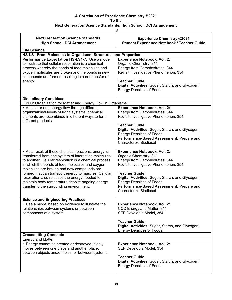| <b>Experience Chemistry ©2021</b><br><b>Student Experience Notebook / Teacher Guide</b>                                                                                                                                                                                                                                                 |  |  |
|-----------------------------------------------------------------------------------------------------------------------------------------------------------------------------------------------------------------------------------------------------------------------------------------------------------------------------------------|--|--|
|                                                                                                                                                                                                                                                                                                                                         |  |  |
|                                                                                                                                                                                                                                                                                                                                         |  |  |
| HS-LS1 From Molecules to Organisms: Structures and Properties                                                                                                                                                                                                                                                                           |  |  |
| <b>Experience Notebook, Vol. 2:</b><br>Organic Chemistry, 311<br>Energy from Carbohydrates, 344<br>Revisit Investigative Phenomenon, 354<br><b>Teacher Guide:</b><br>Digital Activities: Sugar, Starch, and Glycogen;                                                                                                                   |  |  |
| <b>Energy Densities of Foods</b>                                                                                                                                                                                                                                                                                                        |  |  |
|                                                                                                                                                                                                                                                                                                                                         |  |  |
|                                                                                                                                                                                                                                                                                                                                         |  |  |
| LS1.C: Organization for Matter and Energy Flow in Organisms                                                                                                                                                                                                                                                                             |  |  |
| <b>Experience Notebook, Vol. 2:</b><br>Energy from Carbohydrates, 344<br>Revisit Investigative Phenomenon, 354                                                                                                                                                                                                                          |  |  |
| <b>Teacher Guide:</b><br>Digital Activities: Sugar, Starch, and Glycogen;<br><b>Energy Densities of Foods</b><br>Performance-Based Assessment: Prepare and<br><b>Characterize Biodiesel</b>                                                                                                                                             |  |  |
| <b>Experience Notebook, Vol. 2:</b><br>Organic Chemistry, 311<br>Energy from Carbohydrates, 344<br>Revisit Investigative Phenomenon, 354<br><b>Teacher Guide:</b><br>Digital Activities: Sugar, Starch, and Glycogen;<br><b>Energy Densities of Foods</b><br>Performance-Based Assessment: Prepare and<br><b>Characterize Biodiesel</b> |  |  |
|                                                                                                                                                                                                                                                                                                                                         |  |  |
| <b>Experience Notebook, Vol. 2:</b><br>CCC Energy and Matter, 311<br>SEP Develop a Model, 354                                                                                                                                                                                                                                           |  |  |
| <b>Teacher Guide:</b><br>Digital Activities: Sugar, Starch, and Glycogen;<br><b>Energy Densities of Foods</b>                                                                                                                                                                                                                           |  |  |
| <b>Crosscutting Concepts</b><br><b>Energy and Matter</b>                                                                                                                                                                                                                                                                                |  |  |
| <b>Experience Notebook, Vol. 2:</b><br>SEP Develop a Model, 354<br><b>Teacher Guide:</b><br>Digital Activities: Sugar, Starch, and Glycogen;<br><b>Energy Densities of Foods</b>                                                                                                                                                        |  |  |
|                                                                                                                                                                                                                                                                                                                                         |  |  |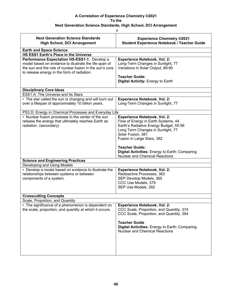| ۰           |  |
|-------------|--|
|             |  |
| ٠<br>×<br>× |  |

| <b>Next Generation Science Standards</b><br><b>High School, DCI Arrangement</b>                                                                                                                                   | <b>Experience Chemistry ©2021</b><br><b>Student Experience Notebook / Teacher Guide</b>                                                                                                                                                        |  |
|-------------------------------------------------------------------------------------------------------------------------------------------------------------------------------------------------------------------|------------------------------------------------------------------------------------------------------------------------------------------------------------------------------------------------------------------------------------------------|--|
| <b>Earth and Space Science</b>                                                                                                                                                                                    |                                                                                                                                                                                                                                                |  |
| HS ESS1 Earth's Place in the Universe                                                                                                                                                                             |                                                                                                                                                                                                                                                |  |
| Performance Expectation HS-ESS1-1. Develop a<br>model based on evidence to illustrate the life span of<br>the sun and the role of nuclear fusion in the sun's core<br>to release energy in the form of radiation. | <b>Experience Notebook, Vol. 2:</b><br>Long-Term Changes in Sunlight, 77<br>Variations in Solar Output, 89-90<br><b>Teacher Guide:</b><br>Digital Activity: Energy to Earth                                                                    |  |
| <b>Disciplinary Core Ideas</b>                                                                                                                                                                                    |                                                                                                                                                                                                                                                |  |
| ESS1.A: The Universe and Its Stars                                                                                                                                                                                |                                                                                                                                                                                                                                                |  |
| • The star called the sun is changing and will burn out<br>over a lifespan of approximately 10 billion years.                                                                                                     | <b>Experience Notebook, Vol. 2:</b><br>Long-Term Changes in Sunlight, 77                                                                                                                                                                       |  |
| PS3.D: Energy in Chemical Processes and Everyday Life                                                                                                                                                             |                                                                                                                                                                                                                                                |  |
| • Nuclear fusion processes in the center of the sun<br>release the energy that ultimately reaches Earth as<br>radiation. (secondary)                                                                              | <b>Experience Notebook, Vol. 2:</b><br>Flow of Energy in Earth Systems, 44<br>Earth's Radiative Energy Budget, 55-56<br>Long Term Changes in Sunlight, 77<br>Solar Fusion, 381<br>Fusion in Large Stars, 382                                   |  |
|                                                                                                                                                                                                                   | <b>Teacher Guide:</b><br><b>Digital Activities: Energy to Earth; Comparing</b><br><b>Nuclear and Chemical Reactions</b>                                                                                                                        |  |
| <b>Science and Engineering Practices</b>                                                                                                                                                                          |                                                                                                                                                                                                                                                |  |
| Developing and Using Models                                                                                                                                                                                       |                                                                                                                                                                                                                                                |  |
| • Develop a model based on evidence to illustrate the<br>relationships between systems or between<br>components of a system.                                                                                      | Experience Notebook, Vol. 2:<br>Radioactive Processes, 363<br>SEP Develop Models, 365<br>CCC Use Models, 379<br>SEP Use Models, 282                                                                                                            |  |
| <b>Crosscutting Concepts</b>                                                                                                                                                                                      |                                                                                                                                                                                                                                                |  |
| Scale, Proportion, and Quantity                                                                                                                                                                                   |                                                                                                                                                                                                                                                |  |
| • The significance of a phenomenon is dependent on<br>the scale, proportion, and quantity at which it occurs.                                                                                                     | <b>Experience Notebook, Vol. 2:</b><br>CCC Scale, Proportion, and Quantity, 374<br>CCC Scale, Proportion, and Quantity, 384<br><b>Teacher Guide</b><br>Digital Activities: Energy to Earth; Comparing<br><b>Nuclear and Chemical Reactions</b> |  |
|                                                                                                                                                                                                                   |                                                                                                                                                                                                                                                |  |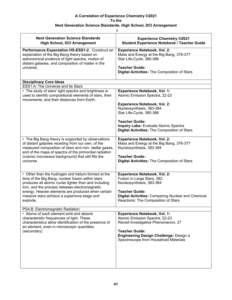| $\#$                                                                                                                                                                                                      |                                                                                                             |  |
|-----------------------------------------------------------------------------------------------------------------------------------------------------------------------------------------------------------|-------------------------------------------------------------------------------------------------------------|--|
| <b>Next Generation Science Standards</b><br><b>High School, DCI Arrangement</b>                                                                                                                           | <b>Experience Chemistry ©2021</b><br><b>Student Experience Notebook / Teacher Guide</b>                     |  |
| Performance Expectation HS-ESS1-2. Construct an<br>explanation of the Big Bang theory based on<br>astronomical evidence of light spectra, motion of<br>distant galaxies, and composition of matter in the | <b>Experience Notebook, Vol. 2:</b><br>Mass and Energy at the Big Bang, 376-377<br>Star Life-Cycle, 385-386 |  |
| universe.                                                                                                                                                                                                 | <b>Teacher Guide:</b><br><b>Digital Activities: The Composition of Stars</b>                                |  |
| <b>Disciplinary Core Ideas</b>                                                                                                                                                                            |                                                                                                             |  |
| ESS1.A: The Universe and Its Stars                                                                                                                                                                        |                                                                                                             |  |
| • The study of stars' light spectra and brightness is<br>used to identify compositional elements of stars, their<br>movements, and their distances from Earth.                                            | <b>Experience Notebook, Vol. 1:</b><br>Atomic Emission Spectra, 22-23                                       |  |
|                                                                                                                                                                                                           | <b>Experience Notebook, Vol. 2:</b>                                                                         |  |
|                                                                                                                                                                                                           | Nucleosynthesis, 383-384<br>Star Life-Cycle, 385-386                                                        |  |
|                                                                                                                                                                                                           | <b>Teacher Guide:</b>                                                                                       |  |
|                                                                                                                                                                                                           | Inquiry Labs: Evaluate Atomic Spectra<br>Digital Activities: The Composition of Stars                       |  |
| • The Big Bang theory is supported by observations                                                                                                                                                        | <b>Experience Notebook, Vol. 2:</b>                                                                         |  |
| of distant galaxies receding from our own, of the<br>measured composition of stars and non-stellar gases,<br>and of the maps of spectra of the primordial radiation                                       | Mass and Energy at the Big Bang, 376-377<br>Nucleosynthesis, 383-384                                        |  |
| (cosmic microwave background) that still fills the                                                                                                                                                        | <b>Teacher Guide:</b>                                                                                       |  |
| universe.                                                                                                                                                                                                 | <b>Digital Activities: The Composition of Stars</b>                                                         |  |
| • Other than the hydrogen and helium formed at the                                                                                                                                                        | <b>Experience Notebook, Vol. 2:</b>                                                                         |  |
| time of the Big Bang, nuclear fusion within stars<br>produces all atomic nuclei lighter than and including                                                                                                | Fusion in Large Stars, 382<br>Nucleosynthesis, 383-384                                                      |  |
| iron, and the process releases electromagnetic<br>energy. Heavier elements are produced when certain                                                                                                      | <b>Teacher Guide:</b>                                                                                       |  |
| massive stars achieve a supernova stage and                                                                                                                                                               | <b>Digital Activities: Comparing Nuclear and Chemical</b>                                                   |  |
| explode.                                                                                                                                                                                                  | Reactions; The Composition of Stars                                                                         |  |
| PS4.B: Electromagnetic Radiation                                                                                                                                                                          |                                                                                                             |  |
| • Atoms of each element emit and absorb                                                                                                                                                                   | <b>Experience Notebook, Vol. 1:</b>                                                                         |  |
| characteristic frequencies of light. These<br>characteristics allow identification of the presence of<br>an element, even in microscopic quantities.                                                      | Atomic Emission Spectra, 22-23<br>Revisit Investigative Phenomenon, 27                                      |  |
| (secondary)                                                                                                                                                                                               | <b>Teacher Guide:</b>                                                                                       |  |
|                                                                                                                                                                                                           | <b>Engineering Design Challenge: Design a</b><br>Spectroscope from Household Materials                      |  |
|                                                                                                                                                                                                           |                                                                                                             |  |
|                                                                                                                                                                                                           |                                                                                                             |  |
|                                                                                                                                                                                                           |                                                                                                             |  |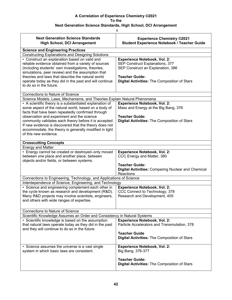|                                                                                 | $\#$                                                                                    |
|---------------------------------------------------------------------------------|-----------------------------------------------------------------------------------------|
| <b>Next Generation Science Standards</b><br><b>High School, DCI Arrangement</b> | <b>Experience Chemistry ©2021</b><br><b>Student Experience Notebook / Teacher Guide</b> |
| <b>Science and Engineering Practices</b>                                        |                                                                                         |
| <b>Constructing Explanations and Designing Solutions</b>                        |                                                                                         |
| • Construct an explanation based on valid and                                   | <b>Experience Notebook, Vol. 2:</b>                                                     |
| reliable evidence obtained from a variety of sources                            | SEP Construct Explanations, 377                                                         |
| (including students' own investigations, theories,                              | SEP Construct an Explanation, 386                                                       |
| simulations, peer review) and the assumption that                               |                                                                                         |
| theories and laws that describe the natural world                               | <b>Teacher Guide:</b>                                                                   |
| operate today as they did in the past and will continue                         | <b>Digital Activities: The Composition of Stars</b>                                     |
| to do so in the future.                                                         |                                                                                         |
| Connections to Nature of Science                                                |                                                                                         |
| Science Models, Laws, Mechanisms, and Theories Explain Natural Phenomena        |                                                                                         |
| • A scientific theory is a substantiated explanation of                         | <b>Experience Notebook, Vol. 2:</b>                                                     |
| some aspect of the natural world, based on a body of                            | Mass and Energy at the Big Bang, 376                                                    |
| facts that have been repeatedly confirmed through                               |                                                                                         |
| observation and experiment and the science                                      | <b>Teacher Guide:</b>                                                                   |
| community validates each theory before it is accepted.                          | Digital Activities: The Composition of Stars                                            |
| If new evidence is discovered that the theory does not                          |                                                                                         |
| accommodate, the theory is generally modified in light                          |                                                                                         |
| of this new evidence.                                                           |                                                                                         |
| <b>Crosscutting Concepts</b>                                                    |                                                                                         |
| <b>Energy and Matter</b>                                                        |                                                                                         |
| • Energy cannot be created or destroyed-only moved                              | <b>Experience Notebook, Vol. 2:</b>                                                     |
| between one place and another place, between                                    | CCC Energy and Matter, 380                                                              |
| objects and/or fields, or between systems.                                      |                                                                                         |
|                                                                                 | <b>Teacher Guide:</b>                                                                   |
|                                                                                 | <b>Digital Activities: Comparing Nuclear and Chemical</b>                               |
|                                                                                 | Reactions                                                                               |
| Connections to Engineering, Technology, and Applications of Science             |                                                                                         |
| Interdependence of Science, Engineering, and Technology                         |                                                                                         |
| • Science and engineering complement each other in                              | <b>Experience Notebook, Vol. 2:</b>                                                     |
| the cycle known as research and development (R&D).                              | CCC Connect to Technology, 378                                                          |
| Many R&D projects may involve scientists, engineers,                            | Research and Development, 405                                                           |
| and others with wide ranges of expertise.                                       |                                                                                         |
|                                                                                 |                                                                                         |
| <b>Connections to Nature of Science</b>                                         |                                                                                         |
| Scientific Knowledge Assumes an Order and Consistency in Natural Systems        |                                                                                         |
| • Scientific knowledge is based on the assumption                               | Experience Notebook, Vol. 2:<br>Particle Accelerators and Transmutation, 378            |
| that natural laws operate today as they did in the past                         |                                                                                         |
| and they will continue to do so in the future.                                  | <b>Teacher Guide</b>                                                                    |
|                                                                                 | <b>Digital Activities: The Composition of Stars</b>                                     |
|                                                                                 |                                                                                         |
| • Science assumes the universe is a vast single                                 | <b>Experience Notebook, Vol. 2:</b>                                                     |
| system in which basic laws are consistent.                                      | Big Bang, 376-377                                                                       |
|                                                                                 |                                                                                         |
|                                                                                 | <b>Teacher Guide:</b>                                                                   |
|                                                                                 | Digital Activities: The Composition of Stars                                            |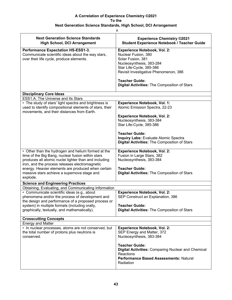| #                                                                                                                                                                                                                                                                                                                                   |                                                                                                                                                                                                                                                                                                      |  |
|-------------------------------------------------------------------------------------------------------------------------------------------------------------------------------------------------------------------------------------------------------------------------------------------------------------------------------------|------------------------------------------------------------------------------------------------------------------------------------------------------------------------------------------------------------------------------------------------------------------------------------------------------|--|
| <b>Next Generation Science Standards</b><br><b>High School, DCI Arrangement</b>                                                                                                                                                                                                                                                     | <b>Experience Chemistry ©2021</b><br><b>Student Experience Notebook / Teacher Guide</b>                                                                                                                                                                                                              |  |
| <b>Performance Expectation HS-ESS1-3.</b><br>Communicate scientific ideas about the way stars,<br>over their life cycle, produce elements.                                                                                                                                                                                          | <b>Experience Notebook, Vol. 2:</b><br>Nuclear Fusion, 380<br>Solar Fusion, 381<br>Nucleosynthesis, 383-284<br>Star Life-Cycle, 385-386<br>Revisit Investigative Phenomenon, 386<br><b>Teacher Guide:</b><br>Digital Activities: The Composition of Stars                                            |  |
| <b>Disciplinary Core Ideas</b>                                                                                                                                                                                                                                                                                                      |                                                                                                                                                                                                                                                                                                      |  |
| ESS1.A: The Universe and Its Stars<br>• The study of stars' light spectra and brightness is<br>used to identify compositional elements of stars, their<br>movements, and their distances from Earth.                                                                                                                                | <b>Experience Notebook, Vol. 1:</b><br>Atomic Emission Spectra, 22-23<br><b>Experience Notebook, Vol. 2:</b><br>Nucleosynthesis, 383-384<br>Star Life-Cycle, 385-386<br><b>Teacher Guide:</b><br><b>Inquiry Labs: Evaluate Atomic Spectra</b><br><b>Digital Activities: The Composition of Stars</b> |  |
| • Other than the hydrogen and helium formed at the<br>time of the Big Bang, nuclear fusion within stars<br>produces all atomic nuclei lighter than and including<br>iron, and the process releases electromagnetic<br>energy. Heavier elements are produced when certain<br>massive stars achieve a supernova stage and<br>explode. | <b>Experience Notebook, Vol. 2:</b><br>Fusion in Large Stars, 382<br>Nucleosynthesis, 383-384<br><b>Teacher Guide:</b><br><b>Digital Activities: The Composition of Stars</b>                                                                                                                        |  |
| <b>Science and Engineering Practices</b>                                                                                                                                                                                                                                                                                            |                                                                                                                                                                                                                                                                                                      |  |
| Obtaining, Evaluating, and Communicating Information                                                                                                                                                                                                                                                                                |                                                                                                                                                                                                                                                                                                      |  |
| • Communicate scientific ideas (e.g., about<br>phenomena and/or the process of development and<br>the design and performance of a proposed process or<br>system) in multiple formats (including orally,<br>graphically, textually, and mathematically).                                                                             | <b>Experience Notebook, Vol. 2:</b><br>SEP Construct an Explanation, 386<br><b>Teacher Guide:</b><br><b>Digital Activities: The Composition of Stars</b>                                                                                                                                             |  |
| <b>Crosscutting Concepts</b>                                                                                                                                                                                                                                                                                                        |                                                                                                                                                                                                                                                                                                      |  |
| <b>Energy and Matter</b>                                                                                                                                                                                                                                                                                                            |                                                                                                                                                                                                                                                                                                      |  |
| • In nuclear processes, atoms are not conserved, but<br>the total number of protons plus neutrons is<br>conserved.                                                                                                                                                                                                                  | <b>Experience Notebook, Vol. 2:</b><br>SEP Energy and Matter, 372<br>Nucleosynthesis, 383-384                                                                                                                                                                                                        |  |
|                                                                                                                                                                                                                                                                                                                                     | <b>Teacher Guide:</b><br><b>Digital Activities: Comparing Nuclear and Chemical</b><br>Reactions<br>Performance Based Assessments: Natural<br>Radiation                                                                                                                                               |  |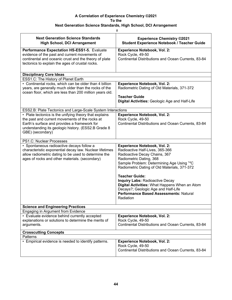|                                                                                                                                                                                                                 | #                                                                                                                                                                                                                                                                                                                                                                                                                                                             |
|-----------------------------------------------------------------------------------------------------------------------------------------------------------------------------------------------------------------|---------------------------------------------------------------------------------------------------------------------------------------------------------------------------------------------------------------------------------------------------------------------------------------------------------------------------------------------------------------------------------------------------------------------------------------------------------------|
| <b>Next Generation Science Standards</b><br><b>High School, DCI Arrangement</b>                                                                                                                                 | <b>Experience Chemistry ©2021</b><br><b>Student Experience Notebook / Teacher Guide</b>                                                                                                                                                                                                                                                                                                                                                                       |
| Performance Expectation HS-ESS1-5. Evaluate<br>evidence of the past and current movements of<br>continental and oceanic crust and the theory of plate<br>tectonics to explain the ages of crustal rocks.        | <b>Experience Notebook, Vol. 2:</b><br>Rock Cycle, 49-50<br>Continental Distributions and Ocean Currents, 83-84                                                                                                                                                                                                                                                                                                                                               |
| <b>Disciplinary Core Ideas</b>                                                                                                                                                                                  |                                                                                                                                                                                                                                                                                                                                                                                                                                                               |
| ESS1.C: The History of Planet Earth                                                                                                                                                                             |                                                                                                                                                                                                                                                                                                                                                                                                                                                               |
| • Continental rocks, which can be older than 4 billion<br>years, are generally much older than the rocks of the<br>ocean floor, which are less than 200 million years old.                                      | <b>Experience Notebook, Vol. 2:</b><br>Radiometric Dating of Old Materials, 371-372                                                                                                                                                                                                                                                                                                                                                                           |
|                                                                                                                                                                                                                 | <b>Teacher Guide</b><br>Digital Activities: Geologic Age and Half-Life                                                                                                                                                                                                                                                                                                                                                                                        |
| ESS2.B: Plate Tectonics and Large-Scale System Interactions                                                                                                                                                     |                                                                                                                                                                                                                                                                                                                                                                                                                                                               |
| • Plate tectonics is the unifying theory that explains<br>the past and current movements of the rocks at<br>Earth's surface and provides a framework for<br>understanding its geologic history. (ESS2.B Grade 8 | <b>Experience Notebook, Vol. 2:</b><br>Rock Cycle, 49-50<br>Continental Distributions and Ocean Currents, 83-84                                                                                                                                                                                                                                                                                                                                               |
| GBE) (secondary)                                                                                                                                                                                                |                                                                                                                                                                                                                                                                                                                                                                                                                                                               |
| PS1.C: Nuclear Processes                                                                                                                                                                                        |                                                                                                                                                                                                                                                                                                                                                                                                                                                               |
| • Spontaneous radioactive decays follow a<br>characteristic exponential decay law. Nuclear lifetimes<br>allow radiometric dating to be used to determine the<br>ages of rocks and other materials. (secondary)  | <b>Experience Notebook, Vol. 2:</b><br>Radioactive Half-Lives, 365-366<br>Radioactive Decay Chains, 367<br>Radiometric Dating, 368<br>Sample Problem: Determining Age Using <sup>14</sup> C<br>Radiometric Dating of Old Materials, 371-372<br><b>Teacher Guide:</b><br><b>Inquiry Labs: Radioactive Decay</b><br>Digital Activities: What Happens When an Atom<br>Decays?; Geologic Age and Half-Life<br>Performance Based Assessments: Natural<br>Radiation |
| <b>Science and Engineering Practices</b>                                                                                                                                                                        |                                                                                                                                                                                                                                                                                                                                                                                                                                                               |
| Engaging in Argument from Evidence                                                                                                                                                                              |                                                                                                                                                                                                                                                                                                                                                                                                                                                               |
| • Evaluate evidence behind currently accepted<br>explanations or solutions to determine the merits of<br>arguments.                                                                                             | <b>Experience Notebook, Vol. 2:</b><br>Rock Cycle, 49-50<br>Continental Distributions and Ocean Currents, 83-84                                                                                                                                                                                                                                                                                                                                               |
| <b>Crosscutting Concepts</b>                                                                                                                                                                                    |                                                                                                                                                                                                                                                                                                                                                                                                                                                               |
| <b>Patterns</b>                                                                                                                                                                                                 |                                                                                                                                                                                                                                                                                                                                                                                                                                                               |
| • Empirical evidence is needed to identify patterns.                                                                                                                                                            | <b>Experience Notebook, Vol. 2:</b><br>Rock Cycle, 49-50<br>Continental Distributions and Ocean Currents, 83-84                                                                                                                                                                                                                                                                                                                                               |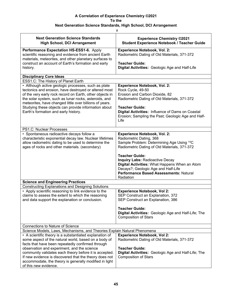|                                                                                                                                                                            | #                                                                                                              |  |
|----------------------------------------------------------------------------------------------------------------------------------------------------------------------------|----------------------------------------------------------------------------------------------------------------|--|
| <b>Next Generation Science Standards</b><br><b>High School, DCI Arrangement</b>                                                                                            | <b>Experience Chemistry ©2021</b><br><b>Student Experience Notebook / Teacher Guide</b>                        |  |
| Performance Expectation HS-ESS1-6. Apply<br>scientific reasoning and evidence from ancient Earth<br>materials, meteorites, and other planetary surfaces to                 | <b>Experience Notebook, Vol. 2:</b><br>Radiometric Dating of Old Materials, 371-372                            |  |
| construct an account of Earth's formation and early<br>history.                                                                                                            | <b>Teacher Guide:</b><br>Digital Activities: Geologic Age and Half-Life                                        |  |
| <b>Disciplinary Core Ideas</b>                                                                                                                                             |                                                                                                                |  |
| ESS1.C: The History of Planet Earth<br>• Although active geologic processes, such as plate                                                                                 | <b>Experience Notebook, Vol. 2:</b>                                                                            |  |
| tectonics and erosion, have destroyed or altered most<br>of the very early rock record on Earth, other objects in<br>the solar system, such as lunar rocks, asteroids, and | Rock Cycle, 49-50<br>Erosion and Carbon Dioxide, 82<br>Radiometric Dating of Old Materials, 371-372            |  |
| meteorites, have changed little over billions of years.                                                                                                                    | <b>Teacher Guide:</b>                                                                                          |  |
| Studying these objects can provide information about<br>Earth's formation and early history.                                                                               | Digital Activities: Influence of Dams on Coastal<br>Erosion; Sampling the Past; Geologic Age and Half-<br>Life |  |
| PS1.C: Nuclear Processes                                                                                                                                                   |                                                                                                                |  |
| • Spontaneous radioactive decays follow a                                                                                                                                  | <b>Experience Notebook, Vol. 2:</b>                                                                            |  |
| characteristic exponential decay law. Nuclear lifetimes                                                                                                                    | Radiometric Dating, 368                                                                                        |  |
| allow radiometric dating to be used to determine the<br>ages of rocks and other materials. (secondary)                                                                     | Sample Problem: Determining Age Using <sup>14</sup> C<br>Radiometric Dating of Old Materials, 371-372          |  |
|                                                                                                                                                                            | <b>Teacher Guide:</b>                                                                                          |  |
|                                                                                                                                                                            | <b>Inquiry Labs: Radioactive Decay</b>                                                                         |  |
|                                                                                                                                                                            | Digital Activities: What Happens When an Atom                                                                  |  |
|                                                                                                                                                                            | Decays?; Geologic Age and Half-Life<br>Performance Based Assessments: Natural                                  |  |
|                                                                                                                                                                            | Radiation                                                                                                      |  |
| <b>Science and Engineering Practices</b>                                                                                                                                   |                                                                                                                |  |
| <b>Constructing Explanations and Designing Solutions</b>                                                                                                                   |                                                                                                                |  |
| • Apply scientific reasoning to link evidence to the                                                                                                                       | <b>Experience Notebook, Vol 2:</b>                                                                             |  |
| claims to assess the extent to which the reasoning<br>and data support the explanation or conclusion.                                                                      | SEP Construct an Explanation, 372                                                                              |  |
|                                                                                                                                                                            | SEP Construct an Explanation, 386                                                                              |  |
|                                                                                                                                                                            | <b>Teacher Guide:</b>                                                                                          |  |
|                                                                                                                                                                            | Digital Activities: Geologic Age and Half-Life; The                                                            |  |
|                                                                                                                                                                            | <b>Composition of Stars</b>                                                                                    |  |
| <b>Connections to Nature of Science</b>                                                                                                                                    |                                                                                                                |  |
| Science Models, Laws, Mechanisms, and Theories Explain Natural Phenomena                                                                                                   |                                                                                                                |  |
| • A scientific theory is a substantiated explanation of                                                                                                                    | <b>Experience Notebook, Vol 2:</b>                                                                             |  |
| some aspect of the natural world, based on a body of                                                                                                                       | Radiometric Dating of Old Materials, 371-372                                                                   |  |
| facts that have been repeatedly confirmed through                                                                                                                          |                                                                                                                |  |
| observation and experiment, and the science                                                                                                                                | <b>Teacher Guide:</b>                                                                                          |  |
| community validates each theory before it is accepted.<br>If new evidence is discovered that the theory does not                                                           | Digital Activities: Geologic Age and Half-Life; The<br><b>Composition of Stars</b>                             |  |
| accommodate, the theory is generally modified in light                                                                                                                     |                                                                                                                |  |
| of this new evidence.                                                                                                                                                      |                                                                                                                |  |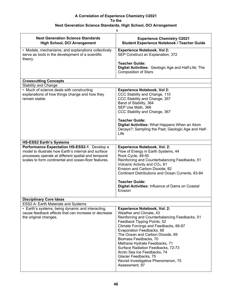### **Next Generation Science Standards, High School, DCI Arrangement**

| <b>Next Generation Science Standards</b><br><b>High School, DCI Arrangement</b>                                                                                                                                     | <b>Experience Chemistry ©2021</b><br><b>Student Experience Notebook / Teacher Guide</b>                                                                                                                                                                                                                                                                                                                                                                                      |
|---------------------------------------------------------------------------------------------------------------------------------------------------------------------------------------------------------------------|------------------------------------------------------------------------------------------------------------------------------------------------------------------------------------------------------------------------------------------------------------------------------------------------------------------------------------------------------------------------------------------------------------------------------------------------------------------------------|
| • Models, mechanisms, and explanations collectively<br>serve as tools in the development of a scientific<br>theory.                                                                                                 | <b>Experience Notebook, Vol 2:</b><br>SEP Construct an Explanation, 372                                                                                                                                                                                                                                                                                                                                                                                                      |
|                                                                                                                                                                                                                     | <b>Teacher Guide:</b><br>Digital Activities: Geologic Age and Half-Life; The<br><b>Composition of Stars</b>                                                                                                                                                                                                                                                                                                                                                                  |
| <b>Crosscutting Concepts</b>                                                                                                                                                                                        |                                                                                                                                                                                                                                                                                                                                                                                                                                                                              |
| <b>Stability and Change</b>                                                                                                                                                                                         |                                                                                                                                                                                                                                                                                                                                                                                                                                                                              |
| • Much of science deals with constructing<br>explanations of how things change and how they<br>remain stable.                                                                                                       | <b>Experience Notebook, Vol 2:</b><br>CCC Stability and Change, 110<br>CCC Stability and Change, 357<br>Band of Stability, 364<br>SEP Use Math, 366<br>CCC Stability and Change, 367                                                                                                                                                                                                                                                                                         |
|                                                                                                                                                                                                                     | <b>Teacher Guide:</b><br>Digital Activities: What Happens When an Atom<br>Decays?; Sampling the Past; Geologic Age and Half-<br>Life                                                                                                                                                                                                                                                                                                                                         |
| <b>HS-ESS2 Earth's Systems</b>                                                                                                                                                                                      |                                                                                                                                                                                                                                                                                                                                                                                                                                                                              |
| Performance Expectation HS-ESS2-1. Develop a<br>model to illustrate how Earth's internal and surface<br>processes operate at different spatial and temporal<br>scales to form continental and ocean-floor features. | <b>Experience Notebook, Vol. 2:</b><br>Flow of Energy in Earth Systems, 44<br>Rock Cycle, 49-50<br>Reinforcing and Counterbalancing Feedbacks, 51<br>Volcanic Activity and CO <sub>2</sub> , 81<br>Erosion and Carbon Dioxide, 82<br>Continent Distributions and Ocean Currents, 83-84<br><b>Teacher Guide:</b>                                                                                                                                                              |
|                                                                                                                                                                                                                     | Digital Activities: Influence of Dams on Coastal<br>Erosion                                                                                                                                                                                                                                                                                                                                                                                                                  |
| <b>Disciplinary Core Ideas</b>                                                                                                                                                                                      |                                                                                                                                                                                                                                                                                                                                                                                                                                                                              |
| <b>ESS2.A: Earth Materials and Systems</b>                                                                                                                                                                          |                                                                                                                                                                                                                                                                                                                                                                                                                                                                              |
| • Earth's systems, being dynamic and interacting,<br>cause feedback effects that can increase or decrease<br>the original changes.                                                                                  | <b>Experience Notebook, Vol. 2:</b><br>Weather and Climate, 43<br>Reinforcing and Counterbalancing Feedbacks, 51<br>Feedback Tipping Points, 52<br>Climate Forcings and Feedbacks, 66-67<br>Evaporation Feedbacks, 68<br>The Ocean and Carbon Dioxide, 69<br>Biomass Feedbacks, 70<br>Methane Hydrate Feedbacks, 71<br>Surface Radiation Feedbacks, 72-73<br>Arctic Sea Ice Feedbacks, 74<br>Glacier Feedbacks, 75<br>Revisit Investigative Phenomenon, 75<br>Assessment, 97 |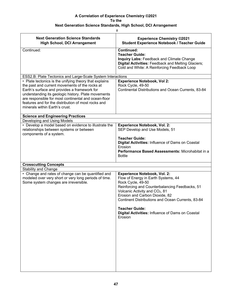$#$ 

| <b>Next Generation Science Standards</b><br><b>High School, DCI Arrangement</b>                                                                                                                                                                                                                                                                                  | <b>Experience Chemistry ©2021</b><br><b>Student Experience Notebook / Teacher Guide</b>                                                                                                                                                                                                                                                                                        |
|------------------------------------------------------------------------------------------------------------------------------------------------------------------------------------------------------------------------------------------------------------------------------------------------------------------------------------------------------------------|--------------------------------------------------------------------------------------------------------------------------------------------------------------------------------------------------------------------------------------------------------------------------------------------------------------------------------------------------------------------------------|
| Continued:                                                                                                                                                                                                                                                                                                                                                       | <b>Continued:</b><br><b>Teacher Guide:</b><br>Inquiry Labs: Feedback and Climate Change<br>Digital Activities: Feedback and Melting Glaciers;<br>Cold and White: A Reinforcing Feedback Loop                                                                                                                                                                                   |
| <b>ESS2.B: Plate Tectonics and Large-Scale System Interactions</b>                                                                                                                                                                                                                                                                                               |                                                                                                                                                                                                                                                                                                                                                                                |
| • Plate tectonics is the unifying theory that explains<br>the past and current movements of the rocks at<br>Earth's surface and provides a framework for<br>understanding its geologic history. Plate movements<br>are responsible for most continental and ocean-floor<br>features and for the distribution of most rocks and<br>minerals within Earth's crust. | <b>Experience Notebook, Vol 2:</b><br>Rock Cycle, 49-50<br>Continental Distributions and Ocean Currents, 83-84                                                                                                                                                                                                                                                                 |
| <b>Science and Engineering Practices</b>                                                                                                                                                                                                                                                                                                                         |                                                                                                                                                                                                                                                                                                                                                                                |
| Developing and Using Models                                                                                                                                                                                                                                                                                                                                      |                                                                                                                                                                                                                                                                                                                                                                                |
| • Develop a model based on evidence to illustrate the<br>relationships between systems or between<br>components of a system.                                                                                                                                                                                                                                     | <b>Experience Notebook, Vol. 2:</b><br>SEP Develop and Use Models, 51                                                                                                                                                                                                                                                                                                          |
|                                                                                                                                                                                                                                                                                                                                                                  | <b>Teacher Guide:</b><br>Digital Activities: Influence of Dams on Coastal<br>Erosion<br>Performance Based Assessments: Microhabitat in a<br><b>Bottle</b>                                                                                                                                                                                                                      |
| <b>Crosscutting Concepts</b>                                                                                                                                                                                                                                                                                                                                     |                                                                                                                                                                                                                                                                                                                                                                                |
| <b>Stability and Change</b><br>• Change and rates of change can be quantified and<br>modeled over very short or very long periods of time.<br>Some system changes are irreversible.                                                                                                                                                                              | <b>Experience Notebook, Vol. 2:</b><br>Flow of Energy in Earth Systems, 44<br>Rock Cycle, 49-50<br>Reinforcing and Counterbalancing Feedbacks, 51<br>Volcanic Activity and CO <sub>2</sub> , 81<br>Erosion and Carbon Dioxide, 82<br>Continent Distributions and Ocean Currents, 83-84<br><b>Teacher Guide:</b><br>Digital Activities: Influence of Dams on Coastal<br>Erosion |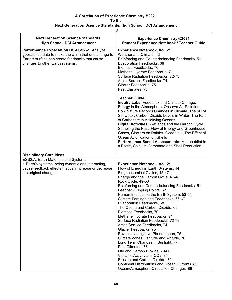| #                                                                                                                                                                                        |                                                                                                                                                                                                                                                                                                                                                                                                                                                                                                                                                                                                                                                                                                                                                                                                                                                                                                                        |
|------------------------------------------------------------------------------------------------------------------------------------------------------------------------------------------|------------------------------------------------------------------------------------------------------------------------------------------------------------------------------------------------------------------------------------------------------------------------------------------------------------------------------------------------------------------------------------------------------------------------------------------------------------------------------------------------------------------------------------------------------------------------------------------------------------------------------------------------------------------------------------------------------------------------------------------------------------------------------------------------------------------------------------------------------------------------------------------------------------------------|
| <b>Next Generation Science Standards</b><br><b>High School, DCI Arrangement</b>                                                                                                          | <b>Experience Chemistry ©2021</b><br><b>Student Experience Notebook / Teacher Guide</b>                                                                                                                                                                                                                                                                                                                                                                                                                                                                                                                                                                                                                                                                                                                                                                                                                                |
| Performance Expectation HS-ESS2-2. Analyze<br>geoscience data to make the claim that one change to<br>Earth's surface can create feedbacks that cause<br>changes to other Earth systems. | <b>Experience Notebook, Vol. 2:</b><br>Weather and Climate, 43<br>Reinforcing and Counterbalancing Feedbacks, 51<br>Evaporation Feedbacks, 68<br>Biomass Feedbacks, 70<br>Methane Hydrate Feedbacks, 71<br>Surface Radiation Feedbacks, 72-73<br>Arctic Sea Ice Feedbacks, 74<br>Glacier Feedbacks, 75<br>Past Climates, 78                                                                                                                                                                                                                                                                                                                                                                                                                                                                                                                                                                                            |
|                                                                                                                                                                                          | <b>Teacher Guide:</b><br>Inquiry Labs: Feedback and Climate Change,<br>Energy in the Atmosphere, Observe Air Pollution,<br>How Nature Records Changes in Climate, The pH of<br>Seawater, Carbon Dioxide Levels in Water, The Fate<br>of Carbonate in Acidifying Oceans<br>Digital Activities: Wetlands and the Carbon Cycle,<br>Sampling the Past, Flow of Energy and Greenhouse<br>Gases, Glaciers on Rainier, Ocean pH, The Effect of<br>Ocean Acidification on Shells<br>Performance-Based Assessments: Microhabitat in<br>a Bottle, Calcium Carbonate and Shell Production                                                                                                                                                                                                                                                                                                                                         |
| <b>Disciplinary Core Ideas</b>                                                                                                                                                           |                                                                                                                                                                                                                                                                                                                                                                                                                                                                                                                                                                                                                                                                                                                                                                                                                                                                                                                        |
| ESS2.A: Earth Materials and Systems                                                                                                                                                      |                                                                                                                                                                                                                                                                                                                                                                                                                                                                                                                                                                                                                                                                                                                                                                                                                                                                                                                        |
| • Earth's systems, being dynamic and interacting,<br>cause feedback effects that can increase or decrease<br>the original changes.                                                       | <b>Experience Notebook, Vol. 2:</b><br>Flow of Energy in Earth Systems, 44<br>Biogeochemical Cycles, 45-47<br>Energy and the Carbon Cycle, 47-48<br>Rock Cycle, 49-50<br>Reinforcing and Counterbalancing Feedbacks, 51<br>Feedback Tipping Points, 52<br>Human Impacts on the Earth System, 53-54<br>Climate Forcings and Feedbacks, 66-67<br>Evaporation Feedbacks, 68<br>The Ocean and Carbon Dioxide, 69<br>Biomass Feedbacks, 70<br>Methane Hydrate Feedbacks, 71<br>Surface Radiation Feedbacks, 72-73<br>Arctic Sea Ice Feedbacks, 74<br>Glacier Feedbacks, 75<br>Revisit Investigative Phenomenon, 75<br>Climate Zones: Latitude and Altitude, 76<br>Long Term Changes in Sunlight, 77<br>Past Climates, 78<br>Life and Carbon Dioxide, 79-80<br>Volcanic Activity and CO2, 81<br>Erosion and Carbon Dioxide, 82<br>Continent Distributions and Ocean Currents, 83<br>Ocean/Atmosphere Circulation Changes, 88 |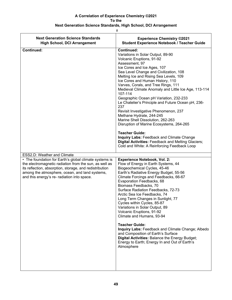| <b>Next Generation Science Standards</b><br><b>High School, DCI Arrangement</b>                                                                                                                                                                                              | <b>Experience Chemistry ©2021</b><br>Student Experience Notebook / Teacher Guide                                                                                                                                                                                                                                                                                                                                                                                                                                                                                                                                                                                                                                                                                                                                      |
|------------------------------------------------------------------------------------------------------------------------------------------------------------------------------------------------------------------------------------------------------------------------------|-----------------------------------------------------------------------------------------------------------------------------------------------------------------------------------------------------------------------------------------------------------------------------------------------------------------------------------------------------------------------------------------------------------------------------------------------------------------------------------------------------------------------------------------------------------------------------------------------------------------------------------------------------------------------------------------------------------------------------------------------------------------------------------------------------------------------|
| <b>Continued:</b>                                                                                                                                                                                                                                                            | <b>Continued:</b><br>Variations in Solar Output, 89-90<br>Volcanic Eruptions, 91-92<br>Assessment, 97<br>Ice Cores and Ice Ages, 107<br>Sea Level Change and Civilization, 108<br>Melting Ice and Rising Sea Levels, 109<br>Ice Cores and Human History, 110<br>Varves, Corals, and Tree Rings, 111<br>Medieval Climate Anomaly and Little Ice Age, 113-114<br>107-114<br>Geographic Ocean pH Variation, 232-233<br>Le Chatelier's Principle and Future Ocean pH, 236-<br>237<br>Revisit Investigative Phenomenon, 237<br>Methane Hydrate, 244-245<br>Marine Shell Dissolution, 262-263<br>Disruption of Marine Ecosystems, 264-265<br><b>Teacher Guide:</b><br><b>Inquiry Labs: Feedback and Climate Change</b><br>Digital Activities: Feedback and Melting Glaciers;<br>Cold and White: A Reinforcing Feedback Loop |
| ESS2.D: Weather and Climate                                                                                                                                                                                                                                                  |                                                                                                                                                                                                                                                                                                                                                                                                                                                                                                                                                                                                                                                                                                                                                                                                                       |
| • The foundation for Earth's global climate systems is<br>the electromagnetic radiation from the sun, as well as<br>its reflection, absorption, storage, and redistribution<br>among the atmosphere, ocean, and land systems,<br>and this energy's re- radiation into space. | <b>Experience Notebook, Vol. 2:</b><br>Flow of Energy in Earth Systems, 44<br>Biogeochemical Cycles, 45-46<br>Earth's Radiative Energy Budget, 55-56<br>Climate Forcings and Feedbacks, 66-67<br>Evaporation Feedbacks, 68<br>Biomass Feedbacks, 70<br>Surface Radiation Feedbacks, 72-73<br>Arctic Sea Ice Feedbacks, 74<br>Long Term Changes in Sunlight, 77<br>Cycles within Cycles, 85-87<br>Variations in Solar Output, 89<br>Volcanic Eruptions, 91-92<br>Climate and Humans, 93-94<br><b>Teacher Guide:</b><br>Inquiry Labs: Feedback and Climate Change; Albedo<br>and Composition of Earth's Surface<br>Digital Activities: Balance the Energy Budget;<br>Energy to Earth; Energy In and Out of Earth's<br>Atmosphere                                                                                        |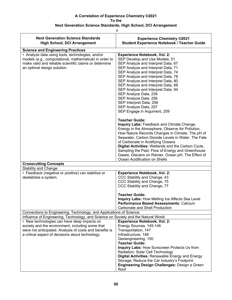### **Next Generation Science Standards, High School, DCI Arrangement**

| <b>Next Generation Science Standards</b><br><b>High School, DCI Arrangement</b>                                                                                                                                | <b>Experience Chemistry ©2021</b><br><b>Student Experience Notebook / Teacher Guide</b>                                                                                                                                                                                                                                                                                                                                                                                              |
|----------------------------------------------------------------------------------------------------------------------------------------------------------------------------------------------------------------|--------------------------------------------------------------------------------------------------------------------------------------------------------------------------------------------------------------------------------------------------------------------------------------------------------------------------------------------------------------------------------------------------------------------------------------------------------------------------------------|
| <b>Science and Engineering Practices</b>                                                                                                                                                                       |                                                                                                                                                                                                                                                                                                                                                                                                                                                                                      |
| • Analyze data using tools, technologies, and/or<br>models (e.g., computational, mathematical) in order to<br>make valid and reliable scientific claims or determine<br>an optimal design solution.            | <b>Experience Notebook, Vol. 2:</b><br>SEP Develop and Use Models, 51<br>SEP Analyze and Interpret Data, 67<br>SEP Analyze and Interpret Data, 71<br>SEP Analyze and Interpret Data, 74<br>SEP Analyze and Interpret Data, 78<br>SEP Analyze and Interpret Data, 80<br>SEP Analyze and Interpret Data, 88<br>SEP Analyze and Interpret Data, 94<br>SEP Analyze Data, 239<br>SEP Analyze Data, 256<br>SEP Interpret Data, 256<br>SEP Analyze Data, 257<br>SEP Engage in Argument, 259 |
|                                                                                                                                                                                                                | <b>Teacher Guide:</b><br>Inquiry Labs: Feedback and Climate Change,<br>Energy in the Atmosphere, Observe Air Pollution,<br>How Nature Records Changes in Climate, The pH of<br>Seawater, Carbon Dioxide Levels in Water, The Fate<br>of Carbonate in Acidifying Oceans<br>Digital Activities: Wetlands and the Carbon Cycle,<br>Sampling the Past, Flow of Energy and Greenhouse<br>Gases, Glaciers on Rainier, Ocean pH, The Effect of<br>Ocean Acidification on Shells             |
| <b>Crosscutting Concepts</b>                                                                                                                                                                                   |                                                                                                                                                                                                                                                                                                                                                                                                                                                                                      |
| <b>Stability and Change</b>                                                                                                                                                                                    |                                                                                                                                                                                                                                                                                                                                                                                                                                                                                      |
| • Feedback (negative or positive) can stabilize or<br>destabilize a system.                                                                                                                                    | <b>Experience Notebook, Vol. 2:</b><br>CCC Stability and Change, 43<br>CCC Stability and Change, 75<br>CCC Stability and Change, 77<br><b>Teacher Guide:</b>                                                                                                                                                                                                                                                                                                                         |
|                                                                                                                                                                                                                | Inquiry Labs: How Melting Ice Affects Sea Level<br>Performance Based Assessments: Calcium<br>Carbonate and Shell Production                                                                                                                                                                                                                                                                                                                                                          |
| Connections to Engineering, Technology, and Applications of Science                                                                                                                                            |                                                                                                                                                                                                                                                                                                                                                                                                                                                                                      |
| Influence of Engineering, Technology, and Science on Society and the Natural World                                                                                                                             |                                                                                                                                                                                                                                                                                                                                                                                                                                                                                      |
| • New technologies can have deep impacts on<br>society and the environment, including some that<br>were not anticipated. Analysis of costs and benefits is<br>a critical aspect of decisions about technology. | <b>Experience Notebook, Vol. 2:</b><br>Energy Sources, 145-146<br>Transportation, 147<br>Infrastructure, 148<br>Geoengineering, 150<br><b>Teacher Guide:</b><br>Inquiry Labs: How Sunscreen Protects Us from                                                                                                                                                                                                                                                                         |
|                                                                                                                                                                                                                | Radiation; Solar Cell Technology<br><b>Digital Activities: Renewable Energy and Energy</b><br>Storage; Reduce the Car Industry's Footprint<br><b>Engineering Design Challenges: Design a Green</b><br>Roof                                                                                                                                                                                                                                                                           |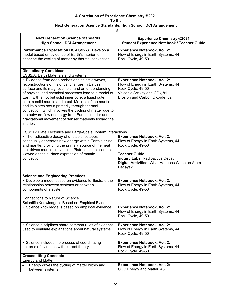| #                                                                                                                                                                                                                                                                                                                                                                                                                                                                                                                                                                                                          |                                                                                                                                                                                                                                |  |
|------------------------------------------------------------------------------------------------------------------------------------------------------------------------------------------------------------------------------------------------------------------------------------------------------------------------------------------------------------------------------------------------------------------------------------------------------------------------------------------------------------------------------------------------------------------------------------------------------------|--------------------------------------------------------------------------------------------------------------------------------------------------------------------------------------------------------------------------------|--|
| <b>Next Generation Science Standards</b><br><b>High School, DCI Arrangement</b>                                                                                                                                                                                                                                                                                                                                                                                                                                                                                                                            | <b>Experience Chemistry ©2021</b><br><b>Student Experience Notebook / Teacher Guide</b>                                                                                                                                        |  |
| Performance Expectation HS-ESS2-3. Develop a<br>model based on evidence of Earth's interior to<br>describe the cycling of matter by thermal convection.                                                                                                                                                                                                                                                                                                                                                                                                                                                    | <b>Experience Notebook, Vol. 2:</b><br>Flow of Energy in Earth Systems, 44<br>Rock Cycle, 49-50                                                                                                                                |  |
| <b>Disciplinary Core Ideas</b>                                                                                                                                                                                                                                                                                                                                                                                                                                                                                                                                                                             |                                                                                                                                                                                                                                |  |
| ESS2.A: Earth Materials and Systems<br>• Evidence from deep probes and seismic waves,<br>reconstructions of historical changes in Earth's<br>surface and its magnetic field, and an understanding<br>of physical and chemical processes lead to a model of<br>Earth with a hot but solid inner core, a liquid outer<br>core, a solid mantle and crust. Motions of the mantle<br>and its plates occur primarily through thermal<br>convection, which involves the cycling of matter due to<br>the outward flow of energy from Earth's interior and<br>gravitational movement of denser materials toward the | <b>Experience Notebook, Vol. 2:</b><br>Flow of Energy in Earth Systems, 44<br>Rock Cycle, 49-50<br>Volcanic Activity and CO <sub>2</sub> , 81<br>Erosion and Carbon Dioxide, 82                                                |  |
| interior.<br>ESS2.B: Plate Tectonics and Large-Scale System Interactions                                                                                                                                                                                                                                                                                                                                                                                                                                                                                                                                   |                                                                                                                                                                                                                                |  |
| • The radioactive decay of unstable isotopes<br>continually generates new energy within Earth's crust<br>and mantle, providing the primary source of the heat<br>that drives mantle convection. Plate tectonics can be<br>viewed as the surface expression of mantle<br>convection.                                                                                                                                                                                                                                                                                                                        | <b>Experience Notebook, Vol. 2:</b><br>Flow of Energy in Earth Systems, 44<br>Rock Cycle, 49-50<br><b>Teacher Guide:</b><br><b>Inquiry Labs: Radioactive Decay</b><br>Digital Activities: What Happens When an Atom<br>Decays? |  |
| <b>Science and Engineering Practices</b>                                                                                                                                                                                                                                                                                                                                                                                                                                                                                                                                                                   |                                                                                                                                                                                                                                |  |
| • Develop a model based on evidence to illustrate the<br>relationships between systems or between<br>components of a system.                                                                                                                                                                                                                                                                                                                                                                                                                                                                               | <b>Experience Notebook, Vol. 2:</b><br>Flow of Energy in Earth Systems, 44<br>Rock Cycle, 49-50                                                                                                                                |  |
| <b>Connections to Nature of Science</b>                                                                                                                                                                                                                                                                                                                                                                                                                                                                                                                                                                    |                                                                                                                                                                                                                                |  |
| Scientific Knowledge is Based on Empirical Evidence                                                                                                                                                                                                                                                                                                                                                                                                                                                                                                                                                        |                                                                                                                                                                                                                                |  |
| · Science knowledge is based on empirical evidence.                                                                                                                                                                                                                                                                                                                                                                                                                                                                                                                                                        | <b>Experience Notebook, Vol. 2:</b><br>Flow of Energy in Earth Systems, 44<br>Rock Cycle, 49-50                                                                                                                                |  |
| • Science disciplines share common rules of evidence<br>used to evaluate explanations about natural systems.                                                                                                                                                                                                                                                                                                                                                                                                                                                                                               | <b>Experience Notebook, Vol. 2:</b><br>Flow of Energy in Earth Systems, 44<br>Rock Cycle, 49-50                                                                                                                                |  |
| • Science includes the process of coordinating<br>patterns of evidence with current theory.                                                                                                                                                                                                                                                                                                                                                                                                                                                                                                                | <b>Experience Notebook, Vol. 2:</b><br>Flow of Energy in Earth Systems, 44<br>Rock Cycle, 49-50                                                                                                                                |  |
| <b>Crosscutting Concepts</b>                                                                                                                                                                                                                                                                                                                                                                                                                                                                                                                                                                               |                                                                                                                                                                                                                                |  |
| <b>Energy and Matter</b>                                                                                                                                                                                                                                                                                                                                                                                                                                                                                                                                                                                   | <b>Experience Notebook, Vol. 2:</b>                                                                                                                                                                                            |  |
| Energy drives the cycling of matter within and<br>between systems.                                                                                                                                                                                                                                                                                                                                                                                                                                                                                                                                         | CCC Energy and Matter, 46                                                                                                                                                                                                      |  |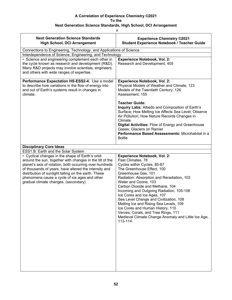|                                                                                                                                                                                                                                                                                                                                                                                   | Ħ,                                                                                                                                                                                                                                                                                                                                                                                                                                                                                                                                                                |
|-----------------------------------------------------------------------------------------------------------------------------------------------------------------------------------------------------------------------------------------------------------------------------------------------------------------------------------------------------------------------------------|-------------------------------------------------------------------------------------------------------------------------------------------------------------------------------------------------------------------------------------------------------------------------------------------------------------------------------------------------------------------------------------------------------------------------------------------------------------------------------------------------------------------------------------------------------------------|
| <b>Next Generation Science Standards</b><br><b>High School, DCI Arrangement</b>                                                                                                                                                                                                                                                                                                   | <b>Experience Chemistry ©2021</b><br><b>Student Experience Notebook / Teacher Guide</b>                                                                                                                                                                                                                                                                                                                                                                                                                                                                           |
| Connections to Engineering, Technology, and Applications of Science                                                                                                                                                                                                                                                                                                               |                                                                                                                                                                                                                                                                                                                                                                                                                                                                                                                                                                   |
| Interdependence of Science, Engineering, and Technology                                                                                                                                                                                                                                                                                                                           |                                                                                                                                                                                                                                                                                                                                                                                                                                                                                                                                                                   |
| • Science and engineering complement each other in<br>the cycle known as research and development (R&D).<br>Many R&D projects may involve scientists, engineers,<br>and others with wide ranges of expertise.                                                                                                                                                                     | <b>Experience Notebook, Vol. 2:</b><br>Research and Development, 405                                                                                                                                                                                                                                                                                                                                                                                                                                                                                              |
| Performance Expectation HS-ESS2-4. Use a model<br>to describe how variations in the flow of energy into<br>and out of Earth's systems result in changes in<br>climate.                                                                                                                                                                                                            | <b>Experience Notebook, Vol. 2:</b><br>Physical Models of Weather and Climate, 123<br>Models of the Twentieth Century, 126<br>Assessment, 155<br><b>Teacher Guide:</b><br>Inquiry Labs: Albedo and Composition of Earth's<br>Surface; How Melting Ice Affects Sea Level; Observe<br>Air Pollution; How Nature Records Changes in<br>Climate<br>Digital Activities: Flow of Energy and Greenhouse<br>Gases; Glaciers on Rainier<br>Performance Based Assessments: Microhabitat in a                                                                                |
| <b>Disciplinary Core Ideas</b>                                                                                                                                                                                                                                                                                                                                                    | <b>Bottle</b>                                                                                                                                                                                                                                                                                                                                                                                                                                                                                                                                                     |
| ESS1.B: Earth and the Solar System                                                                                                                                                                                                                                                                                                                                                |                                                                                                                                                                                                                                                                                                                                                                                                                                                                                                                                                                   |
| • Cyclical changes in the shape of Earth's orbit<br>around the sun, together with changes in the tilt of the<br>planet's axis of rotation, both occurring over hundreds<br>of thousands of years, have altered the intensity and<br>distribution of sunlight falling on the earth. These<br>phenomena cause a cycle of ice ages and other<br>gradual climate changes. (secondary) | <b>Experience Notebook, Vol. 2:</b><br>Past Climates, 78<br>Cycles within Cycles, 85-87<br>The Greenhouse Effect, 100<br>Greenhouse Gas, 101<br>Radiation: Absorption and Reradiation, 102<br>Water and Ozone, 103<br>Carbon Dioxide and Methane, 104<br>Incoming and Outgoing Radiation, 105-106<br>Ice Cores and Ice Ages, 107<br>Sea Level Change and Civilization, 108<br>Melting Ice and Rising Sea Levels, 109<br>Ice Cores and Human History, 110<br>Verves, Corals, and Tree Rings, 111<br>Medieval Climate Change Anomaly and Little Ice Age,<br>113-114 |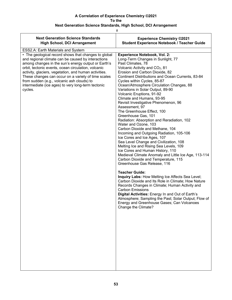| #                                                                                                                                                                                                                                                                                                                                                                                                                                                       |                                                                                                                                                                                                                                                                                                                                                                                                                                                                                                                                                                                                                                                                                                                                                                                                                                                                                                                                        |
|---------------------------------------------------------------------------------------------------------------------------------------------------------------------------------------------------------------------------------------------------------------------------------------------------------------------------------------------------------------------------------------------------------------------------------------------------------|----------------------------------------------------------------------------------------------------------------------------------------------------------------------------------------------------------------------------------------------------------------------------------------------------------------------------------------------------------------------------------------------------------------------------------------------------------------------------------------------------------------------------------------------------------------------------------------------------------------------------------------------------------------------------------------------------------------------------------------------------------------------------------------------------------------------------------------------------------------------------------------------------------------------------------------|
| <b>Next Generation Science Standards</b><br><b>High School, DCI Arrangement</b>                                                                                                                                                                                                                                                                                                                                                                         | <b>Experience Chemistry ©2021</b><br>Student Experience Notebook / Teacher Guide                                                                                                                                                                                                                                                                                                                                                                                                                                                                                                                                                                                                                                                                                                                                                                                                                                                       |
| ESS2.A: Earth Materials and System                                                                                                                                                                                                                                                                                                                                                                                                                      |                                                                                                                                                                                                                                                                                                                                                                                                                                                                                                                                                                                                                                                                                                                                                                                                                                                                                                                                        |
| • The geological record shows that changes to global<br>and regional climate can be caused by interactions<br>among changes in the sun's energy output or Earth's<br>orbit, tectonic events, ocean circulation, volcanic<br>activity, glaciers, vegetation, and human activities.<br>These changes can occur on a variety of time scales<br>from sudden (e.g., volcanic ash clouds) to<br>intermediate (ice ages) to very long-term tectonic<br>cycles. | <b>Experience Notebook, Vol. 2:</b><br>Long-Term Changes in Sunlight, 77<br>Past Climates, 78<br>Volcanic Activity and CO <sub>2</sub> , 81<br>Erosion and Carbon Dioxide, 82<br>Continent Distributions and Ocean Currents, 83-84<br>Cycles within Cycles, 85-87<br>Ocean/Atmosphere Circulation Changes, 88<br>Variations in Solar Output, 89-90<br>Volcanic Eruptions, 91-92<br>Climate and Humans, 93-95<br>Revisit Investigative Phenomenon, 96<br>Assessment, 97<br>The Greenhouse Effect, 100<br>Greenhouse Gas, 101<br>Radiation: Absorption and Reradiation, 102<br>Water and Ozone, 103<br>Carbon Dioxide and Methane, 104<br>Incoming and Outgoing Radiation, 105-106<br>Ice Cores and Ice Ages, 107<br>Sea Level Change and Civilization, 108<br>Melting Ice and Rising Sea Levels, 109<br>Ice Cores and Human History, 110<br>Medieval Climate Anomaly and Little Ice Age, 113-114<br>Carbon Dioxide and Temperature, 115 |
|                                                                                                                                                                                                                                                                                                                                                                                                                                                         | Greenhouse Gas Release, 116<br><b>Teacher Guide:</b><br>Inquiry Labs: How Melting Ice Affects Sea Level;<br>Carbon Dioxide and Its Role in Climate; How Nature<br>Records Changes in Climate; Human Activity and<br><b>Carbon Emissions</b><br>Digital Activities: Energy In and Out of Earth's<br>Atmosphere; Sampling the Past; Solar Output; Flow of<br>Energy and Greenhouse Gases; Can Volcanoes<br>Change the Climate?                                                                                                                                                                                                                                                                                                                                                                                                                                                                                                           |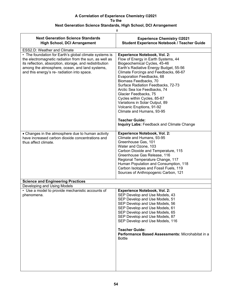| <b>Experience Chemistry ©2021</b><br><b>Student Experience Notebook / Teacher Guide</b>                                                                                                                                                                                                                                                                                                                                                                                                                                                                    |
|------------------------------------------------------------------------------------------------------------------------------------------------------------------------------------------------------------------------------------------------------------------------------------------------------------------------------------------------------------------------------------------------------------------------------------------------------------------------------------------------------------------------------------------------------------|
|                                                                                                                                                                                                                                                                                                                                                                                                                                                                                                                                                            |
| <b>Experience Notebook, Vol. 2:</b><br>Flow of Energy in Earth Systems, 44<br>Biogeochemical Cycles, 45-46<br>Earth's Radiative Energy Budget, 55-56<br>Climate Forcings and Feedbacks, 66-67<br>Evaporation Feedbacks, 68<br>Biomass Feedbacks, 70<br>Surface Radiation Feedbacks, 72-73<br>Arctic Sea Ice Feedbacks, 74<br>Glacier Feedbacks, 75<br>Cycles within Cycles, 85-87<br>Variations in Solar Output, 89<br>Volcanic Eruptions, 91-92<br>Climate and Humans, 93-95<br><b>Teacher Guide:</b><br><b>Inquiry Labs: Feedback and Climate Change</b> |
| <b>Experience Notebook, Vol. 2:</b><br>Climate and Humans, 93-95<br>Greenhouse Gas, 101<br>Water and Ozone, 103<br>Carbon Dioxide and Temperature, 115<br>Greenhouse Gas Release, 116<br>Regional Temperature Change, 117<br>Human Population and Consumption, 118<br>Carbon Isotopes and Fossil Fuels, 119<br>Sources of Anthropogenic Carbon, 121                                                                                                                                                                                                        |
|                                                                                                                                                                                                                                                                                                                                                                                                                                                                                                                                                            |
|                                                                                                                                                                                                                                                                                                                                                                                                                                                                                                                                                            |
| <b>Experience Notebook, Vol. 2:</b><br>SEP Develop and Use Models, 43<br>SEP Develop and Use Models, 51<br>SEP Develop and Use Models, 56<br>SEP Develop and Use Models, 61<br>SEP Develop and Use Models, 65<br>SEP Develop and Use Models, 87<br>SEP Develop and Use Models, 116<br><b>Teacher Guide:</b><br>Performance Based Assessments: Microhabitat in a<br><b>Bottle</b>                                                                                                                                                                           |
|                                                                                                                                                                                                                                                                                                                                                                                                                                                                                                                                                            |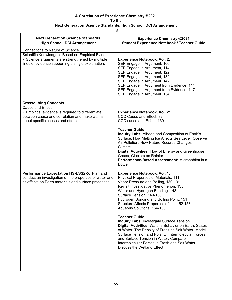$\frac{1}{2}$ 

| <b>Next Generation Science Standards</b><br><b>High School, DCI Arrangement</b>                                                                                 | <b>Experience Chemistry ©2021</b><br><b>Student Experience Notebook / Teacher Guide</b>                                                                                                                                                                                                                                                                                                                                                                                                                                                                                                                                                                                                                                           |
|-----------------------------------------------------------------------------------------------------------------------------------------------------------------|-----------------------------------------------------------------------------------------------------------------------------------------------------------------------------------------------------------------------------------------------------------------------------------------------------------------------------------------------------------------------------------------------------------------------------------------------------------------------------------------------------------------------------------------------------------------------------------------------------------------------------------------------------------------------------------------------------------------------------------|
| <b>Connections to Nature of Science</b>                                                                                                                         |                                                                                                                                                                                                                                                                                                                                                                                                                                                                                                                                                                                                                                                                                                                                   |
| Scientific Knowledge is Based on Empirical Evidence                                                                                                             |                                                                                                                                                                                                                                                                                                                                                                                                                                                                                                                                                                                                                                                                                                                                   |
| • Science arguments are strengthened by multiple<br>lines of evidence supporting a single explanation.                                                          | <b>Experience Notebook, Vol. 2:</b><br>SEP Engage in Argument, 106<br>SEP Engage in Argument, 114<br>SEP Engage in Argument, 122<br>SEP Engage in Argument, 132<br>SEP Engage in Argument, 142<br>SEP Engage in Argument from Evidence, 144<br>SEP Engage in Argument from Evidence, 147<br>SEP Engage in Argument, 154                                                                                                                                                                                                                                                                                                                                                                                                           |
| <b>Crosscutting Concepts</b>                                                                                                                                    |                                                                                                                                                                                                                                                                                                                                                                                                                                                                                                                                                                                                                                                                                                                                   |
| Cause and Effect<br>• Empirical evidence is required to differentiate<br>between cause and correlation and make claims<br>about specific causes and effects.    | <b>Experience Notebook, Vol. 2:</b><br>CCC Cause and Effect, 82<br>CCC cause and Effect, 139                                                                                                                                                                                                                                                                                                                                                                                                                                                                                                                                                                                                                                      |
|                                                                                                                                                                 | <b>Teacher Guide:</b><br>Inquiry Labs: Albedo and Composition of Earth's<br>Surface, How Melting Ice Affects Sea Level, Observe<br>Air Pollution, How Nature Records Changes in<br>Climate<br>Digital Activities: Flow of Energy and Greenhouse<br>Gases, Glaciers on Rainier<br>Performance-Based Assessment: Microhabitat in a<br><b>Bottle</b>                                                                                                                                                                                                                                                                                                                                                                                 |
| Performance Expectation HS-ESS2-5. Plan and<br>conduct an investigation of the properties of water and<br>its effects on Earth materials and surface processes. | <b>Experience Notebook, Vol. 1:</b><br>Physical Properties of Materials, 111<br>Vapor Pressure and Boiling, 130-131<br>Revisit Investigative Phenomenon, 135<br>Water and Hydrogen Bonding, 148<br>Surface Tension, 149-150<br>Hydrogen Bonding and Boiling Point, 151<br>Structure Affects Properties of Ice, 152-153<br>Aqueous Solutions, 154-155<br><b>Teacher Guide:</b><br><b>Inquiry Labs: Investigate Surface Tension</b><br>Digital Activities: Water's Behavior on Earth; States<br>of Water; The Density of Freezing Salt Water; Model<br>Surface Tension and Polarity; Intermolecular Forces<br>and Surface Tension in Water; Compare<br>Intermolecular Forces in Fresh and Salt Water;<br>Discuss the Wetland Effect |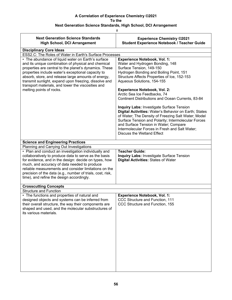|                                                                                                                                                                                                                                                                                                                                                                                                                                                                                    | #                                                                                                                                                                                                                                                                                                                                                                                                                                                                                                                                                                                                                                                                                                                  |  |  |
|------------------------------------------------------------------------------------------------------------------------------------------------------------------------------------------------------------------------------------------------------------------------------------------------------------------------------------------------------------------------------------------------------------------------------------------------------------------------------------|--------------------------------------------------------------------------------------------------------------------------------------------------------------------------------------------------------------------------------------------------------------------------------------------------------------------------------------------------------------------------------------------------------------------------------------------------------------------------------------------------------------------------------------------------------------------------------------------------------------------------------------------------------------------------------------------------------------------|--|--|
| <b>Next Generation Science Standards</b><br><b>High School, DCI Arrangement</b>                                                                                                                                                                                                                                                                                                                                                                                                    | <b>Experience Chemistry ©2021</b><br><b>Student Experience Notebook / Teacher Guide</b>                                                                                                                                                                                                                                                                                                                                                                                                                                                                                                                                                                                                                            |  |  |
| <b>Disciplinary Core Ideas</b>                                                                                                                                                                                                                                                                                                                                                                                                                                                     |                                                                                                                                                                                                                                                                                                                                                                                                                                                                                                                                                                                                                                                                                                                    |  |  |
| ESS2.C: The Roles of Water in Earth's Surface Processes                                                                                                                                                                                                                                                                                                                                                                                                                            |                                                                                                                                                                                                                                                                                                                                                                                                                                                                                                                                                                                                                                                                                                                    |  |  |
| • The abundance of liquid water on Earth's surface<br>and its unique combination of physical and chemical<br>properties are central to the planet's dynamics. These<br>properties include water's exceptional capacity to<br>absorb, store, and release large amounts of energy,<br>transmit sunlight, expand upon freezing, dissolve and<br>transport materials, and lower the viscosities and<br>melting points of rocks.                                                        | <b>Experience Notebook, Vol. 1:</b><br>Water and Hydrogen Bonding, 148<br>Surface Tension, 149-150<br>Hydrogen Bonding and Boiling Point, 151<br>Structure Affects Properties of Ice, 152-153<br>Aqueous Solutions, 154-155<br><b>Experience Notebook, Vol. 2:</b><br>Arctic Sea Ice Feedbacks, 74<br>Continent Distributions and Ocean Currents, 83-84<br><b>Inquiry Labs: Investigate Surface Tension</b><br>Digital Activities: Water's Behavior on Earth; States<br>of Water; The Density of Freezing Salt Water; Model<br>Surface Tension and Polarity; Intermolecular Forces<br>and Surface Tension in Water; Compare<br>Intermolecular Forces in Fresh and Salt Water;<br><b>Discuss the Wetland Effect</b> |  |  |
| <b>Science and Engineering Practices</b><br>Planning and Carrying Out Investigations<br>• Plan and conduct an investigation individually and<br>collaboratively to produce data to serve as the basis<br>for evidence, and in the design: decide on types, how<br>much, and accuracy of data needed to produce<br>reliable measurements and consider limitations on the<br>precision of the data (e.g., number of trials, cost, risk,<br>time), and refine the design accordingly. | <b>Teacher Guide:</b><br>Inquiry Labs: Investigate Surface Tension<br><b>Digital Activities: States of Water</b>                                                                                                                                                                                                                                                                                                                                                                                                                                                                                                                                                                                                   |  |  |
| <b>Crosscutting Concepts</b>                                                                                                                                                                                                                                                                                                                                                                                                                                                       |                                                                                                                                                                                                                                                                                                                                                                                                                                                                                                                                                                                                                                                                                                                    |  |  |
| <b>Structure and Function</b><br>• The functions and properties of natural and<br>designed objects and systems can be inferred from<br>their overall structure, the way their components are<br>shaped and used, and the molecular substructures of<br>its various materials.                                                                                                                                                                                                      | <b>Experience Notebook, Vol. 1:</b><br>CCC Structure and Function, 111<br>CCC Structure and Function, 155                                                                                                                                                                                                                                                                                                                                                                                                                                                                                                                                                                                                          |  |  |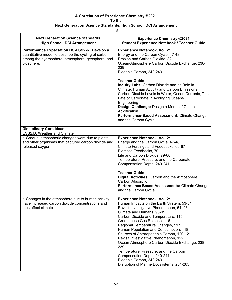| Ħ                                                                                                                                                                       |                                                                                                                                                                                                                                                                                                                                                                                                                                                                                                                                                                                                            |
|-------------------------------------------------------------------------------------------------------------------------------------------------------------------------|------------------------------------------------------------------------------------------------------------------------------------------------------------------------------------------------------------------------------------------------------------------------------------------------------------------------------------------------------------------------------------------------------------------------------------------------------------------------------------------------------------------------------------------------------------------------------------------------------------|
| <b>Next Generation Science Standards</b><br><b>High School, DCI Arrangement</b>                                                                                         | <b>Experience Chemistry ©2021</b><br><b>Student Experience Notebook / Teacher Guide</b>                                                                                                                                                                                                                                                                                                                                                                                                                                                                                                                    |
| Performance Expectation HS-ESS2-6. Develop a<br>quantitative model to describe the cycling of carbon<br>among the hydrosphere, atmosphere, geosphere, and<br>biosphere. | <b>Experience Notebook, Vol. 2:</b><br>Energy and the Carbon Cycle, 47-48<br>Erosion and Carbon Dioxide, 82<br>Ocean-Atmosphere Carbon Dioxide Exchange, 238-<br>239<br>Biogenic Carbon, 242-243                                                                                                                                                                                                                                                                                                                                                                                                           |
|                                                                                                                                                                         | <b>Teacher Guide:</b><br>Inquiry Labs: Carbon Dioxide and Its Role in<br>Climate, Human Activity and Carbon Emissions,<br>Carbon Dioxide Levels in Water, Ocean Currents, The<br>Fate of Carbonate in Acidifying Oceans<br>Engineering<br>Design Challenge: Design a Model of Ocean<br>Acidification<br>Performance-Based Assessment: Climate Change<br>and the Carbon Cycle                                                                                                                                                                                                                               |
| <b>Disciplinary Core Ideas</b>                                                                                                                                          |                                                                                                                                                                                                                                                                                                                                                                                                                                                                                                                                                                                                            |
| ESS2.D: Weather and Climate                                                                                                                                             |                                                                                                                                                                                                                                                                                                                                                                                                                                                                                                                                                                                                            |
| • Gradual atmospheric changes were due to plants<br>and other organisms that captured carbon dioxide and<br>released oxygen.                                            | <b>Experience Notebook, Vol. 2:</b><br>Energy and the Carbon Cycle, 47-48<br>Climate Forcings and Feedbacks, 66-67<br>Biomass Feedbacks, 70<br>Life and Carbon Dioxide, 79-80<br>Temperature, Pressure, and the Carbonate<br>Compensation Depth, 240-241<br><b>Teacher Guide:</b>                                                                                                                                                                                                                                                                                                                          |
|                                                                                                                                                                         | Digital Activities: Carbon and the Atmosphere;<br>Carbon Absorption<br>Performance Based Assessments: Climate Change<br>and the Carbon Cycle                                                                                                                                                                                                                                                                                                                                                                                                                                                               |
| • Changes in the atmosphere due to human activity<br>have increased carbon dioxide concentrations and<br>thus affect climate.                                           | <b>Experience Notebook, Vol. 2:</b><br>Human Impacts on the Earth System, 53-54<br>Revisit Investigative Phenomenon, 54, 96<br>Climate and Humans, 93-95<br>Carbon Dioxide and Temperature, 115<br>Greenhouse Gas Release, 116<br>Regional Temperature Changes, 117<br>Human Population and Consumption, 118<br>Sources of Anthropogenic Carbon, 120-121<br>Revisit Investigative Phenomenon, 122<br>Ocean-Atmosphere Carbon Dioxide Exchange, 238-<br>239<br>Temperature, Pressure, and the Carbon<br>Compensation Depth, 240-241<br>Biogenic Carbon, 242-243<br>Disruption of Marine Ecosystems, 264-265 |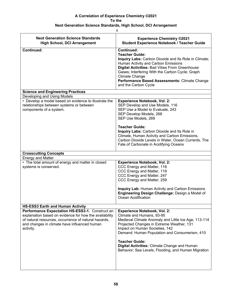| <b>Next Generation Science Standards</b><br><b>High School, DCI Arrangement</b>                                                                                                                                                | <b>Experience Chemistry ©2021</b><br><b>Student Experience Notebook / Teacher Guide</b>                                                                                                                                                                                                                                                                                                  |
|--------------------------------------------------------------------------------------------------------------------------------------------------------------------------------------------------------------------------------|------------------------------------------------------------------------------------------------------------------------------------------------------------------------------------------------------------------------------------------------------------------------------------------------------------------------------------------------------------------------------------------|
| <b>Continued:</b>                                                                                                                                                                                                              | <b>Continued:</b><br><b>Teacher Guide:</b><br>Inquiry Labs: Carbon Dioxide and Its Role in Climate;<br>Human Activity and Carbon Emissions<br>Digital Activities: Bad Vibes From Greenhouse<br>Gases; Interfering With the Carbon Cycle; Graph<br><b>Climate Change</b><br>Performance Based Assessments: Climate Change<br>and the Carbon Cycle                                         |
| <b>Science and Engineering Practices</b>                                                                                                                                                                                       |                                                                                                                                                                                                                                                                                                                                                                                          |
| Developing and Using Models                                                                                                                                                                                                    |                                                                                                                                                                                                                                                                                                                                                                                          |
| • Develop a model based on evidence to illustrate the<br>relationships between systems or between<br>components of a system.                                                                                                   | <b>Experience Notebook, Vol. 2:</b><br>SEP Develop and Use Models, 116<br>SEP Use a Model to Evaluate, 243<br>SEP Develop Models, 268<br>SEP Use Models, 269                                                                                                                                                                                                                             |
|                                                                                                                                                                                                                                | <b>Teacher Guide:</b><br>Inquiry Labs: Carbon Dioxide and Its Role in<br>Climate, Human Activity and Carbon Emissions,<br>Carbon Dioxide Levels in Water, Ocean Currents, The<br>Fate of Carbonate in Acidifying Oceans                                                                                                                                                                  |
| <b>Crosscutting Concepts</b>                                                                                                                                                                                                   |                                                                                                                                                                                                                                                                                                                                                                                          |
| <b>Energy and Matter</b><br>• The total amount of energy and matter in closed<br>systems is conserved.                                                                                                                         | <b>Experience Notebook, Vol. 2:</b><br>CCC Energy and Matter, 118<br>CCC Energy and Matter, 119<br>CCC Energy and Matter, 247<br>CCC Energy and Matter, 259                                                                                                                                                                                                                              |
|                                                                                                                                                                                                                                | <b>Inquiry Lab: Human Activity and Carbon Emissions</b><br>Engineering Design Challenge: Design a Model of<br>Ocean Acidification                                                                                                                                                                                                                                                        |
| <b>HS-ESS3 Earth and Human Activity</b>                                                                                                                                                                                        |                                                                                                                                                                                                                                                                                                                                                                                          |
| Performance Expectation HS-ESS3-1. Construct an<br>explanation based on evidence for how the availability<br>of natural resources, occurrence of natural hazards,<br>and changes in climate have influenced human<br>activity. | <b>Experience Notebook, Vol. 2:</b><br>Climate and Humans, 93-95<br>Medieval Climate Anomaly and Little Ice Age, 113-114<br>Projected Changes in Extreme Weather, 131<br>Impact on Human Societies, 142<br>Demand: Human Population and Consumerism, 410<br><b>Teacher Guide:</b><br>Digital Activities: Climate Change and Human<br>Behavior; Sea Levels, Flooding, and Human Migration |
|                                                                                                                                                                                                                                |                                                                                                                                                                                                                                                                                                                                                                                          |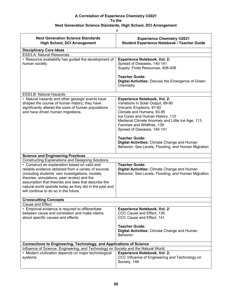| <b>Next Generation Science Standards</b><br><b>High School, DCI Arrangement</b>                                                                                                                                                                                                                                                                                     | <b>Experience Chemistry ©2021</b><br><b>Student Experience Notebook / Teacher Guide</b>                                                                                                                                                                                                 |
|---------------------------------------------------------------------------------------------------------------------------------------------------------------------------------------------------------------------------------------------------------------------------------------------------------------------------------------------------------------------|-----------------------------------------------------------------------------------------------------------------------------------------------------------------------------------------------------------------------------------------------------------------------------------------|
| <b>Disciplinary Core Ideas</b><br><b>ESS3.A: Natural Resources</b>                                                                                                                                                                                                                                                                                                  |                                                                                                                                                                                                                                                                                         |
| • Resource availability has guided the development of<br>human society.                                                                                                                                                                                                                                                                                             | <b>Experience Notebook, Vol. 2:</b><br>Spread of Diseases, 140-141<br>Supply: Finite Resources, 408-409                                                                                                                                                                                 |
|                                                                                                                                                                                                                                                                                                                                                                     | <b>Teacher Guide:</b><br>Digital Activities: Discuss the Emergence of Green<br>Chemistry                                                                                                                                                                                                |
| ESS3.B: Natural Hazards                                                                                                                                                                                                                                                                                                                                             |                                                                                                                                                                                                                                                                                         |
| • Natural hazards and other geologic events have<br>shaped the course of human history; they have<br>significantly altered the sizes of human populations<br>and have driven human migrations.                                                                                                                                                                      | <b>Experience Notebook, Vol. 2:</b><br>Variations in Solar Output, 89-90<br>Volcanic Eruptions, 91-92<br>Climate and Humans, 93-95<br>Ice Cores and Human History, 110<br>Medieval Climate Anomaly and Little Ice Age, 113<br>Famines and Wildfires, 139<br>Spread of Diseases, 140-141 |
|                                                                                                                                                                                                                                                                                                                                                                     | <b>Teacher Guide:</b><br>Digital Activities: Climate Change and Human<br>Behavior; Sea Levels, Flooding, and Human Migration                                                                                                                                                            |
| <b>Science and Engineering Practices</b>                                                                                                                                                                                                                                                                                                                            |                                                                                                                                                                                                                                                                                         |
| <b>Constructing Explanations and Designing Solutions</b>                                                                                                                                                                                                                                                                                                            |                                                                                                                                                                                                                                                                                         |
| • Construct an explanation based on valid and<br>reliable evidence obtained from a variety of sources<br>(including students' own investigations, models,<br>theories, simulations, peer review) and the<br>assumption that theories and laws that describe the<br>natural world operate today as they did in the past and<br>will continue to do so in the future. | <b>Teacher Guide:</b><br>Digital Activities: Climate Change and Human<br>Behavior; Sea Levels, Flooding, and Human Migration                                                                                                                                                            |
| <b>Crosscutting Concepts</b>                                                                                                                                                                                                                                                                                                                                        |                                                                                                                                                                                                                                                                                         |
| Cause and Effect                                                                                                                                                                                                                                                                                                                                                    |                                                                                                                                                                                                                                                                                         |
| • Empirical evidence is required to differentiate<br>between cause and correlation and make claims<br>about specific causes and effects.                                                                                                                                                                                                                            | <b>Experience Notebook, Vol. 2:</b><br>CCC Cause and Effect, 139<br>CCC Cause and Effect, 141                                                                                                                                                                                           |
|                                                                                                                                                                                                                                                                                                                                                                     | <b>Teacher Guide:</b><br>Digital Activities: Climate Change and Human<br>Behavior                                                                                                                                                                                                       |
| <b>Connections to Engineering, Technology, and Applications of Science</b>                                                                                                                                                                                                                                                                                          |                                                                                                                                                                                                                                                                                         |
| Influence of Science, Engineering, and Technology on Society and the Natural World                                                                                                                                                                                                                                                                                  |                                                                                                                                                                                                                                                                                         |
| • Modern civilization depends on major technological<br>systems.                                                                                                                                                                                                                                                                                                    | <b>Experience Notebook, Vol. 2:</b><br>CCC Influence of Engineering and Technology on<br>Society, 146                                                                                                                                                                                   |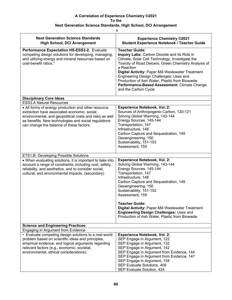|                                                                                                                                                                                                                                                                    | #                                                                                                                                                                                                                                                                                                                                                                                                                                                      |  |
|--------------------------------------------------------------------------------------------------------------------------------------------------------------------------------------------------------------------------------------------------------------------|--------------------------------------------------------------------------------------------------------------------------------------------------------------------------------------------------------------------------------------------------------------------------------------------------------------------------------------------------------------------------------------------------------------------------------------------------------|--|
| <b>Next Generation Science Standards</b><br><b>High School, DCI Arrangement</b>                                                                                                                                                                                    | <b>Experience Chemistry ©2021</b><br><b>Student Experience Notebook / Teacher Guide</b>                                                                                                                                                                                                                                                                                                                                                                |  |
| Performance Expectation HS-ESS3-2. Evaluate<br>competing design solutions for developing, managing,<br>and utilizing energy and mineral resources based on<br>cost-benefit ratios.*                                                                                | <b>Teacher Guide:</b><br>Inquiry Labs: Carbon Dioxide and Its Role in<br>Climate, Solar Cell Technology, Investigate the<br>Toxicity of Road Deicers, Green Chemistry Analysis of<br>a Reaction<br><b>Digital Activity: Paper Mill Wastewater Treatment</b><br>Engineering Design Challenges: Uses and<br>Production of Ash Water, Plastic from Biowaste<br>Performance-Based Assessment: Climate Change<br>and the Carbon Cycle                       |  |
| <b>Disciplinary Core Ideas</b>                                                                                                                                                                                                                                     |                                                                                                                                                                                                                                                                                                                                                                                                                                                        |  |
| <b>ESS3.A Natural Resources</b>                                                                                                                                                                                                                                    |                                                                                                                                                                                                                                                                                                                                                                                                                                                        |  |
| • All forms of energy production and other resource<br>extraction have associated economic, social,<br>environmental, and geopolitical costs and risks as well<br>as benefits. New technologies and social regulations<br>can change the balance of these factors. | <b>Experience Notebook, Vol. 2:</b><br>Sources of Anthropogenic Carbon, 120-121<br>Solving Global Warming, 143-144<br>Energy Sources, 145-144<br>Transportation, 147<br>Infrastructure, 148<br>Carbon Capture and Sequestration, 149<br>Geoengineering, 150<br>Sustainability, 151-153<br>Assessment, 155                                                                                                                                              |  |
| ETS1.B: Developing Possible Solutions                                                                                                                                                                                                                              |                                                                                                                                                                                                                                                                                                                                                                                                                                                        |  |
| • When evaluating solutions, it is important to take into<br>account a range of constraints, including cost, safety,<br>reliability, and aesthetics, and to consider social,<br>cultural, and environmental impacts. (secondary)                                   | <b>Experience Notebook, Vol. 2:</b><br>Solving Global Warming, 143-144<br>Energy Sources, 145-144<br>Transportation, 147<br>Infrastructure, 148<br>Carbon Capture and Sequestration, 149<br>Geoengineering, 150<br>Sustainability, 151-152<br>Assessment, 155<br><b>Teacher Guide:</b><br><b>Digital Activity: Paper Mill Wastewater Treatment</b><br><b>Engineering Design Challenges: Uses and</b><br>Production of Ash Water, Plastic from Biowaste |  |
| <b>Science and Engineering Practices</b>                                                                                                                                                                                                                           |                                                                                                                                                                                                                                                                                                                                                                                                                                                        |  |
| Engaging in Argument from Evidence                                                                                                                                                                                                                                 |                                                                                                                                                                                                                                                                                                                                                                                                                                                        |  |
| • Evaluate competing design solutions to a real-world<br>problem based on scientific ideas and principles,<br>empirical evidence, and logical arguments regarding<br>relevant factors (e.g., economic, societal,<br>environmental, ethical considerations).        | <b>Experience Notebook, Vol. 2:</b><br>SEP Engage in Argument, 122<br>SEP Engage in Argument, 132<br>SEP Engage in Argument, 142<br>SEP Engage in Argument from Evidence, 144<br>SEP Engage in Argument from Evidence, 147<br>SEP Engage in Argument, 154<br>SEP Evaluate Solutions, 409<br>SEP Evaluate Solution, 424                                                                                                                                 |  |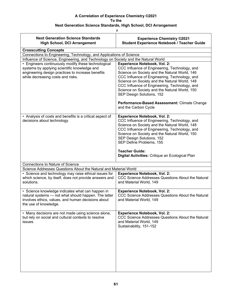| #                                                                                                                                                                                       |                                                                                                                                                                                                                                                                                                                                                                              |
|-----------------------------------------------------------------------------------------------------------------------------------------------------------------------------------------|------------------------------------------------------------------------------------------------------------------------------------------------------------------------------------------------------------------------------------------------------------------------------------------------------------------------------------------------------------------------------|
| <b>Next Generation Science Standards</b><br><b>High School, DCI Arrangement</b>                                                                                                         | <b>Experience Chemistry ©2021</b><br><b>Student Experience Notebook / Teacher Guide</b>                                                                                                                                                                                                                                                                                      |
| <b>Crosscutting Concepts</b>                                                                                                                                                            |                                                                                                                                                                                                                                                                                                                                                                              |
| Connections to Engineering, Technology, and Applications of Science                                                                                                                     |                                                                                                                                                                                                                                                                                                                                                                              |
| Influence of Science, Engineering, and Technology on Society and the Natural World<br>• Engineers continuously modify these technological                                               | <b>Experience Notebook, Vol. 2:</b>                                                                                                                                                                                                                                                                                                                                          |
| systems by applying scientific knowledge and<br>engineering design practices to increase benefits<br>while decreasing costs and risks.                                                  | CCC Influence of Engineering, Technology, and<br>Science on Society and the Natural World, 146<br>CCC Influence of Engineering, Technology, and<br>Science on Society and the Natural World, 148<br>CCC Influence of Engineering, Technology, and<br>Science on Society and the Natural World, 150<br>SEP Design Solutions, 152                                              |
|                                                                                                                                                                                         | Performance-Based Assessment: Climate Change<br>and the Carbon Cycle                                                                                                                                                                                                                                                                                                         |
| • Analysis of costs and benefits is a critical aspect of<br>decisions about technology.                                                                                                 | <b>Experience Notebook, Vol. 2:</b><br>CCC Influence of Engineering, Technology, and<br>Science on Society and the Natural World, 148<br>CCC Influence of Engineering, Technology, and<br>Science on Society and the Natural World, 150<br>SEP Design Solutions, 152<br>SEP Define Problems, 155<br><b>Teacher Guide:</b><br>Digital Activities: Critique an Ecological Plan |
| <b>Connections to Nature of Science</b>                                                                                                                                                 |                                                                                                                                                                                                                                                                                                                                                                              |
| Science Addresses Questions About the Natural and Material World                                                                                                                        |                                                                                                                                                                                                                                                                                                                                                                              |
| • Science and technology may raise ethical issues for<br>which science, by itself, does not provide answers and<br>solutions.                                                           | <b>Experience Notebook, Vol. 2:</b><br>CCC Science Addresses Questions About the Natural<br>and Material World, 149                                                                                                                                                                                                                                                          |
| • Science knowledge indicates what can happen in<br>natural systems - not what should happen. The latter<br>involves ethics, values, and human decisions about<br>the use of knowledge. | <b>Experience Notebook, Vol. 2:</b><br>CCC Science Addresses Questions About the Natural<br>and Material World, 149                                                                                                                                                                                                                                                          |
| • Many decisions are not made using science alone,<br>but rely on social and cultural contexts to resolve<br>issues.                                                                    | <b>Experience Notebook, Vol. 2:</b><br>CCC Science Addresses Questions About the Natural<br>and Material World, 149<br>Sustainability, 151-152                                                                                                                                                                                                                               |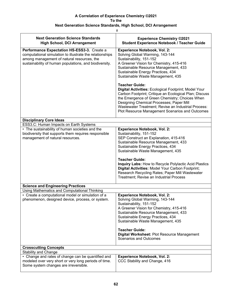| #                                                                                                                                                                                                               |                                                                                                                                                                                                                                                                                                                                                                                                                                                                                                                                                                                                                   |  |
|-----------------------------------------------------------------------------------------------------------------------------------------------------------------------------------------------------------------|-------------------------------------------------------------------------------------------------------------------------------------------------------------------------------------------------------------------------------------------------------------------------------------------------------------------------------------------------------------------------------------------------------------------------------------------------------------------------------------------------------------------------------------------------------------------------------------------------------------------|--|
| <b>Next Generation Science Standards</b><br><b>High School, DCI Arrangement</b>                                                                                                                                 | <b>Experience Chemistry ©2021</b><br><b>Student Experience Notebook / Teacher Guide</b>                                                                                                                                                                                                                                                                                                                                                                                                                                                                                                                           |  |
| Performance Expectation HS-ESS3-3. Create a<br>computational simulation to illustrate the relationships<br>among management of natural resources, the<br>sustainability of human populations, and biodiversity. | <b>Experience Notebook, Vol. 2:</b><br>Solving Global Warming, 143-144<br>Sustainability, 151-152<br>A Greener Vision for Chemistry, 415-416<br>Sustainable Resource Management, 433<br>Sustainable Energy Practices, 434<br>Sustainable Waste Management, 435<br><b>Teacher Guide:</b><br>Digital Activities: Ecological Footprint; Model Your<br>Carbon Footprint; Critique an Ecological Plan; Discuss<br>the Emergence of Green Chemistry; Choices When<br>Designing Chemical Processes; Paper Mill<br>Wastewater Treatment; Revise an Industrial Process:<br>Plot Resource Management Scenarios and Outcomes |  |
| <b>Disciplinary Core Ideas</b>                                                                                                                                                                                  |                                                                                                                                                                                                                                                                                                                                                                                                                                                                                                                                                                                                                   |  |
| ESS3.C: Human Impacts on Earth Systems                                                                                                                                                                          |                                                                                                                                                                                                                                                                                                                                                                                                                                                                                                                                                                                                                   |  |
| • The sustainability of human societies and the<br>biodiversity that supports them requires responsible<br>management of natural resources.                                                                     | <b>Experience Notebook, Vol. 2:</b><br>Sustainability, 151-152<br>SEP Construct an Explanation, 415-416<br>Sustainable Resource Management, 433<br>Sustainable Energy Practices, 434<br>Sustainable Waste Management, 435<br><b>Teacher Guide:</b>                                                                                                                                                                                                                                                                                                                                                                |  |
|                                                                                                                                                                                                                 | <b>Inquiry Labs: How to Recycle Polylactic Acid Plastics</b><br>Digital Activities: Model Your Carbon Footprint;<br>Research Recycling Rates; Paper Mill Wastewater<br>Treatment; Revise an Industrial Process                                                                                                                                                                                                                                                                                                                                                                                                    |  |
| <b>Science and Engineering Practices</b>                                                                                                                                                                        |                                                                                                                                                                                                                                                                                                                                                                                                                                                                                                                                                                                                                   |  |
| Using Mathematics and Computational Thinking                                                                                                                                                                    |                                                                                                                                                                                                                                                                                                                                                                                                                                                                                                                                                                                                                   |  |
| • Create a computational model or simulation of a<br>phenomenon, designed device, process, or system.                                                                                                           | <b>Experience Notebook, Vol. 2:</b><br>Solving Global Warming, 143-144<br>Sustainability, 151-152<br>A Greener Vision for Chemistry, 415-416<br>Sustainable Resource Management, 433<br>Sustainable Energy Practices, 434<br>Sustainable Waste Management, 435                                                                                                                                                                                                                                                                                                                                                    |  |
|                                                                                                                                                                                                                 | <b>Teacher Guide:</b><br>Digital Worksheet: Plot Resource Management<br><b>Scenarios and Outcomes</b>                                                                                                                                                                                                                                                                                                                                                                                                                                                                                                             |  |
| <b>Crosscutting Concepts</b>                                                                                                                                                                                    |                                                                                                                                                                                                                                                                                                                                                                                                                                                                                                                                                                                                                   |  |
| <b>Stability and Change</b>                                                                                                                                                                                     |                                                                                                                                                                                                                                                                                                                                                                                                                                                                                                                                                                                                                   |  |
| • Change and rates of change can be quantified and<br>modeled over very short or very long periods of time.<br>Some system changes are irreversible.                                                            | <b>Experience Notebook, Vol. 2:</b><br>CCC Stability and Change, 416                                                                                                                                                                                                                                                                                                                                                                                                                                                                                                                                              |  |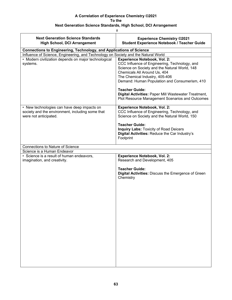| #                                                                                                                        |                                                                                                                                                                                                                                                          |  |
|--------------------------------------------------------------------------------------------------------------------------|----------------------------------------------------------------------------------------------------------------------------------------------------------------------------------------------------------------------------------------------------------|--|
| <b>Next Generation Science Standards</b><br><b>High School, DCI Arrangement</b>                                          | <b>Experience Chemistry ©2021</b><br><b>Student Experience Notebook / Teacher Guide</b>                                                                                                                                                                  |  |
| <b>Connections to Engineering, Technology, and Applications of Science</b>                                               |                                                                                                                                                                                                                                                          |  |
| Influence of Science, Engineering, and Technology on Society and the Natural World                                       |                                                                                                                                                                                                                                                          |  |
| • Modern civilization depends on major technological<br>systems.                                                         | <b>Experience Notebook, Vol. 2:</b><br>CCC Influence of Engineering, Technology, and<br>Science on Society and the Natural World, 148<br>Chemicals All Around Us, 404<br>The Chemical Industry, 405-406<br>Demand: Human Population and Consumerism, 410 |  |
|                                                                                                                          | <b>Teacher Guide:</b><br>Digital Activities: Paper Mill Wastewater Treatment,<br>Plot Resource Management Scenarios and Outcomes                                                                                                                         |  |
| • New technologies can have deep impacts on<br>society and the environment, including some that<br>were not anticipated. | <b>Experience Notebook, Vol. 2:</b><br>CCC Influence of Engineering, Technology, and<br>Science on Society and the Natural World, 150                                                                                                                    |  |
|                                                                                                                          | <b>Teacher Guide:</b><br><b>Inquiry Labs: Toxicity of Road Deicers</b><br>Digital Activities: Reduce the Car Industry's<br>Footprint                                                                                                                     |  |
| <b>Connections to Nature of Science</b>                                                                                  |                                                                                                                                                                                                                                                          |  |
| Science is a Human Endeavor                                                                                              |                                                                                                                                                                                                                                                          |  |
| • Science is a result of human endeavors,<br>imagination, and creativity.                                                | <b>Experience Notebook, Vol. 2:</b><br>Research and Development, 405                                                                                                                                                                                     |  |
|                                                                                                                          | <b>Teacher Guide:</b><br>Digital Activities: Discuss the Emergence of Green<br>Chemistry                                                                                                                                                                 |  |
|                                                                                                                          |                                                                                                                                                                                                                                                          |  |
|                                                                                                                          |                                                                                                                                                                                                                                                          |  |
|                                                                                                                          |                                                                                                                                                                                                                                                          |  |
|                                                                                                                          |                                                                                                                                                                                                                                                          |  |
|                                                                                                                          |                                                                                                                                                                                                                                                          |  |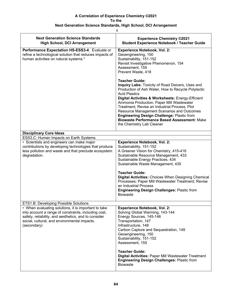### **Next Generation Science Standards, High School, DCI Arrangement**

| <b>Next Generation Science Standards</b><br><b>High School, DCI Arrangement</b>                                                                                                                                                     | <b>Experience Chemistry ©2021</b><br><b>Student Experience Notebook / Teacher Guide</b>                                                                                                                                                                                                                                                                                                                                                                                                                                                                                                                                                                                     |
|-------------------------------------------------------------------------------------------------------------------------------------------------------------------------------------------------------------------------------------|-----------------------------------------------------------------------------------------------------------------------------------------------------------------------------------------------------------------------------------------------------------------------------------------------------------------------------------------------------------------------------------------------------------------------------------------------------------------------------------------------------------------------------------------------------------------------------------------------------------------------------------------------------------------------------|
| Performance Expectation HS-ESS3-4. Evaluate or<br>refine a technological solution that reduces impacts of<br>human activities on natural systems.*                                                                                  | <b>Experience Notebook, Vol. 2:</b><br>Geoengineering, 150<br>Sustainability, 151-152<br>Revisit Investigative Phenomenon, 154<br>Assessment, 155<br>Prevent Waste, 418<br><b>Teacher Guide:</b><br>Inquiry Labs: Toxicity of Road Deicers, Uses and<br>Production of Ash Water, How to Recycle Polylactic<br><b>Acid Plastics</b><br>Digital Activities & Worksheets: Energy-Efficient<br>Ammonia Production, Paper Mill Wastewater<br>Treatment, Revise an Industrial Process, Plot<br>Resource Management Scenarios and Outcomes<br><b>Engineering Design Challenge: Plastic from</b><br><b>Biowaste Performance Based Assessment: Make</b><br>the Chemistry Lab Cleaner |
| <b>Disciplinary Core Ideas</b>                                                                                                                                                                                                      |                                                                                                                                                                                                                                                                                                                                                                                                                                                                                                                                                                                                                                                                             |
| ESS3.C: Human Impacts on Earth Systems                                                                                                                                                                                              |                                                                                                                                                                                                                                                                                                                                                                                                                                                                                                                                                                                                                                                                             |
| • Scientists and engineers can make major<br>contributions by developing technologies that produce<br>less pollution and waste and that preclude ecosystem<br>degradation.                                                          | <b>Experience Notebook, Vol. 2:</b><br>Sustainability, 151-152<br>A Greener Vision for Chemistry, 415-416<br>Sustainable Resource Management, 433<br>Sustainable Energy Practices, 434<br>Sustainable Waste Management, 435<br><b>Teacher Guide:</b><br><b>Digital Activities: Choices When Designing Chemical</b><br>Processes; Paper Mill Wastewater Treatment; Revise<br>an Industrial Process<br><b>Engineering Design Challenges: Plastic from</b><br><b>Biowaste</b>                                                                                                                                                                                                  |
| <b>ETS1.B: Developing Possible Solutions</b>                                                                                                                                                                                        |                                                                                                                                                                                                                                                                                                                                                                                                                                                                                                                                                                                                                                                                             |
| • When evaluating solutions, it is important to take<br>into account a range of constraints, including cost,<br>safety, reliability, and aesthetics, and to consider<br>social, cultural, and environmental impacts.<br>(secondary) | <b>Experience Notebook, Vol. 2:</b><br>Solving Global Warming, 143-144<br>Energy Sources, 145-146<br>Transportation, 147<br>Infrastructure, 148<br>Carbon Capture and Sequestration, 149<br>Geoengineering, 150<br>Sustainability, 151-152<br>Assessment, 155<br><b>Teacher Guide:</b><br><b>Digital Activities: Paper Mill Wastewater Treatment</b>                                                                                                                                                                                                                                                                                                                        |
|                                                                                                                                                                                                                                     | <b>Engineering Design Challenges: Plastic from</b><br><b>Biowaste</b>                                                                                                                                                                                                                                                                                                                                                                                                                                                                                                                                                                                                       |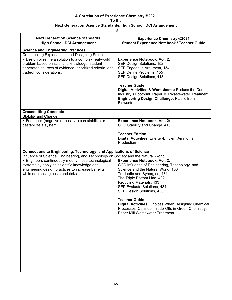| $\#$                                                                                                                                                                                          |                                                                                                                                                                                                                                                                                   |  |
|-----------------------------------------------------------------------------------------------------------------------------------------------------------------------------------------------|-----------------------------------------------------------------------------------------------------------------------------------------------------------------------------------------------------------------------------------------------------------------------------------|--|
| <b>Next Generation Science Standards</b><br><b>High School, DCI Arrangement</b>                                                                                                               | <b>Experience Chemistry ©2021</b><br><b>Student Experience Notebook / Teacher Guide</b>                                                                                                                                                                                           |  |
| <b>Science and Engineering Practices</b>                                                                                                                                                      |                                                                                                                                                                                                                                                                                   |  |
| <b>Constructing Explanations and Designing Solutions</b>                                                                                                                                      |                                                                                                                                                                                                                                                                                   |  |
| • Design or refine a solution to a complex real-world<br>problem based on scientific knowledge, student-                                                                                      | <b>Experience Notebook, Vol. 2:</b><br>SEP Design Solutions, 152                                                                                                                                                                                                                  |  |
| generated sources of evidence, prioritized criteria, and                                                                                                                                      | SEP Engage in Argument, 154                                                                                                                                                                                                                                                       |  |
| tradeoff considerations.                                                                                                                                                                      | SEP Define Problems, 155                                                                                                                                                                                                                                                          |  |
|                                                                                                                                                                                               | SEP Design Solutions, 418                                                                                                                                                                                                                                                         |  |
|                                                                                                                                                                                               | <b>Teacher Guide:</b><br>Digital Activities & Worksheets: Reduce the Car<br>Industry's Footprint, Paper Mill Wastewater Treatment<br><b>Engineering Design Challenge: Plastic from</b><br><b>Biowaste</b>                                                                         |  |
| <b>Crosscutting Concepts</b>                                                                                                                                                                  |                                                                                                                                                                                                                                                                                   |  |
| <b>Stability and Change</b>                                                                                                                                                                   |                                                                                                                                                                                                                                                                                   |  |
| • Feedback (negative or positive) can stabilize or<br>destabilize a system.                                                                                                                   | <b>Experience Notebook, Vol. 2:</b><br>CCC Stability and Change, 416                                                                                                                                                                                                              |  |
|                                                                                                                                                                                               | <b>Teacher Edition:</b><br><b>Digital Activities: Energy-Efficient Ammonia</b><br>Production                                                                                                                                                                                      |  |
| <b>Connections to Engineering, Technology, and Applications of Science</b>                                                                                                                    |                                                                                                                                                                                                                                                                                   |  |
| Influence of Science, Engineering, and Technology on Society and the Natural World                                                                                                            |                                                                                                                                                                                                                                                                                   |  |
| • Engineers continuously modify these technological<br>systems by applying scientific knowledge and<br>engineering design practices to increase benefits<br>while decreasing costs and risks. | <b>Experience Notebook, Vol. 2:</b><br>CCC Influence of Engineering, Technology, and<br>Science and the Natural World, 150<br>Tradeoffs and Synergies, 431<br>The Triple Bottom Line, 432<br>Recycling Materials, 433<br>SEP Evaluate Solutions, 434<br>SEP Design Solutions, 435 |  |
|                                                                                                                                                                                               | <b>Teacher Guide:</b><br>Digital Activities: Choices When Designing Chemical<br>Processes; Consider Trade-Offs in Green Chemistry;<br>Paper Mill Wastewater Treatment                                                                                                             |  |
|                                                                                                                                                                                               |                                                                                                                                                                                                                                                                                   |  |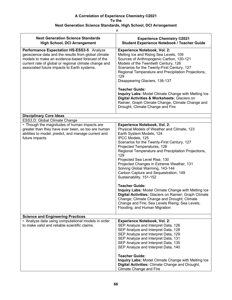| $\#$                                                                                                                                                                                                                                                          |                                                                                                                                                                                                                                                                                                                                                                                                                                                                                                                                                                                                                                                                                                                                                  |  |
|---------------------------------------------------------------------------------------------------------------------------------------------------------------------------------------------------------------------------------------------------------------|--------------------------------------------------------------------------------------------------------------------------------------------------------------------------------------------------------------------------------------------------------------------------------------------------------------------------------------------------------------------------------------------------------------------------------------------------------------------------------------------------------------------------------------------------------------------------------------------------------------------------------------------------------------------------------------------------------------------------------------------------|--|
| <b>Next Generation Science Standards</b><br><b>High School, DCI Arrangement</b>                                                                                                                                                                               | <b>Experience Chemistry ©2021</b><br><b>Student Experience Notebook / Teacher Guide</b>                                                                                                                                                                                                                                                                                                                                                                                                                                                                                                                                                                                                                                                          |  |
| Performance Expectation HS-ESS3-5. Analyze<br>geoscience data and the results from global climate<br>models to make an evidence-based forecast of the<br>current rate of global or regional climate change and<br>associated future impacts to Earth systems. | <b>Experience Notebook, Vol. 2:</b><br>Melting Ice and Rising Sea Levels, 109<br>Sources of Anthropogenic Carbon, 120-121<br>Models of the Twentieth Century, 126<br>Scenarios for the Twenty-First Century, 127<br>Regional Temperature and Precipitation Projections,<br>129<br>Disappearing Glaciers, 136-137                                                                                                                                                                                                                                                                                                                                                                                                                                 |  |
|                                                                                                                                                                                                                                                               | <b>Teacher Guide:</b><br>Inquiry Labs: Model Climate Change with Melting Ice<br>Digital Activities & Worksheets: Glaciers on<br>Rainier, Graph Climate Change, Climate Change and<br>Drought, Climate Change and Fire                                                                                                                                                                                                                                                                                                                                                                                                                                                                                                                            |  |
| <b>Disciplinary Core Ideas</b>                                                                                                                                                                                                                                |                                                                                                                                                                                                                                                                                                                                                                                                                                                                                                                                                                                                                                                                                                                                                  |  |
| ESS3.D: Global Climate Change                                                                                                                                                                                                                                 |                                                                                                                                                                                                                                                                                                                                                                                                                                                                                                                                                                                                                                                                                                                                                  |  |
| • Though the magnitudes of human impacts are<br>greater than they have ever been, so too are human<br>abilities to model, predict, and manage current and<br>future impacts.                                                                                  | <b>Experience Notebook, Vol. 2:</b><br>Physical Models of Weather and Climate, 123<br>Earth System Models, 124<br>IPCC Models, 125<br>Scenarios for the Twenty-First Century, 127<br>Projected Temperatures, 128<br>Regional Temperature and Precipitation Projections,<br>129<br>Projected Sea Level Rise, 130<br>Projected Changes in Extreme Weather, 131<br>Solving Global Warming, 143-144<br>Carbon Capture and Sequestration, 149<br>Sustainability, 151-152<br><b>Teacher Guide:</b><br>Inquiry Labs: Model Climate Change with Melting Ice<br>Digital Activities: Glaciers on Rainier; Graph Climate<br>Change; Climate Change and Drought; Climate<br>Change and Fire; Sea Levels Rising; Sea Levels,<br>Flooding, and Human Migration |  |
| <b>Science and Engineering Practices</b>                                                                                                                                                                                                                      |                                                                                                                                                                                                                                                                                                                                                                                                                                                                                                                                                                                                                                                                                                                                                  |  |
| • Analyze data using computational models in order<br>to make valid and reliable scientific claims.                                                                                                                                                           | <b>Experience Notebook, Vol. 2:</b><br>SEP Analyze and Interpret Data, 126<br>SEP Analyze and Interpret Data, 128<br>SEP Analyze and Interpret Data, 129<br>SEP Analyze and Interpret Data, 131<br>SEP Analyze and Interpret Data, 135<br>SEP Analyze and Interpret Data, 140                                                                                                                                                                                                                                                                                                                                                                                                                                                                    |  |
|                                                                                                                                                                                                                                                               | <b>Teacher Guide:</b><br>Inquiry Labs: Model Climate Change with Melting Ice<br>Digital Activities: Climate Change and Drought,<br><b>Climate Change and Fire</b>                                                                                                                                                                                                                                                                                                                                                                                                                                                                                                                                                                                |  |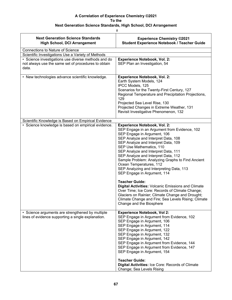| ۰                     |  |
|-----------------------|--|
| r<br>٠<br>W<br>×<br>× |  |

| <b>Next Generation Science Standards</b><br><b>High School, DCI Arrangement</b>                                     | <b>Experience Chemistry ©2021</b><br><b>Student Experience Notebook / Teacher Guide</b>                                                                                                                                                                                                                                                                                                                                                                                                                                                                                                                                                                           |
|---------------------------------------------------------------------------------------------------------------------|-------------------------------------------------------------------------------------------------------------------------------------------------------------------------------------------------------------------------------------------------------------------------------------------------------------------------------------------------------------------------------------------------------------------------------------------------------------------------------------------------------------------------------------------------------------------------------------------------------------------------------------------------------------------|
| <b>Connections to Nature of Science</b>                                                                             |                                                                                                                                                                                                                                                                                                                                                                                                                                                                                                                                                                                                                                                                   |
| Scientific Investigations Use a Variety of Methods                                                                  |                                                                                                                                                                                                                                                                                                                                                                                                                                                                                                                                                                                                                                                                   |
| • Science investigations use diverse methods and do<br>not always use the same set of procedures to obtain<br>data. | <b>Experience Notebook, Vol. 2:</b><br>SEP Plan an Investigation, 54                                                                                                                                                                                                                                                                                                                                                                                                                                                                                                                                                                                              |
| • New technologies advance scientific knowledge.                                                                    | <b>Experience Notebook, Vol. 2:</b><br>Earth System Models, 124<br>IPCC Models, 125<br>Scenarios for the Twenty-First Century, 127<br>Regional Temperature and Precipitation Projections,<br>129<br>Projected Sea Level Rise, 130<br>Projected Changes in Extreme Weather, 131<br>Revisit Investigative Phenomenon, 132                                                                                                                                                                                                                                                                                                                                           |
| Scientific Knowledge is Based on Empirical Evidence                                                                 |                                                                                                                                                                                                                                                                                                                                                                                                                                                                                                                                                                                                                                                                   |
| · Science knowledge is based on empirical evidence.                                                                 | <b>Experience Notebook, Vol. 2:</b><br>SEP Engage in an Argument from Evidence, 102<br>SEP Engage in Argument, 106<br>SEP Analyze and Interpret Data, 108<br>SEP Analyze and Interpret Data, 109<br>SEP Use Mathematics, 110<br>SEP Analyze and Interpret Data, 111<br>SEP Analyze and Interpret Data, 112<br>Sample Problem: Analyzing Graphs to Find Ancient<br>Ocean Temperatures, 112<br>SEP Analyzing and Interpreting Data, 113<br>SEP Engage in Argument, 114<br><b>Teacher Guide:</b><br><b>Digital Activities: Volcanic Emissions and Climate</b><br>Over Time; Ice Core: Records of Climate Change;<br>Glaciers on Rainier; Climate Change and Drought; |
|                                                                                                                     | Climate Change and Fire; Sea Levels Rising; Climate<br>Change and the Biosphere                                                                                                                                                                                                                                                                                                                                                                                                                                                                                                                                                                                   |
| • Science arguments are strengthened by multiple<br>lines of evidence supporting a single explanation.              | <b>Experience Notebook, Vol 2:</b><br>SEP Engage in Argument from Evidence, 102<br>SEP Engage in Argument, 106<br>SEP Engage in Argument, 114<br>SEP Engage in Argument, 122<br>SEP Engage in Argument, 132<br>SEP Engage in Argument, 142<br>SEP Engage in Argument from Evidence, 144<br>SEP Engage in Argument from Evidence, 147<br>SEP Engage in Argument, 154                                                                                                                                                                                                                                                                                               |
|                                                                                                                     | <b>Teacher Guide:</b><br>Digital Activities: Ice Core: Records of Climate<br>Change; Sea Levels Rising                                                                                                                                                                                                                                                                                                                                                                                                                                                                                                                                                            |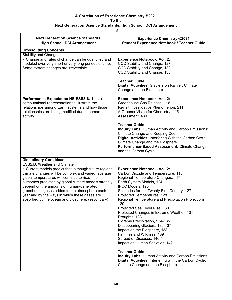| <b>Next Generation Science Standards</b><br><b>High School, DCI Arrangement</b>                                                                                                                                                                                                                                                                                                                                            | <b>Experience Chemistry ©2021</b><br><b>Student Experience Notebook / Teacher Guide</b>                                                                                                                                                                                                                                                                                                                                                                                                                                                                                                                       |
|----------------------------------------------------------------------------------------------------------------------------------------------------------------------------------------------------------------------------------------------------------------------------------------------------------------------------------------------------------------------------------------------------------------------------|---------------------------------------------------------------------------------------------------------------------------------------------------------------------------------------------------------------------------------------------------------------------------------------------------------------------------------------------------------------------------------------------------------------------------------------------------------------------------------------------------------------------------------------------------------------------------------------------------------------|
| <b>Crosscutting Concepts</b>                                                                                                                                                                                                                                                                                                                                                                                               |                                                                                                                                                                                                                                                                                                                                                                                                                                                                                                                                                                                                               |
| <b>Stability and Change</b>                                                                                                                                                                                                                                                                                                                                                                                                |                                                                                                                                                                                                                                                                                                                                                                                                                                                                                                                                                                                                               |
| • Change and rates of change can be quantified and<br>modeled over very short or very long periods of time.<br>Some system changes are irreversible.                                                                                                                                                                                                                                                                       | <b>Experience Notebook, Vol. 2:</b><br>CCC Stability and Change, 127<br>CCC Stability and Change, 130<br>CCC Stability and Change, 136                                                                                                                                                                                                                                                                                                                                                                                                                                                                        |
|                                                                                                                                                                                                                                                                                                                                                                                                                            | <b>Teacher Guide:</b><br>Digital Activities: Glaciers on Rainier; Climate<br>Change and the Biosphere                                                                                                                                                                                                                                                                                                                                                                                                                                                                                                         |
| Performance Expectation HS-ESS3-6. Use a<br>computational representation to illustrate the<br>relationships among Earth systems and how those<br>relationships are being modified due to human<br>activity.                                                                                                                                                                                                                | <b>Experience Notebook, Vol. 2:</b><br>Greenhouse Gas Release, 116<br>Revisit Investigative Phenomenon, 211<br>A Greener Vision for Chemistry, 415<br>Assessment, 439                                                                                                                                                                                                                                                                                                                                                                                                                                         |
|                                                                                                                                                                                                                                                                                                                                                                                                                            | <b>Teacher Guide:</b><br><b>Inquiry Labs: Human Activity and Carbon Emissions;</b><br>Climate Change and Keeping Cool<br>Digital Activities: Interfering With the Carbon Cycle;<br>Climate Change and the Biosphere<br>Performance-Based Assessment: Climate Change<br>and the Carbon Cycle                                                                                                                                                                                                                                                                                                                   |
| <b>Disciplinary Core Ideas</b>                                                                                                                                                                                                                                                                                                                                                                                             |                                                                                                                                                                                                                                                                                                                                                                                                                                                                                                                                                                                                               |
| ESS2.D: Weather and Climate                                                                                                                                                                                                                                                                                                                                                                                                |                                                                                                                                                                                                                                                                                                                                                                                                                                                                                                                                                                                                               |
| • Current models predict that, although future regional<br>climate changes will be complex and varied, average<br>global temperatures will continue to rise. The<br>outcomes predicted by global climate models strongly<br>depend on the amounts of human-generated<br>greenhouse gases added to the atmosphere each<br>year and by the ways in which these gases are<br>absorbed by the ocean and biosphere. (secondary) | <b>Experience Notebook, Vol. 2:</b><br>Carbon Dioxide and Temperature, 115<br>Regional Temperature Changes, 117<br>Earth System Models, 124<br>IPCC Models, 125<br>Scenarios for the Twenty-First Century, 127<br>Projected Temperatures, 128<br>Regional Temperature and Precipitation Projections,<br>129<br>Projected Sea Level Rise, 130<br>Projected Changes in Extreme Weather, 131<br>Droughts, 133<br>Extreme Precipitation, 134-135<br>Disappearing Glaciers, 136-137<br>Impact on the Biosphere, 138<br>Famines and Wildfires, 139<br>Spread of Diseases, 140-141<br>Impact on Human Societies, 142 |
|                                                                                                                                                                                                                                                                                                                                                                                                                            | <b>Teacher Guide:</b><br><b>Inquiry Labs: Human Activity and Carbon Emissions</b><br>Digital Activities: Interfering with the Carbon Cycle;<br>Climate Change and the Biosphere                                                                                                                                                                                                                                                                                                                                                                                                                               |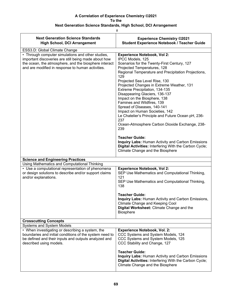### **Next Generation Science Standards, High School, DCI Arrangement**

| <b>Next Generation Science Standards</b><br><b>High School, DCI Arrangement</b>                                                                                                                                         | <b>Experience Chemistry ©2021</b><br><b>Student Experience Notebook / Teacher Guide</b>                                                                                                                                                                                                                                                                                                                                                                                                                                                                                                                   |
|-------------------------------------------------------------------------------------------------------------------------------------------------------------------------------------------------------------------------|-----------------------------------------------------------------------------------------------------------------------------------------------------------------------------------------------------------------------------------------------------------------------------------------------------------------------------------------------------------------------------------------------------------------------------------------------------------------------------------------------------------------------------------------------------------------------------------------------------------|
| ESS3.D: Global Climate Change                                                                                                                                                                                           |                                                                                                                                                                                                                                                                                                                                                                                                                                                                                                                                                                                                           |
| • Through computer simulations and other studies,<br>important discoveries are still being made about how<br>the ocean, the atmosphere, and the biosphere interact<br>and are modified in response to human activities. | <b>Experience Notebook, Vol 2:</b><br>IPCC Models, 125<br>Scenarios for the Twenty-First Century, 127<br>Projected Temperatures, 128<br>Regional Temperature and Precipitation Projections,<br>129<br>Projected Sea Level Rise, 130<br>Projected Changes in Extreme Weather, 131<br>Extreme Precipitation, 134-135<br>Disappearing Glaciers, 136-137<br>Impact on the Biosphere, 138<br>Famines and Wildfires, 139<br>Spread of Diseases, 140-141<br>Impact on Human Societies, 142<br>Le Chatelier's Principle and Future Ocean pH, 236-<br>237<br>Ocean-Atmosphere Carbon Dioxide Exchange, 238-<br>239 |
|                                                                                                                                                                                                                         | <b>Teacher Guide:</b><br><b>Inquiry Labs: Human Activity and Carbon Emissions</b><br>Digital Activities: Interfering With the Carbon Cycle;<br>Climate Change and the Biosphere                                                                                                                                                                                                                                                                                                                                                                                                                           |
| <b>Science and Engineering Practices</b>                                                                                                                                                                                |                                                                                                                                                                                                                                                                                                                                                                                                                                                                                                                                                                                                           |
| Using Mathematics and Computational Thinking                                                                                                                                                                            |                                                                                                                                                                                                                                                                                                                                                                                                                                                                                                                                                                                                           |
| • Use a computational representation of phenomena<br>or design solutions to describe and/or support claims<br>and/or explanations.                                                                                      | <b>Experience Notebook, Vol 2:</b><br>SEP Use Mathematics and Computational Thinking,<br>121<br>SEP Use Mathematics and Computational Thinking,<br>138                                                                                                                                                                                                                                                                                                                                                                                                                                                    |
|                                                                                                                                                                                                                         | <b>Teacher Guide:</b><br><b>Inquiry Labs: Human Activity and Carbon Emissions,</b><br>Climate Change and Keeping Cool<br>Digital Worksheet: Climate Change and the<br><b>Biosphere</b>                                                                                                                                                                                                                                                                                                                                                                                                                    |
| <b>Crosscutting Concepts</b>                                                                                                                                                                                            |                                                                                                                                                                                                                                                                                                                                                                                                                                                                                                                                                                                                           |
| <b>Systems and System Models</b>                                                                                                                                                                                        |                                                                                                                                                                                                                                                                                                                                                                                                                                                                                                                                                                                                           |
| • When investigating or describing a system, the<br>boundaries and initial conditions of the system need to<br>be defined and their inputs and outputs analyzed and<br>described using models.                          | <b>Experience Notebook, Vol. 2:</b><br>CCC Systems and System Models, 124<br>CCC Systems and System Models, 125<br>CCC Stability and Change, 127                                                                                                                                                                                                                                                                                                                                                                                                                                                          |
|                                                                                                                                                                                                                         | <b>Teacher Guide:</b><br>Inquiry Labs: Human Activity and Carbon Emissions<br>Digital Activities: Interfering With the Carbon Cycle;<br>Climate Change and the Biosphere                                                                                                                                                                                                                                                                                                                                                                                                                                  |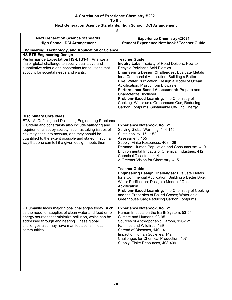| #                                                                                                                                                                                                                                                                                          |                                                                                                                                                                                                                                                                                                                                                                                                                                                                                                                                                                                                  |  |
|--------------------------------------------------------------------------------------------------------------------------------------------------------------------------------------------------------------------------------------------------------------------------------------------|--------------------------------------------------------------------------------------------------------------------------------------------------------------------------------------------------------------------------------------------------------------------------------------------------------------------------------------------------------------------------------------------------------------------------------------------------------------------------------------------------------------------------------------------------------------------------------------------------|--|
| <b>Next Generation Science Standards</b><br><b>High School, DCI Arrangement</b>                                                                                                                                                                                                            | <b>Experience Chemistry ©2021</b><br><b>Student Experience Notebook / Teacher Guide</b>                                                                                                                                                                                                                                                                                                                                                                                                                                                                                                          |  |
| <b>Engineering, Technology, and Application of Science</b>                                                                                                                                                                                                                                 |                                                                                                                                                                                                                                                                                                                                                                                                                                                                                                                                                                                                  |  |
| <b>HS-ETS Engineering Design</b><br>Performance Expectation HS-ETS1-1. Analyze a                                                                                                                                                                                                           | <b>Teacher Guide:</b>                                                                                                                                                                                                                                                                                                                                                                                                                                                                                                                                                                            |  |
| major global challenge to specify qualitative and<br>quantitative criteria and constraints for solutions that<br>account for societal needs and wants.                                                                                                                                     | Inquiry Labs: Toxicity of Road Deicers, How to<br>Recycle Polylactic Acid Plastics<br><b>Engineering Design Challenges: Evaluate Metals</b><br>for a Commercial Application, Building a Better<br>Bike, Water Purification, Design a Model of Ocean<br>Acidification, Plastic from Biowaste<br>Performance-Based Assessment: Prepare and<br><b>Characterize Biodiesel</b><br>Problem-Based Learning: The Chemistry of<br>Cooking, Water as a Greenhouse Gas, Reducing<br>Carbon Footprints, Sustainable Off-Grid Energy                                                                          |  |
| <b>Disciplinary Core Ideas</b>                                                                                                                                                                                                                                                             |                                                                                                                                                                                                                                                                                                                                                                                                                                                                                                                                                                                                  |  |
| ETS1.A: Defining and Delimiting Engineering Problems                                                                                                                                                                                                                                       |                                                                                                                                                                                                                                                                                                                                                                                                                                                                                                                                                                                                  |  |
| • Criteria and constraints also include satisfying any<br>requirements set by society, such as taking issues of<br>risk mitigation into account, and they should be<br>quantified to the extent possible and stated in such a<br>way that one can tell if a given design meets them.       | <b>Experience Notebook, Vol. 2:</b><br>Solving Global Warming, 144-145<br>Sustainability, 151-152<br>Assessment, 155<br>Supply: Finite Resources, 408-409<br>Demand: Human Population and Consumerism, 410<br>Environmental Impacts of Chemical Industries, 412<br>Chemical Disasters, 414<br>A Greener Vision for Chemistry, 415<br><b>Teacher Guide:</b><br><b>Engineering Design Challenges: Evaluate Metals</b><br>for a Commercial Application; Building a Better Bike;<br>Water Purification; Design a Model of Ocean<br>Acidification<br>Problem-Based Learning: The Chemistry of Cooking |  |
|                                                                                                                                                                                                                                                                                            | and the Properties of Baked Goods; Water as a<br>Greenhouse Gas; Reducing Carbon Footprints                                                                                                                                                                                                                                                                                                                                                                                                                                                                                                      |  |
| • Humanity faces major global challenges today, such<br>as the need for supplies of clean water and food or for<br>energy sources that minimize pollution, which can be<br>addressed through engineering. These global<br>challenges also may have manifestations in local<br>communities. | <b>Experience Notebook, Vol. 2:</b><br>Human Impacts on the Earth System, 53-54<br>Climate and Humans, 93-95<br>Sources of Anthropogenic Carbon, 120-121<br>Famines and Wildfires, 139<br>Spread of Diseases, 140-141<br>Impact of Human Societies, 142<br>Challenges for Chemical Production, 407<br>Supply: Finite Resources, 408-409                                                                                                                                                                                                                                                          |  |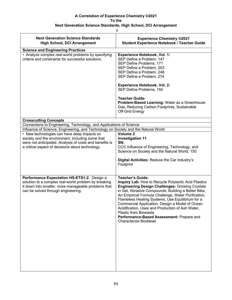| <b>Next Generation Science Standards</b><br><b>High School, DCI Arrangement</b>                                                                                                                                | <b>Experience Chemistry ©2021</b><br><b>Student Experience Notebook / Teacher Guide</b>                                                                                                                                                                                                                                                                                                                                                                                                                                          |
|----------------------------------------------------------------------------------------------------------------------------------------------------------------------------------------------------------------|----------------------------------------------------------------------------------------------------------------------------------------------------------------------------------------------------------------------------------------------------------------------------------------------------------------------------------------------------------------------------------------------------------------------------------------------------------------------------------------------------------------------------------|
| <b>Science and Engineering Practices</b><br>• Analyze complex real-world problems by specifying<br>criteria and constraints for successful solutions.                                                          | <b>Experience Notebook, Vol. 1:</b><br>SEP Define a Problem, 147<br>SEP Define Problems, 171<br>SEP Define a Problem, 203<br>SEP Define a Problem, 248<br>SEP Define a Problem, 274<br><b>Experience Notebook, Vol. 2:</b><br>SEP Define Problems, 155<br><b>Teacher Guide:</b><br>Problem-Based Learning: Water as a Greenhouse<br>Gas, Reducing Carbon Footprints, Sustainable<br>Off-Grid Energy                                                                                                                              |
| <b>Crosscutting Concepts</b>                                                                                                                                                                                   |                                                                                                                                                                                                                                                                                                                                                                                                                                                                                                                                  |
| Connections to Engineering, Technology, and Applications of Science<br>Influence of Science, Engineering, and Technology on Society and the Natural World                                                      |                                                                                                                                                                                                                                                                                                                                                                                                                                                                                                                                  |
| • New technologies can have deep impacts on<br>society and the environment, including some that<br>were not anticipated. Analysis of costs and benefits is<br>a critical aspect of decisions about technology. | Volume <sub>2</sub><br><b>Investigation 11</b><br>SN:<br>CCC Influence of Engineering, Technology, and<br>Science on Society and the Natural World, 150<br>Digital Activities: Reduce the Car Industry's<br>Footprint                                                                                                                                                                                                                                                                                                            |
| Performance Expectation HS-ETS1-2. Design a<br>solution to a complex real-world problem by breaking<br>it down into smaller, more manageable problems that<br>can be solved through engineering.               | <b>Teacher's Guide:</b><br>Inquiry Lab: How to Recycle Polylactic Acid Plastics<br><b>Engineering Design Challenges: Growing Crystals</b><br>in Gel, Abrasive Compounds, Building a Better Bike,<br>An Empirical Formula Challenge, Water Purification,<br>Flameless Heating Systems, Use Equilibrium for a<br>Commercial Application, Design a Model of Ocean<br>Acidification, Uses and Production of Ash Water,<br><b>Plastic from Biowaste</b><br>Performance-Based Assessment: Prepare and<br><b>Characterize Biodiesel</b> |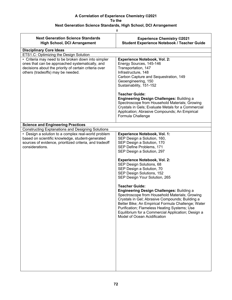| #                                                                                                                                                                                                   |                                                                                                                                                                                                                                                                                                                                                                            |
|-----------------------------------------------------------------------------------------------------------------------------------------------------------------------------------------------------|----------------------------------------------------------------------------------------------------------------------------------------------------------------------------------------------------------------------------------------------------------------------------------------------------------------------------------------------------------------------------|
| <b>Next Generation Science Standards</b><br><b>High School, DCI Arrangement</b>                                                                                                                     | <b>Experience Chemistry ©2021</b><br><b>Student Experience Notebook / Teacher Guide</b>                                                                                                                                                                                                                                                                                    |
| <b>Disciplinary Core Ideas</b>                                                                                                                                                                      |                                                                                                                                                                                                                                                                                                                                                                            |
| ETS1.C: Optimizing the Design Solution                                                                                                                                                              |                                                                                                                                                                                                                                                                                                                                                                            |
| • Criteria may need to be broken down into simpler<br>ones that can be approached systematically, and<br>decisions about the priority of certain criteria over<br>others (tradeoffs) may be needed. | <b>Experience Notebook, Vol. 2:</b><br>Energy Sources, 145-146<br>Transportation, 147<br>Infrastructure, 148<br>Carbon Capture and Sequestration, 149<br>Geoengineering, 150<br>Sustainability, 151-152                                                                                                                                                                    |
|                                                                                                                                                                                                     | <b>Teacher Guide:</b><br><b>Engineering Design Challenges: Building a</b><br>Spectroscope from Household Materials; Growing<br>Crystals in Gels; Evaluate Metals for a Commercial<br>Application; Abrasive Compounds; An Empirical<br>Formula Challenge                                                                                                                    |
| <b>Science and Engineering Practices</b>                                                                                                                                                            |                                                                                                                                                                                                                                                                                                                                                                            |
| <b>Constructing Explanations and Designing Solutions</b><br>• Design a solution to a complex real-world problem                                                                                     |                                                                                                                                                                                                                                                                                                                                                                            |
| based on scientific knowledge, student-generated<br>sources of evidence, prioritized criteria, and tradeoff<br>considerations.                                                                      | <b>Experience Notebook, Vol. 1:</b><br>SEP Design a Solution, 160,<br>SEP Design a Solution, 170<br>SEP Define Problems, 171<br>SEP Design a Solution, 297                                                                                                                                                                                                                 |
|                                                                                                                                                                                                     | <b>Experience Notebook, Vol. 2:</b><br>SEP Design Solutions, 68<br>SEP Design a Solution, 70<br>SEP Design Solutions, 152<br>SEP Design Your Solution, 265                                                                                                                                                                                                                 |
|                                                                                                                                                                                                     | <b>Teacher Guide:</b><br><b>Engineering Design Challenges: Building a</b><br>Spectroscope from Household Materials; Growing<br>Crystals in Gel; Abrasive Compounds; Building a<br>Better Bike; An Empirical Formula Challenge; Water<br>Purification; Flameless Heating Systems; Use<br>Equilibrium for a Commercial Application; Design a<br>Model of Ocean Acidification |
|                                                                                                                                                                                                     |                                                                                                                                                                                                                                                                                                                                                                            |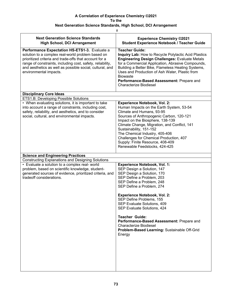### **A Correlation of Experience Chemistry ©2021 To the**

# **Next Generation Science Standards, High School, DCI Arrangement**

|                                                                                                                                                                                                                                                                                                                  | $\#$                                                                                                                                                                                                                                                                                                                                                                                                                                                                                     |  |
|------------------------------------------------------------------------------------------------------------------------------------------------------------------------------------------------------------------------------------------------------------------------------------------------------------------|------------------------------------------------------------------------------------------------------------------------------------------------------------------------------------------------------------------------------------------------------------------------------------------------------------------------------------------------------------------------------------------------------------------------------------------------------------------------------------------|--|
| <b>Next Generation Science Standards</b><br><b>High School, DCI Arrangement</b>                                                                                                                                                                                                                                  | <b>Experience Chemistry ©2021</b><br><b>Student Experience Notebook / Teacher Guide</b>                                                                                                                                                                                                                                                                                                                                                                                                  |  |
| Performance Expectation HS-ETS1-3. Evaluate a<br>solution to a complex real-world problem based on<br>prioritized criteria and trade-offs that account for a<br>range of constraints, including cost, safety, reliability,<br>and aesthetics as well as possible social, cultural, and<br>environmental impacts. | <b>Teacher Guide:</b><br>Inquiry Lab: How to Recycle Polylactic Acid Plastics<br><b>Engineering Design Challenges: Evaluate Metals</b><br>for a Commercial Application, Abrasive Compounds,<br>Building a Better Bike, Flameless Heating Systems,<br>Uses and Production of Ash Water, Plastic from<br><b>Biowaste</b><br>Performance-Based Assessment: Prepare and<br><b>Characterize Biodiesel</b>                                                                                     |  |
| <b>Disciplinary Core Ideas</b>                                                                                                                                                                                                                                                                                   |                                                                                                                                                                                                                                                                                                                                                                                                                                                                                          |  |
| ETS1.B: Developing Possible Solutions                                                                                                                                                                                                                                                                            |                                                                                                                                                                                                                                                                                                                                                                                                                                                                                          |  |
| • When evaluating solutions, it is important to take<br>into account a range of constraints, including cost,<br>safety, reliability, and aesthetics, and to consider<br>social, cultural, and environmental impacts.                                                                                             | <b>Experience Notebook, Vol. 2:</b><br>Human Impacts on the Earth System, 53-54<br>Climate and Humans, 93-95<br>Sources of Anthropogenic Carbon, 120-121<br>Impact on the Biosphere, 138-139<br>Climate Change, Migration, and Conflict, 141<br>Sustainability, 151-152<br>The Chemical Industry, 405-406<br>Challenges for Chemical Production, 407<br>Supply: Finite Resource, 408-409<br>Renewable Feedstocks, 424-425                                                                |  |
| <b>Science and Engineering Practices</b>                                                                                                                                                                                                                                                                         |                                                                                                                                                                                                                                                                                                                                                                                                                                                                                          |  |
| <b>Constructing Explanations and Designing Solutions</b>                                                                                                                                                                                                                                                         |                                                                                                                                                                                                                                                                                                                                                                                                                                                                                          |  |
| • Evaluate a solution to a complex real- world<br>problem, based on scientific knowledge, student-<br>generated sources of evidence, prioritized criteria, and<br>tradeoff considerations.                                                                                                                       | <b>Experience Notebook, Vol. 1:</b><br>SEP Design a Solution, 147<br>SEP Design a Solution, 170<br>SEP Define a Problem, 203<br>SEP Define a Problem, 248<br>SEP Define a Problem, 274<br><b>Experience Notebook, Vol. 2:</b><br>SEP Define Problems, 155<br>SEP Evaluate Solutions, 409<br>SEP Evaluate Solutions, 424<br><b>Teacher Guide:</b><br>Performance-Based Assessment: Prepare and<br><b>Characterize Biodiesel</b><br>Problem-Based Learning: Sustainable Off-Grid<br>Energy |  |
|                                                                                                                                                                                                                                                                                                                  |                                                                                                                                                                                                                                                                                                                                                                                                                                                                                          |  |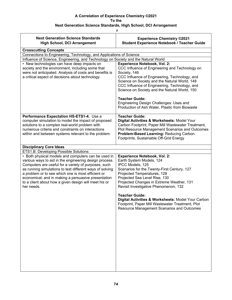# **A Correlation of Experience Chemistry ©2021 To the**

#### **Next Generation Science Standards, High School, DCI Arrangement**

|                                                                                                                                                                                                                                                                                                                                                                                                                       | #                                                                                                                                                                                                                                                                                                                                                                             |  |
|-----------------------------------------------------------------------------------------------------------------------------------------------------------------------------------------------------------------------------------------------------------------------------------------------------------------------------------------------------------------------------------------------------------------------|-------------------------------------------------------------------------------------------------------------------------------------------------------------------------------------------------------------------------------------------------------------------------------------------------------------------------------------------------------------------------------|--|
| <b>Next Generation Science Standards</b><br><b>High School, DCI Arrangement</b>                                                                                                                                                                                                                                                                                                                                       | <b>Experience Chemistry ©2021</b><br><b>Student Experience Notebook / Teacher Guide</b>                                                                                                                                                                                                                                                                                       |  |
| <b>Crosscutting Concepts</b>                                                                                                                                                                                                                                                                                                                                                                                          |                                                                                                                                                                                                                                                                                                                                                                               |  |
| Connections to Engineering, Technology, and Applications of Science                                                                                                                                                                                                                                                                                                                                                   |                                                                                                                                                                                                                                                                                                                                                                               |  |
| Influence of Science, Engineering, and Technology on Society and the Natural World                                                                                                                                                                                                                                                                                                                                    |                                                                                                                                                                                                                                                                                                                                                                               |  |
| • New technologies can have deep impacts on<br>society and the environment, including some that<br>were not anticipated. Analysis of costs and benefits is<br>a critical aspect of decisions about technology.                                                                                                                                                                                                        | <b>Experience Notebook, Vol. 2:</b><br>CCC Influence of Engineering and Technology on<br>Society, 146<br>CCC Influence of Engineering, Technology, and<br>Science on Society and the Natural World, 148<br>CCC Influence of Engineering, Technology, and<br>Science on Society and the Natural World, 150<br><b>Teacher Guide:</b><br>Engineering Design Challenges: Uses and |  |
|                                                                                                                                                                                                                                                                                                                                                                                                                       | Production of Ash Water, Plastic from Biowaste                                                                                                                                                                                                                                                                                                                                |  |
| Performance Expectation HS-ETS1-4. Use a<br>computer simulation to model the impact of proposed<br>solutions to a complex real-world problem with<br>numerous criteria and constraints on interactions<br>within and between systems relevant to the problem.                                                                                                                                                         | <b>Teacher Guide:</b><br>Digital Activities & Worksheets: Model Your<br>Carbon Footprint, Paper Mill Wastewater Treatment,<br>Plot Resource Management Scenarios and Outcomes<br>Problem-Based Learning: Reducing Carbon<br>Footprints, Sustainable Off-Grid Energy                                                                                                           |  |
| <b>Disciplinary Core Ideas</b>                                                                                                                                                                                                                                                                                                                                                                                        |                                                                                                                                                                                                                                                                                                                                                                               |  |
| ETS1.B: Developing Possible Solutions                                                                                                                                                                                                                                                                                                                                                                                 |                                                                                                                                                                                                                                                                                                                                                                               |  |
| • Both physical models and computers can be used in<br>various ways to aid in the engineering design process.<br>Computers are useful for a variety of purposes, such<br>as running simulations to test different ways of solving<br>a problem or to see which one is most efficient or<br>economical; and in making a persuasive presentation<br>to a client about how a given design will meet his or<br>her needs. | <b>Experience Notebook, Vol. 2:</b><br>Earth System Models, 124<br>IPCC Models, 125<br>Scenarios for the Twenty-First Century, 127<br>Projected Temperatures, 128<br>Projected Sea Level Rise, 130<br>Projected Changes in Extreme Weather, 131<br>Revisit Investigative Phenomenon, 132                                                                                      |  |
|                                                                                                                                                                                                                                                                                                                                                                                                                       | <b>Teacher Guide:</b><br>Digital Activities & Worksheets: Model Your Carbon<br>Footprint, Paper Mill Wastewater Treatment, Plot<br>Resource Management Scenarios and Outcomes                                                                                                                                                                                                 |  |